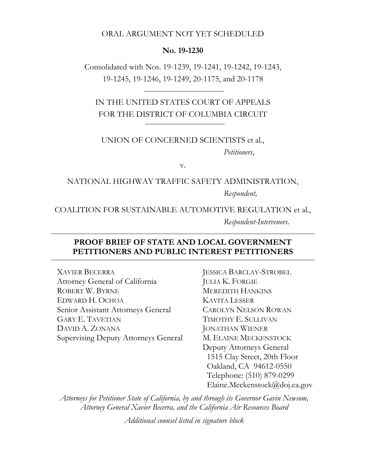#### ORAL ARGUMENT NOT YET SCHEDULED

#### **No. 19-1230**

Consolidated with Nos. 19-1239, 19-1241, 19-1242, 19-1243, 19-1245, 19-1246, 19-1249, 20-1175, and 20-1178

IN THE UNITED STATES COURT OF APPEALS FOR THE DISTRICT OF COLUMBIA CIRCUIT

#### UNION OF CONCERNED SCIENTISTS et al., *Petitioners*,

v.

#### NATIONAL HIGHWAY TRAFFIC SAFETY ADMINISTRATION, *Respondent,*

#### COALITION FOR SUSTAINABLE AUTOMOTIVE REGULATION et al., *Respondent-Intervenors*.

#### **PROOF BRIEF OF STATE AND LOCAL GOVERNMENT PETITIONERS AND PUBLIC INTEREST PETITIONERS**

XAVIER BECERRA Attorney General of California ROBERT W. BYRNE EDWARD H. OCHOA Senior Assistant Attorneys General GARY E. TAVETIAN DAVID A. ZONANA Supervising Deputy Attorneys General JESSICA BARCLAY-STROBEL JULIA K. FORGIE MEREDITH HANKINS KAVITA LESSER CAROLYN NELSON ROWAN TIMOTHY E. SULLIVAN JONATHAN WIENER M. ELAINE MECKENSTOCK Deputy Attorneys General 1515 Clay Street, 20th Floor Oakland, CA 94612-0550 Telephone: (510) 879-0299 Elaine.Meckenstock@doj.ca.gov

*Attorneys for Petitioner State of California, by and through its Governor Gavin Newsom, Attorney General Xavier Becerra, and the California Air Resources Board* 

*Additional counsel listed in signature block*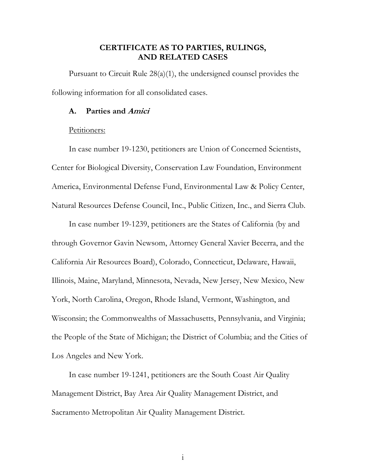#### **CERTIFICATE AS TO PARTIES, RULINGS, AND RELATED CASES**

Pursuant to Circuit Rule 28(a)(1), the undersigned counsel provides the following information for all consolidated cases.

#### **A. Parties and Amici**

#### Petitioners:

In case number 19-1230, petitioners are Union of Concerned Scientists, Center for Biological Diversity, Conservation Law Foundation, Environment America, Environmental Defense Fund, Environmental Law & Policy Center, Natural Resources Defense Council, Inc., Public Citizen, Inc., and Sierra Club.

In case number 19-1239, petitioners are the States of California (by and through Governor Gavin Newsom, Attorney General Xavier Becerra, and the California Air Resources Board), Colorado, Connecticut, Delaware, Hawaii, Illinois, Maine, Maryland, Minnesota, Nevada, New Jersey, New Mexico, New York, North Carolina, Oregon, Rhode Island, Vermont, Washington, and Wisconsin; the Commonwealths of Massachusetts, Pennsylvania, and Virginia; the People of the State of Michigan; the District of Columbia; and the Cities of Los Angeles and New York.

In case number 19-1241, petitioners are the South Coast Air Quality Management District, Bay Area Air Quality Management District, and Sacramento Metropolitan Air Quality Management District.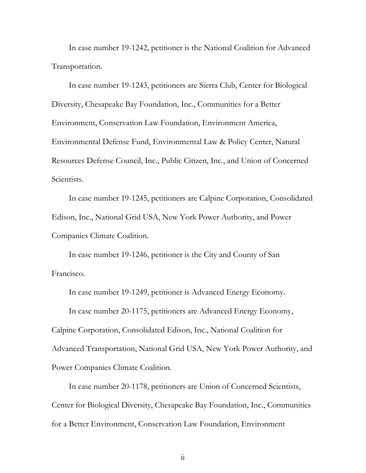In case number 19-1242, petitioner is the National Coalition for Advanced Transportation.

In case number 19-1243, petitioners are Sierra Club, Center for Biological Diversity, Chesapeake Bay Foundation, Inc., Communities for a Better Environment, Conservation Law Foundation, Environment America, Environmental Defense Fund, Environmental Law & Policy Center, Natural Resources Defense Council, Inc., Public Citizen, Inc., and Union of Concerned Scientists.

In case number 19-1245, petitioners are Calpine Corporation, Consolidated Edison, Inc., National Grid USA, New York Power Authority, and Power Companies Climate Coalition.

In case number 19-1246, petitioner is the City and County of San Francisco.

In case number 19-1249, petitioner is Advanced Energy Economy.

In case number 20-1175, petitioners are Advanced Energy Economy,

Calpine Corporation, Consolidated Edison, Inc., National Coalition for

Advanced Transportation, National Grid USA, New York Power Authority, and Power Companies Climate Coalition.

In case number 20-1178, petitioners are Union of Concerned Scientists, Center for Biological Diversity, Chesapeake Bay Foundation, Inc., Communities for a Better Environment, Conservation Law Foundation, Environment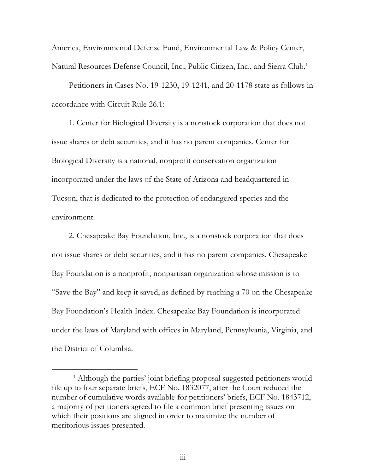America, Environmental Defense Fund, Environmental Law & Policy Center, Natural Resources Defense Council, Inc., Public Citizen, Inc., and Sierra Club.1

Petitioners in Cases No. 19-1230, 19-1241, and 20-1178 state as follows in accordance with Circuit Rule 26.1:

1. Center for Biological Diversity is a nonstock corporation that does not issue shares or debt securities, and it has no parent companies. Center for Biological Diversity is a national, nonprofit conservation organization incorporated under the laws of the State of Arizona and headquartered in Tucson, that is dedicated to the protection of endangered species and the environment.

2. Chesapeake Bay Foundation, Inc., is a nonstock corporation that does not issue shares or debt securities, and it has no parent companies. Chesapeake Bay Foundation is a nonprofit, nonpartisan organization whose mission is to "Save the Bay" and keep it saved, as defined by reaching a 70 on the Chesapeake Bay Foundation's Health Index. Chesapeake Bay Foundation is incorporated under the laws of Maryland with offices in Maryland, Pennsylvania, Virginia, and the District of Columbia.

<sup>&</sup>lt;u>1</u> <sup>1</sup> Although the parties' joint briefing proposal suggested petitioners would file up to four separate briefs, ECF No. 1832077, after the Court reduced the number of cumulative words available for petitioners' briefs, ECF No. 1843712, a majority of petitioners agreed to file a common brief presenting issues on which their positions are aligned in order to maximize the number of meritorious issues presented.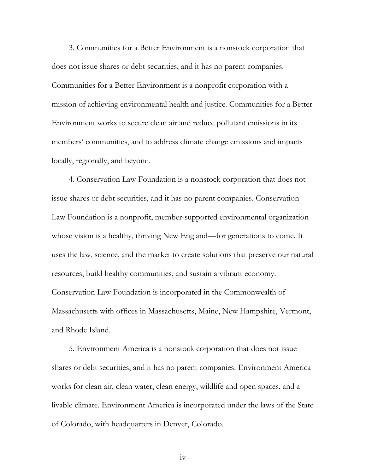3. Communities for a Better Environment is a nonstock corporation that does not issue shares or debt securities, and it has no parent companies. Communities for a Better Environment is a nonprofit corporation with a mission of achieving environmental health and justice. Communities for a Better Environment works to secure clean air and reduce pollutant emissions in its members' communities, and to address climate change emissions and impacts locally, regionally, and beyond.

4. Conservation Law Foundation is a nonstock corporation that does not issue shares or debt securities, and it has no parent companies. Conservation Law Foundation is a nonprofit, member-supported environmental organization whose vision is a healthy, thriving New England—for generations to come. It uses the law, science, and the market to create solutions that preserve our natural resources, build healthy communities, and sustain a vibrant economy. Conservation Law Foundation is incorporated in the Commonwealth of Massachusetts with offices in Massachusetts, Maine, New Hampshire, Vermont, and Rhode Island.

5. Environment America is a nonstock corporation that does not issue shares or debt securities, and it has no parent companies. Environment America works for clean air, clean water, clean energy, wildlife and open spaces, and a livable climate. Environment America is incorporated under the laws of the State of Colorado, with headquarters in Denver, Colorado.

iv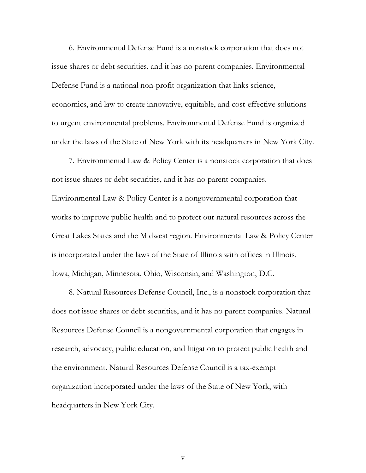6. Environmental Defense Fund is a nonstock corporation that does not issue shares or debt securities, and it has no parent companies. Environmental Defense Fund is a national non-profit organization that links science, economics, and law to create innovative, equitable, and cost-effective solutions to urgent environmental problems. Environmental Defense Fund is organized under the laws of the State of New York with its headquarters in New York City.

7. Environmental Law & Policy Center is a nonstock corporation that does not issue shares or debt securities, and it has no parent companies. Environmental Law & Policy Center is a nongovernmental corporation that works to improve public health and to protect our natural resources across the Great Lakes States and the Midwest region. Environmental Law & Policy Center is incorporated under the laws of the State of Illinois with offices in Illinois, Iowa, Michigan, Minnesota, Ohio, Wisconsin, and Washington, D.C.

8. Natural Resources Defense Council, Inc., is a nonstock corporation that does not issue shares or debt securities, and it has no parent companies. Natural Resources Defense Council is a nongovernmental corporation that engages in research, advocacy, public education, and litigation to protect public health and the environment. Natural Resources Defense Council is a tax-exempt organization incorporated under the laws of the State of New York, with headquarters in New York City.

v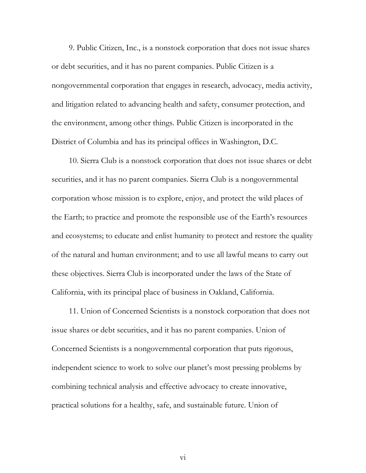9. Public Citizen, Inc., is a nonstock corporation that does not issue shares or debt securities, and it has no parent companies. Public Citizen is a nongovernmental corporation that engages in research, advocacy, media activity, and litigation related to advancing health and safety, consumer protection, and the environment, among other things. Public Citizen is incorporated in the District of Columbia and has its principal offices in Washington, D.C.

10. Sierra Club is a nonstock corporation that does not issue shares or debt securities, and it has no parent companies. Sierra Club is a nongovernmental corporation whose mission is to explore, enjoy, and protect the wild places of the Earth; to practice and promote the responsible use of the Earth's resources and ecosystems; to educate and enlist humanity to protect and restore the quality of the natural and human environment; and to use all lawful means to carry out these objectives. Sierra Club is incorporated under the laws of the State of California, with its principal place of business in Oakland, California.

11. Union of Concerned Scientists is a nonstock corporation that does not issue shares or debt securities, and it has no parent companies. Union of Concerned Scientists is a nongovernmental corporation that puts rigorous, independent science to work to solve our planet's most pressing problems by combining technical analysis and effective advocacy to create innovative, practical solutions for a healthy, safe, and sustainable future. Union of

vi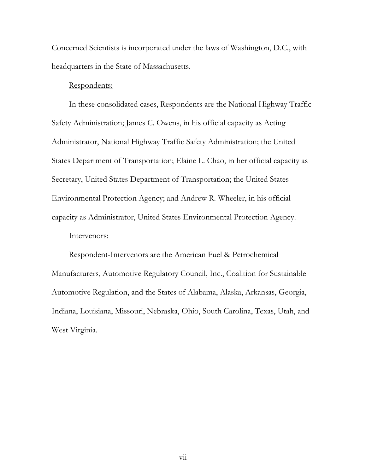Concerned Scientists is incorporated under the laws of Washington, D.C., with headquarters in the State of Massachusetts.

#### Respondents:

In these consolidated cases, Respondents are the National Highway Traffic Safety Administration; James C. Owens, in his official capacity as Acting Administrator, National Highway Traffic Safety Administration; the United States Department of Transportation; Elaine L. Chao, in her official capacity as Secretary, United States Department of Transportation; the United States Environmental Protection Agency; and Andrew R. Wheeler, in his official capacity as Administrator, United States Environmental Protection Agency.

#### Intervenors:

Respondent-Intervenors are the American Fuel & Petrochemical Manufacturers, Automotive Regulatory Council, Inc., Coalition for Sustainable Automotive Regulation, and the States of Alabama, Alaska, Arkansas, Georgia, Indiana, Louisiana, Missouri, Nebraska, Ohio, South Carolina, Texas, Utah, and West Virginia.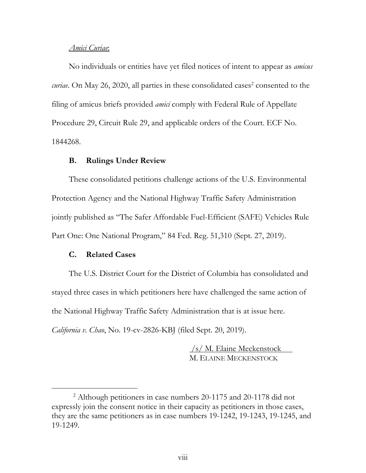#### *Amici Curiae*:

No individuals or entities have yet filed notices of intent to appear as *amicus*  curiae. On May 26, 2020, all parties in these consolidated cases<sup>2</sup> consented to the filing of amicus briefs provided *amici* comply with Federal Rule of Appellate Procedure 29, Circuit Rule 29, and applicable orders of the Court. ECF No. 1844268.

#### **B. Rulings Under Review**

These consolidated petitions challenge actions of the U.S. Environmental Protection Agency and the National Highway Traffic Safety Administration jointly published as "The Safer Affordable Fuel-Efficient (SAFE) Vehicles Rule Part One: One National Program," 84 Fed. Reg. 51,310 (Sept. 27, 2019).

#### **C. Related Cases**

The U.S. District Court for the District of Columbia has consolidated and stayed three cases in which petitioners here have challenged the same action of the National Highway Traffic Safety Administration that is at issue here.

*California v. Chao*, No. 19-cv-2826-KBJ (filed Sept. 20, 2019).

 /s/ M. Elaine Meckenstock M. ELAINE MECKENSTOCK

 $\overline{\phantom{2}}$  Although petitioners in case numbers 20-1175 and 20-1178 did not expressly join the consent notice in their capacity as petitioners in those cases, they are the same petitioners as in case numbers 19-1242, 19-1243, 19-1245, and 19-1249.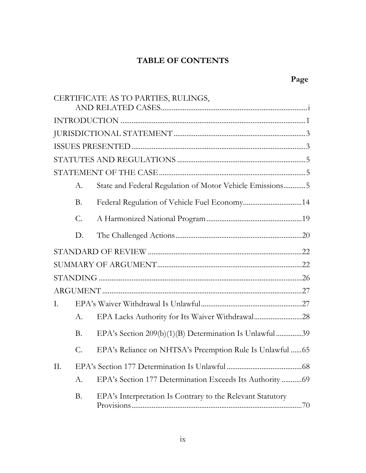# **TABLE OF CONTENTS**

|    |                 | CERTIFICATE AS TO PARTIES, RULINGS,                        |
|----|-----------------|------------------------------------------------------------|
|    |                 |                                                            |
|    |                 |                                                            |
|    |                 |                                                            |
|    |                 |                                                            |
|    |                 |                                                            |
|    | A.              | State and Federal Regulation of Motor Vehicle Emissions5   |
|    | <b>B.</b>       |                                                            |
|    | $\mathcal{C}$ . |                                                            |
|    | D.              |                                                            |
|    |                 |                                                            |
|    |                 |                                                            |
|    |                 |                                                            |
|    |                 |                                                            |
| I. |                 |                                                            |
|    | А.              | EPA Lacks Authority for Its Waiver Withdrawal28            |
|    | B.              | EPA's Section 209(b)(1)(B) Determination Is Unlawful 39    |
|    | C.              | EPA's Reliance on NHTSA's Preemption Rule Is Unlawful  65  |
| П. |                 |                                                            |
|    | А.              | EPA's Section 177 Determination Exceeds Its Authority  69  |
|    | B.              | EPA's Interpretation Is Contrary to the Relevant Statutory |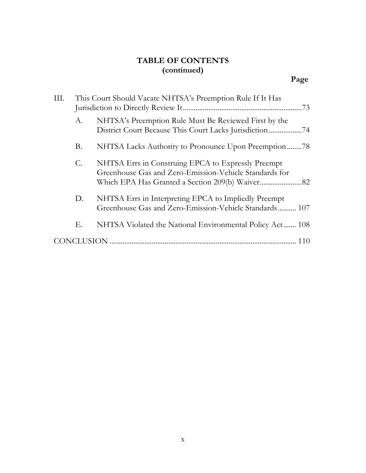# **TABLE OF CONTENTS (continued)**

| III. | This Court Should Vacate NHTSA's Preemption Rule If It Has |                                                                                                                | .73 |
|------|------------------------------------------------------------|----------------------------------------------------------------------------------------------------------------|-----|
|      | А.                                                         | NHTSA's Preemption Rule Must Be Reviewed First by the                                                          |     |
|      | <b>B.</b>                                                  | NHTSA Lacks Authority to Pronounce Upon Preemption78                                                           |     |
|      | $\mathcal{C}$ .                                            | NHTSA Errs in Construing EPCA to Expressly Preempt<br>Greenhouse Gas and Zero-Emission-Vehicle Standards for   |     |
|      | D.                                                         | NHTSA Errs in Interpreting EPCA to Impliedly Preempt<br>Greenhouse Gas and Zero-Emission-Vehicle Standards 107 |     |
|      | Е.                                                         | NHTSA Violated the National Environmental Policy Act 108                                                       |     |
|      | <b>CONCLUSION</b>                                          |                                                                                                                |     |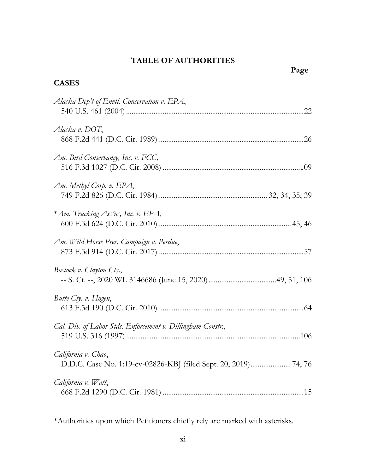# **TABLE OF AUTHORITIES**

**CASES**

| Alaska Dep't of Envtl. Conservation v. EPA,                 |
|-------------------------------------------------------------|
| Alaska v. DOT,                                              |
| Am. Bird Conservancy, Inc. v. FCC,                          |
| Am. Methyl Corp. v. EPA,                                    |
| *Am. Trucking Ass'ns, Inc. v. EPA,                          |
| Am. Wild Horse Pres. Campaign v. Perdue,                    |
| Bostock v. Clayton Cty.,                                    |
| Butte Cty. v. Hogen,                                        |
| Cal. Div. of Labor Stds. Enforcement v. Dillingham Constr., |
| California v. Chao,                                         |
| California v. Watt,                                         |

\*Authorities upon which Petitioners chiefly rely are marked with asterisks.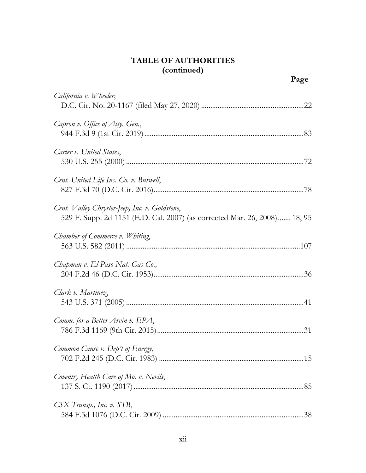| California v. Wheeler,                                                                                                      |
|-----------------------------------------------------------------------------------------------------------------------------|
| Capron v. Office of Atty. Gen.,                                                                                             |
| Carter v. United States,                                                                                                    |
| Cent. United Life Ins. Co. v. Burwell,                                                                                      |
| Cent. Valley Chrysler-Jeep, Inc. v. Goldstene,<br>529 F. Supp. 2d 1151 (E.D. Cal. 2007) (as corrected Mar. 26, 2008) 18, 95 |
| Chamber of Commerce v. Whiting,                                                                                             |
| Chapman v. El Paso Nat. Gas Co.,                                                                                            |
| Clark v. Martinez,                                                                                                          |
| Comm. for a Better Arvin v. EPA,                                                                                            |
| Common Cause v. Dep't of Energy,                                                                                            |
| Coventry Health Care of Mo. v. Nevils,                                                                                      |
| CSX Transp., Inc. v. STB,                                                                                                   |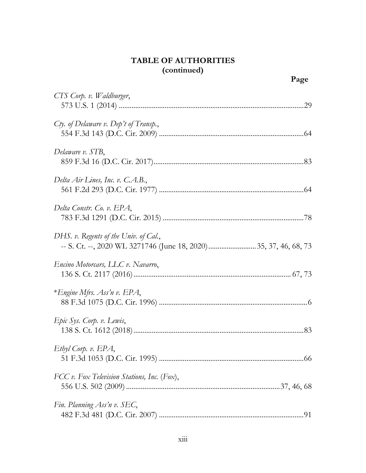| CTS Corp. v. Waldburger,                    |  |
|---------------------------------------------|--|
| $C$ ty. of Delaware v. Dep't of Transp.,    |  |
| Delaware v. STB,                            |  |
| Delta Air Lines, Inc. v. C.A.B.,            |  |
| Delta Constr. Co. v. EPA,                   |  |
| DHS. v. Regents of the Univ. of Cal.,       |  |
| Encino Motorcars, LLC v. Navarro,           |  |
| *Engine Mfrs. Ass'n v. EPA,                 |  |
| Epic Sys. Corp. v. Lewis,                   |  |
| Ethyl Corp. v. EPA,                         |  |
| FCC v. Fox Television Stations, Inc. (Fox), |  |
| Fin. Planning Ass'n v. SEC,                 |  |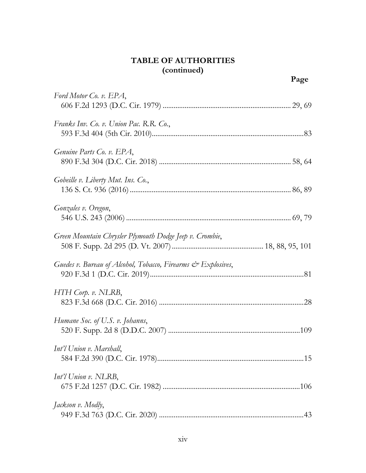| Ford Motor Co. v. EPA,                                       |  |
|--------------------------------------------------------------|--|
|                                                              |  |
| Franks Inv. Co. v. Union Pac. R.R. Co.,                      |  |
|                                                              |  |
| Genuine Parts Co. v. EPA,                                    |  |
|                                                              |  |
| Gobeille v. Liberty Mut. Ins. Co.,                           |  |
|                                                              |  |
| Gonzales v. Oregon,                                          |  |
|                                                              |  |
| Green Mountain Chrysler Plymouth Dodge Jeep v. Crombie,      |  |
|                                                              |  |
| Guedes v. Bureau of Alcohol, Tobacco, Firearms & Explosives, |  |
|                                                              |  |
| $HTH$ Corp. v. NLRB,                                         |  |
|                                                              |  |
| Humane Soc. of U.S. v. Johanns,                              |  |
|                                                              |  |
| Int'l Union v. Marshall,                                     |  |
|                                                              |  |
| Int'l Union v. NLRB,                                         |  |
|                                                              |  |
| Jackson v. Modly,                                            |  |
|                                                              |  |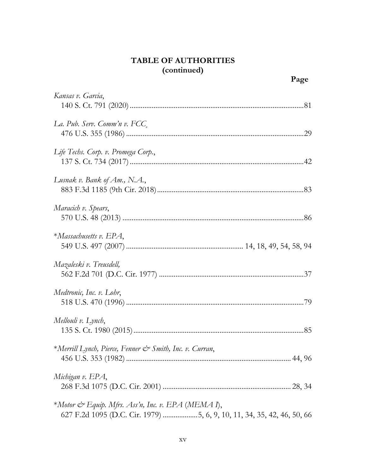| Kansas v. Garcia,                                                                                                            |
|------------------------------------------------------------------------------------------------------------------------------|
| La. Pub. Serv. Comm'n v. FCC,                                                                                                |
| Life Techs. Corp. v. Promega Corp.,                                                                                          |
| Lusnak v. Bank of Am., N.A.,                                                                                                 |
| Maracich v. Spears,                                                                                                          |
| $*Massachusetts v. EPA,$                                                                                                     |
| Mazaleski v. Treusdell,                                                                                                      |
| Medtronic, Inc. v. Lohr,                                                                                                     |
| Mellouli v. Lynch,                                                                                                           |
| *Merrill Lynch, Pierce, Fenner & Smith, Inc. v. Curran,                                                                      |
| Michigan v. EPA,                                                                                                             |
| *Motor & Equip. Mfrs. Ass'n, Inc. v. EPA (MEMA I),<br>627 F.2d 1095 (D.C. Cir. 1979) 5, 6, 9, 10, 11, 34, 35, 42, 46, 50, 66 |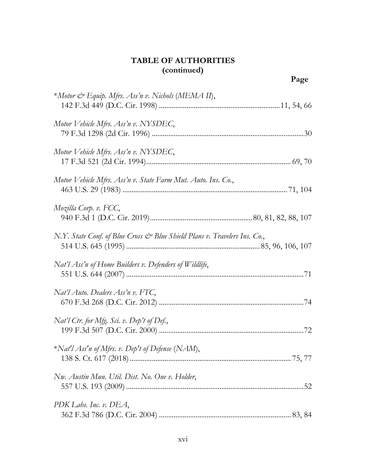| *Motor & Equip. Mfrs. Ass'n v. Nichols (MEMA II),                         |
|---------------------------------------------------------------------------|
| Motor Vehicle Mfrs. Ass'n v. NYSDEC,                                      |
| Motor Vehicle Mfrs. Ass'n v. NYSDEC,                                      |
| Motor Vehicle Mfrs. Ass'n v. State Farm Mut. Auto. Ins. Co.,              |
| Mozilla Corp. v. FCC,                                                     |
| N.Y. State Conf. of Blue Cross & Blue Shield Plans v. Travelers Ins. Co., |
| Nat'l Ass'n of Home Builders v. Defenders of Wildlife,                    |
| Nat'l Auto. Dealers Ass'n v. FTC,                                         |
| Nat'l Ctr. for Mfg. Sci. v. Dep't of Def.,                                |
| *Nat'l Ass'n of Mfrs. v. Dep't of Defense (NAM),                          |
| Nw. Austin Mun. Util. Dist. No. One v. Holder,                            |
| PDK Labs. Inc. v. DEA,                                                    |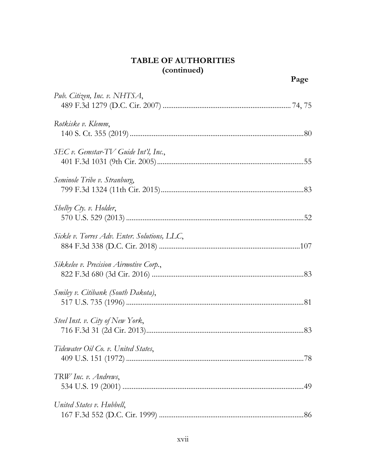| Pub. Citizen, Inc. v. NHTSA,                 |
|----------------------------------------------|
| Rotkiske v. Klemm,                           |
| SEC v. Gemstar-TV Guide Int'l, Inc.,         |
| Seminole Tribe v. Stranburg,                 |
| Shelby Cty. v. Holder,                       |
| Sickle v. Torres Adv. Enter. Solutions, LLC, |
| Sikkelee v. Precision Airmotive Corp.,       |
| Smiley v. Citibank (South Dakota),           |
| Steel Inst. v. City of New York,             |
| Tidewater Oil Co. v. United States,<br>78    |
| TRW Inc. v. Andrews,                         |
| United States v. Hubbell,                    |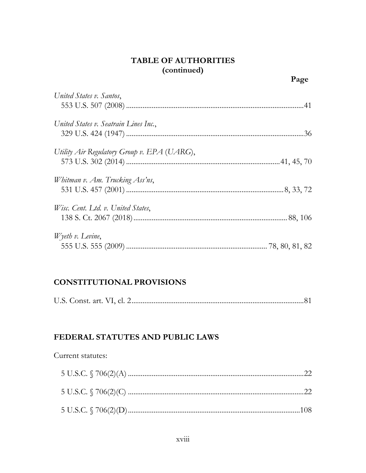| United States v. Santos,                    |  |
|---------------------------------------------|--|
| United States v. Seatrain Lines Inc.,       |  |
| Utility Air Regulatory Group v. EPA (UARG), |  |
| Whitman v. Am. Trucking Ass'ns,             |  |
| Wisc. Cent. Ltd. v. United States,          |  |
| $W$ yeth v. Levine,                         |  |

### **CONSTITUTIONAL PROVISIONS**

#### FEDERAL STATUTES AND PUBLIC LAWS

#### Current statutes: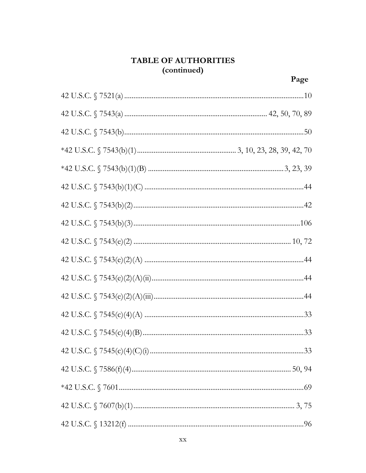| 42 U.S.C. $\sqrt{57545(c)(4)(C)(i) \dots 1666c}$ |  |
|--------------------------------------------------|--|
|                                                  |  |
|                                                  |  |
|                                                  |  |
|                                                  |  |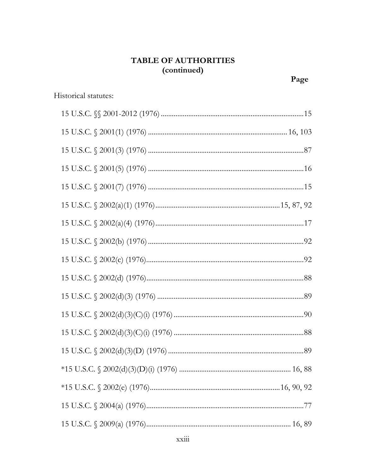| Historical statutes: |
|----------------------|
|                      |
|                      |
|                      |
|                      |
|                      |
|                      |
|                      |
|                      |
|                      |
|                      |
|                      |
|                      |
|                      |
|                      |
|                      |
|                      |
|                      |
|                      |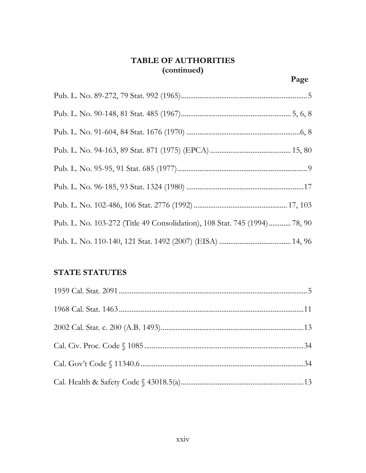| Pub. L. No. 103-272 (Title 49 Consolidation), 108 Stat. 745 (1994) 78, 90 |
|---------------------------------------------------------------------------|
|                                                                           |

# **STATE STATUTES**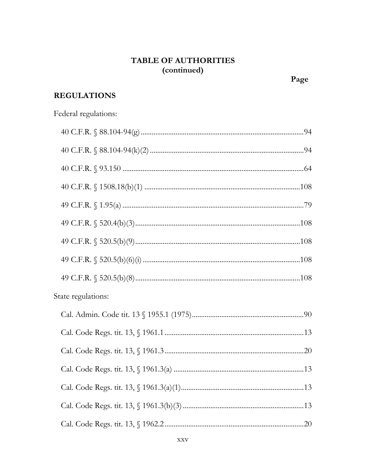# **REGULATIONS**

| Federal regulations: |  |
|----------------------|--|
|                      |  |
|                      |  |
|                      |  |
|                      |  |
|                      |  |
|                      |  |
|                      |  |
|                      |  |
|                      |  |
| State regulations:   |  |
|                      |  |
|                      |  |
|                      |  |
|                      |  |
|                      |  |
|                      |  |
|                      |  |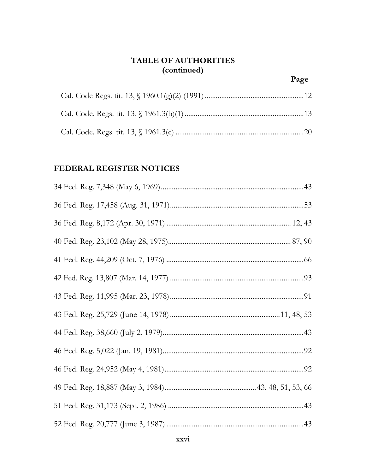#### FEDERAL REGISTER NOTICES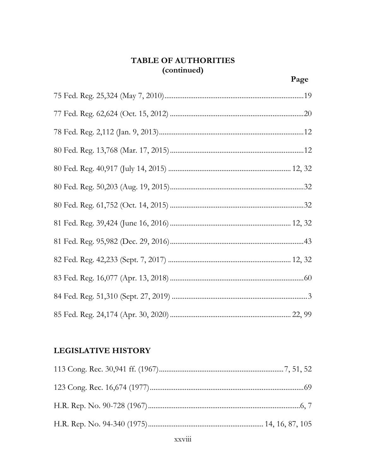### **LEGISLATIVE HISTORY**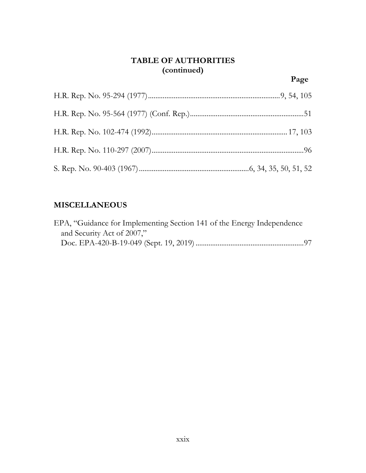# **MISCELLANEOUS**

| EPA, "Guidance for Implementing Section 141 of the Energy Independence |  |
|------------------------------------------------------------------------|--|
| and Security Act of 2007,"                                             |  |
|                                                                        |  |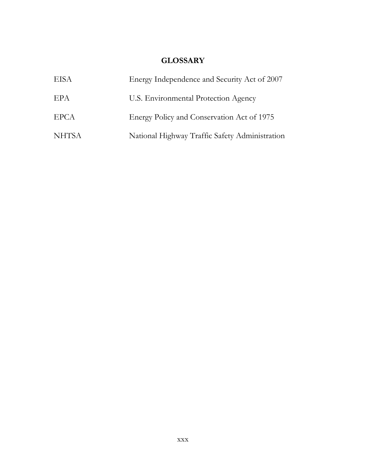### **GLOSSARY**

| <b>EISA</b>  | Energy Independence and Security Act of 2007   |
|--------------|------------------------------------------------|
| EPA          | U.S. Environmental Protection Agency           |
| <b>EPCA</b>  | Energy Policy and Conservation Act of 1975     |
| <b>NHTSA</b> | National Highway Traffic Safety Administration |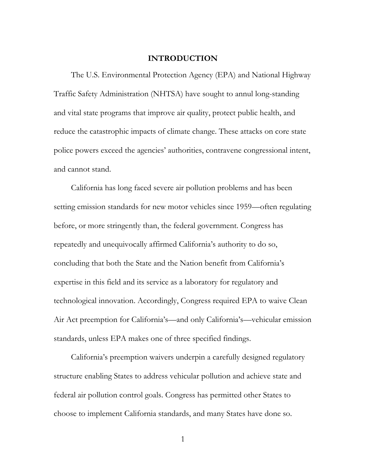#### **INTRODUCTION**

The U.S. Environmental Protection Agency (EPA) and National Highway Traffic Safety Administration (NHTSA) have sought to annul long-standing and vital state programs that improve air quality, protect public health, and reduce the catastrophic impacts of climate change. These attacks on core state police powers exceed the agencies' authorities, contravene congressional intent, and cannot stand.

California has long faced severe air pollution problems and has been setting emission standards for new motor vehicles since 1959—often regulating before, or more stringently than, the federal government. Congress has repeatedly and unequivocally affirmed California's authority to do so, concluding that both the State and the Nation benefit from California's expertise in this field and its service as a laboratory for regulatory and technological innovation. Accordingly, Congress required EPA to waive Clean Air Act preemption for California's—and only California's—vehicular emission standards, unless EPA makes one of three specified findings.

California's preemption waivers underpin a carefully designed regulatory structure enabling States to address vehicular pollution and achieve state and federal air pollution control goals. Congress has permitted other States to choose to implement California standards, and many States have done so.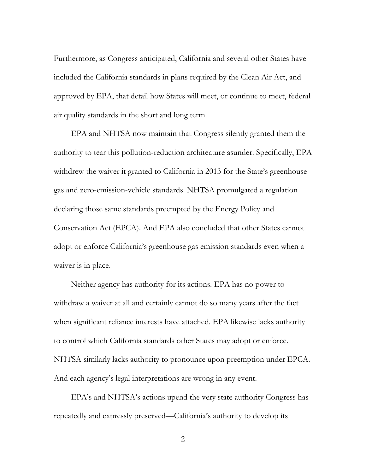Furthermore, as Congress anticipated, California and several other States have included the California standards in plans required by the Clean Air Act, and approved by EPA, that detail how States will meet, or continue to meet, federal air quality standards in the short and long term.

EPA and NHTSA now maintain that Congress silently granted them the authority to tear this pollution-reduction architecture asunder. Specifically, EPA withdrew the waiver it granted to California in 2013 for the State's greenhouse gas and zero-emission-vehicle standards. NHTSA promulgated a regulation declaring those same standards preempted by the Energy Policy and Conservation Act (EPCA). And EPA also concluded that other States cannot adopt or enforce California's greenhouse gas emission standards even when a waiver is in place.

Neither agency has authority for its actions. EPA has no power to withdraw a waiver at all and certainly cannot do so many years after the fact when significant reliance interests have attached. EPA likewise lacks authority to control which California standards other States may adopt or enforce. NHTSA similarly lacks authority to pronounce upon preemption under EPCA. And each agency's legal interpretations are wrong in any event.

EPA's and NHTSA's actions upend the very state authority Congress has repeatedly and expressly preserved—California's authority to develop its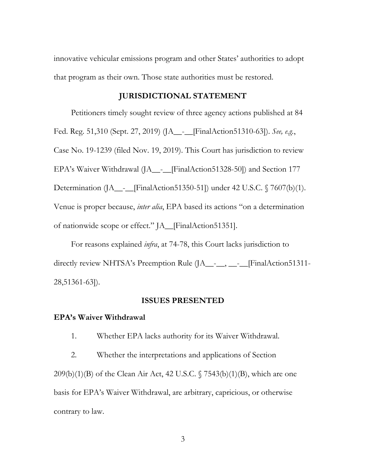innovative vehicular emissions program and other States' authorities to adopt that program as their own. Those state authorities must be restored.

#### **JURISDICTIONAL STATEMENT**

Petitioners timely sought review of three agency actions published at 84 Fed. Reg. 51,310 (Sept. 27, 2019) (JA\_\_-\_\_[FinalAction51310-63]). *See, e.g.*, Case No. 19-1239 (filed Nov. 19, 2019). This Court has jurisdiction to review EPA's Waiver Withdrawal (JA\_\_-\_\_[FinalAction51328-50]) and Section 177 Determination (JA\_\_-\_\_[FinalAction51350-51]) under 42 U.S.C. § 7607(b)(1). Venue is proper because, *inter alia*, EPA based its actions "on a determination of nationwide scope or effect." JA\_\_[FinalAction51351].

For reasons explained *infra*, at 74-78, this Court lacks jurisdiction to directly review NHTSA's Preemption Rule (JA\_\_-<sub>\_\_</sub>, \_\_-<sub>\_</sub>\_\_[FinalAction51311-28,51361-63]).

#### **ISSUES PRESENTED**

#### **EPA's Waiver Withdrawal**

1. Whether EPA lacks authority for its Waiver Withdrawal.

2. Whether the interpretations and applications of Section  $209(b)(1)(B)$  of the Clean Air Act, 42 U.S.C.  $\sqrt{7543(b)(1)(B)}$ , which are one basis for EPA's Waiver Withdrawal, are arbitrary, capricious, or otherwise contrary to law.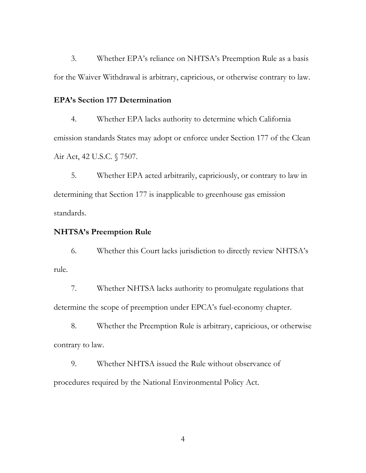3. Whether EPA's reliance on NHTSA's Preemption Rule as a basis for the Waiver Withdrawal is arbitrary, capricious, or otherwise contrary to law.

#### **EPA's Section 177 Determination**

4. Whether EPA lacks authority to determine which California emission standards States may adopt or enforce under Section 177 of the Clean Air Act, 42 U.S.C. § 7507.

5. Whether EPA acted arbitrarily, capriciously, or contrary to law in determining that Section 177 is inapplicable to greenhouse gas emission standards.

#### **NHTSA's Preemption Rule**

6. Whether this Court lacks jurisdiction to directly review NHTSA's rule.

7. Whether NHTSA lacks authority to promulgate regulations that determine the scope of preemption under EPCA's fuel-economy chapter.

8. Whether the Preemption Rule is arbitrary, capricious, or otherwise contrary to law.

9. Whether NHTSA issued the Rule without observance of procedures required by the National Environmental Policy Act.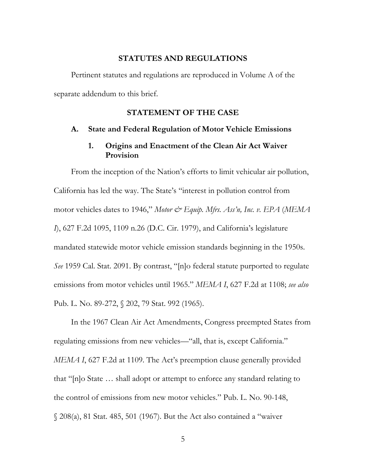#### **STATUTES AND REGULATIONS**

Pertinent statutes and regulations are reproduced in Volume A of the separate addendum to this brief.

#### **STATEMENT OF THE CASE**

#### **A. State and Federal Regulation of Motor Vehicle Emissions**

#### **1. Origins and Enactment of the Clean Air Act Waiver Provision**

From the inception of the Nation's efforts to limit vehicular air pollution, California has led the way. The State's "interest in pollution control from motor vehicles dates to 1946," *Motor & Equip. Mfrs. Ass'n, Inc. v. EPA* (MEMA *I*), 627 F.2d 1095, 1109 n.26 (D.C. Cir. 1979), and California's legislature mandated statewide motor vehicle emission standards beginning in the 1950s. *See* 1959 Cal. Stat. 2091. By contrast, "[n]o federal statute purported to regulate emissions from motor vehicles until 1965." *MEMA I*, 627 F.2d at 1108; *see also*  Pub. L. No. 89-272, § 202, 79 Stat. 992 (1965).

In the 1967 Clean Air Act Amendments, Congress preempted States from regulating emissions from new vehicles—"all, that is, except California." *MEMA I*, 627 F.2d at 1109. The Act's preemption clause generally provided that "[n]o State … shall adopt or attempt to enforce any standard relating to the control of emissions from new motor vehicles." Pub. L. No. 90-148, § 208(a), 81 Stat. 485, 501 (1967). But the Act also contained a "waiver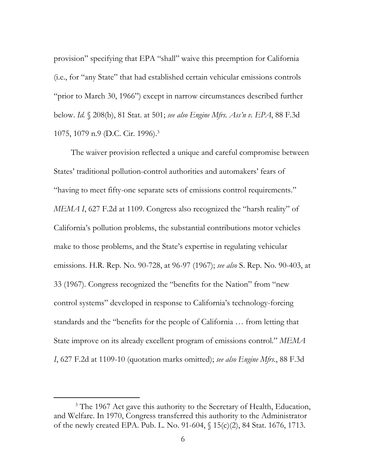provision" specifying that EPA "shall" waive this preemption for California (i.e., for "any State" that had established certain vehicular emissions controls "prior to March 30, 1966") except in narrow circumstances described further below. *Id.* § 208(b), 81 Stat. at 501; *see also Engine Mfrs. Ass'n v. EPA*, 88 F.3d 1075, 1079 n.9 (D.C. Cir. 1996).3

The waiver provision reflected a unique and careful compromise between States' traditional pollution-control authorities and automakers' fears of "having to meet fifty-one separate sets of emissions control requirements." *MEMA I*, 627 F.2d at 1109. Congress also recognized the "harsh reality" of California's pollution problems, the substantial contributions motor vehicles make to those problems, and the State's expertise in regulating vehicular emissions. H.R. Rep. No. 90-728, at 96-97 (1967); *see also* S. Rep. No. 90-403, at 33 (1967). Congress recognized the "benefits for the Nation" from "new control systems" developed in response to California's technology-forcing standards and the "benefits for the people of California … from letting that State improve on its already excellent program of emissions control." *MEMA I*, 627 F.2d at 1109-10 (quotation marks omitted); *see also Engine Mfrs.*, 88 F.3d

 <sup>3</sup> <sup>3</sup> The 1967 Act gave this authority to the Secretary of Health, Education, and Welfare. In 1970, Congress transferred this authority to the Administrator of the newly created EPA. Pub. L. No. 91-604, § 15(c)(2), 84 Stat. 1676, 1713.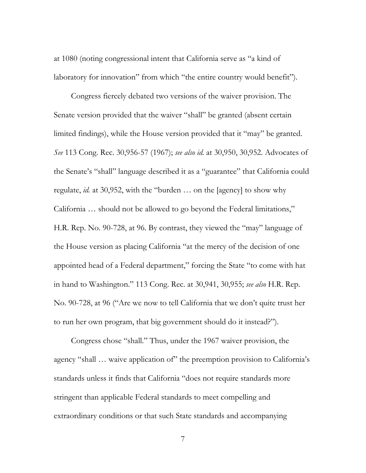at 1080 (noting congressional intent that California serve as "a kind of laboratory for innovation" from which "the entire country would benefit").

Congress fiercely debated two versions of the waiver provision. The Senate version provided that the waiver "shall" be granted (absent certain limited findings), while the House version provided that it "may" be granted. *See* 113 Cong. Rec. 30,956-57 (1967); *see also id.* at 30,950, 30,952. Advocates of the Senate's "shall" language described it as a "guarantee" that California could regulate, *id.* at 30,952, with the "burden … on the [agency] to show why California … should not be allowed to go beyond the Federal limitations," H.R. Rep. No. 90-728, at 96. By contrast, they viewed the "may" language of the House version as placing California "at the mercy of the decision of one appointed head of a Federal department," forcing the State "to come with hat in hand to Washington." 113 Cong. Rec. at 30,941, 30,955; *see also* H.R. Rep. No. 90-728, at 96 ("Are we now to tell California that we don't quite trust her to run her own program, that big government should do it instead?").

Congress chose "shall." Thus, under the 1967 waiver provision, the agency "shall ... waive application of" the preemption provision to California's standards unless it finds that California "does not require standards more stringent than applicable Federal standards to meet compelling and extraordinary conditions or that such State standards and accompanying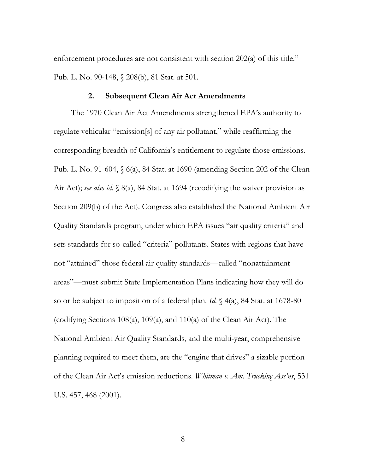enforcement procedures are not consistent with section 202(a) of this title." Pub. L. No. 90-148, § 208(b), 81 Stat. at 501.

#### **2. Subsequent Clean Air Act Amendments**

The 1970 Clean Air Act Amendments strengthened EPA's authority to regulate vehicular "emission[s] of any air pollutant," while reaffirming the corresponding breadth of California's entitlement to regulate those emissions. Pub. L. No. 91-604, § 6(a), 84 Stat. at 1690 (amending Section 202 of the Clean Air Act); *see also id.* § 8(a), 84 Stat. at 1694 (recodifying the waiver provision as Section 209(b) of the Act). Congress also established the National Ambient Air Quality Standards program, under which EPA issues "air quality criteria" and sets standards for so-called "criteria" pollutants. States with regions that have not "attained" those federal air quality standards—called "nonattainment areas"—must submit State Implementation Plans indicating how they will do so or be subject to imposition of a federal plan. *Id.* § 4(a), 84 Stat. at 1678-80 (codifying Sections 108(a), 109(a), and 110(a) of the Clean Air Act). The National Ambient Air Quality Standards, and the multi-year, comprehensive planning required to meet them, are the "engine that drives" a sizable portion of the Clean Air Act's emission reductions. *Whitman v. Am. Trucking Ass'ns*, 531 U.S. 457, 468 (2001).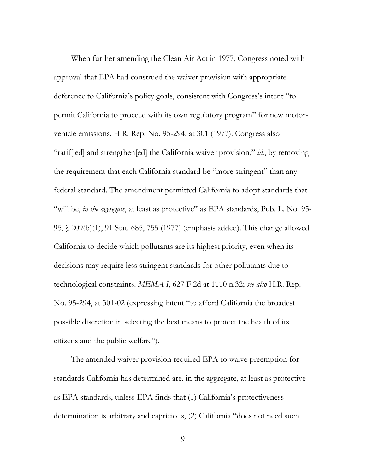When further amending the Clean Air Act in 1977, Congress noted with approval that EPA had construed the waiver provision with appropriate deference to California's policy goals, consistent with Congress's intent "to permit California to proceed with its own regulatory program" for new motorvehicle emissions. H.R. Rep. No. 95-294, at 301 (1977). Congress also "ratif[ied] and strengthen[ed] the California waiver provision," *id.*, by removing the requirement that each California standard be "more stringent" than any federal standard. The amendment permitted California to adopt standards that "will be, *in the aggregate*, at least as protective" as EPA standards, Pub. L. No. 95- 95, § 209(b)(1), 91 Stat. 685, 755 (1977) (emphasis added). This change allowed California to decide which pollutants are its highest priority, even when its decisions may require less stringent standards for other pollutants due to technological constraints. *MEMA I*, 627 F.2d at 1110 n.32; *see also* H.R. Rep. No. 95-294, at 301-02 (expressing intent "to afford California the broadest possible discretion in selecting the best means to protect the health of its citizens and the public welfare").

The amended waiver provision required EPA to waive preemption for standards California has determined are, in the aggregate, at least as protective as EPA standards, unless EPA finds that (1) California's protectiveness determination is arbitrary and capricious, (2) California "does not need such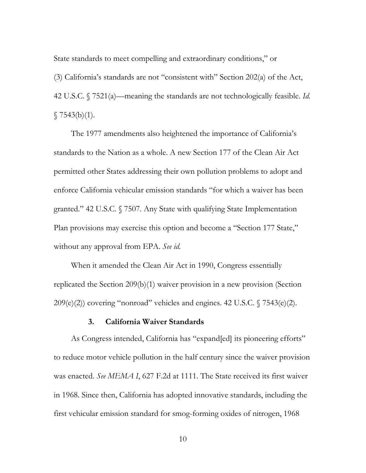State standards to meet compelling and extraordinary conditions," or

(3) California's standards are not "consistent with" Section 202(a) of the Act, 42 U.S.C. § 7521(a)—meaning the standards are not technologically feasible. *Id.*   $$7543(b)(1).$ 

The 1977 amendments also heightened the importance of California's standards to the Nation as a whole. A new Section 177 of the Clean Air Act permitted other States addressing their own pollution problems to adopt and enforce California vehicular emission standards "for which a waiver has been granted." 42 U.S.C. § 7507. Any State with qualifying State Implementation Plan provisions may exercise this option and become a "Section 177 State," without any approval from EPA. *See id.*

When it amended the Clean Air Act in 1990, Congress essentially replicated the Section 209(b)(1) waiver provision in a new provision (Section  $209(e)(2)$ ) covering "nonroad" vehicles and engines. 42 U.S.C.  $\sqrt{7543(e)(2)}$ .

## **3. California Waiver Standards**

As Congress intended, California has "expand[ed] its pioneering efforts" to reduce motor vehicle pollution in the half century since the waiver provision was enacted. *See MEMA I*, 627 F.2d at 1111. The State received its first waiver in 1968. Since then, California has adopted innovative standards, including the first vehicular emission standard for smog-forming oxides of nitrogen, 1968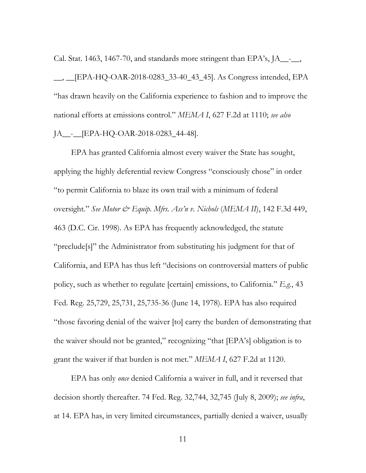Cal. Stat. 1463, 1467-70, and standards more stringent than EPA's, JA\_\_-\_\_,

\_\_, \_\_[EPA-HQ-OAR-2018-0283\_33-40\_43\_45]. As Congress intended, EPA "has drawn heavily on the California experience to fashion and to improve the national efforts at emissions control." *MEMA I*, 627 F.2d at 1110; *see also*  JA\_\_-\_\_[EPA-HQ-OAR-2018-0283\_44-48].

EPA has granted California almost every waiver the State has sought, applying the highly deferential review Congress "consciously chose" in order "to permit California to blaze its own trail with a minimum of federal oversight." *See Motor & Equip. Mfrs. Ass'n v. Nichols* (*MEMA II*), 142 F.3d 449, 463 (D.C. Cir. 1998). As EPA has frequently acknowledged, the statute "preclude[s]" the Administrator from substituting his judgment for that of California, and EPA has thus left "decisions on controversial matters of public policy, such as whether to regulate [certain] emissions, to California." *E.g.*, 43 Fed. Reg. 25,729, 25,731, 25,735-36 (June 14, 1978). EPA has also required "those favoring denial of the waiver [to] carry the burden of demonstrating that the waiver should not be granted," recognizing "that [EPA's] obligation is to grant the waiver if that burden is not met." *MEMA I*, 627 F.2d at 1120.

EPA has only *once* denied California a waiver in full, and it reversed that decision shortly thereafter. 74 Fed. Reg. 32,744, 32,745 (July 8, 2009); *see infra*, at 14. EPA has, in very limited circumstances, partially denied a waiver, usually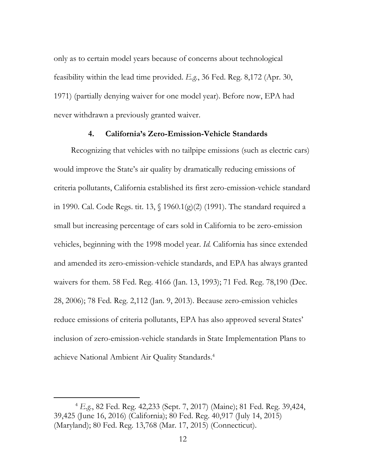only as to certain model years because of concerns about technological feasibility within the lead time provided. *E.g.*, 36 Fed. Reg. 8,172 (Apr. 30, 1971) (partially denying waiver for one model year). Before now, EPA had never withdrawn a previously granted waiver.

## **4. California's Zero-Emission-Vehicle Standards**

Recognizing that vehicles with no tailpipe emissions (such as electric cars) would improve the State's air quality by dramatically reducing emissions of criteria pollutants, California established its first zero-emission-vehicle standard in 1990. Cal. Code Regs. tit. 13,  $\{(1960.1)(g)(2)$  (1991). The standard required a small but increasing percentage of cars sold in California to be zero-emission vehicles, beginning with the 1998 model year. *Id.* California has since extended and amended its zero-emission-vehicle standards, and EPA has always granted waivers for them. 58 Fed. Reg. 4166 (Jan. 13, 1993); 71 Fed. Reg. 78,190 (Dec. 28, 2006); 78 Fed. Reg. 2,112 (Jan. 9, 2013). Because zero-emission vehicles reduce emissions of criteria pollutants, EPA has also approved several States' inclusion of zero-emission-vehicle standards in State Implementation Plans to achieve National Ambient Air Quality Standards.4

 <sup>4</sup> *E.g.*, 82 Fed. Reg. 42,233 (Sept. 7, 2017) (Maine); 81 Fed. Reg. 39,424, 39,425 (June 16, 2016) (California); 80 Fed. Reg. 40,917 (July 14, 2015) (Maryland); 80 Fed. Reg. 13,768 (Mar. 17, 2015) (Connecticut).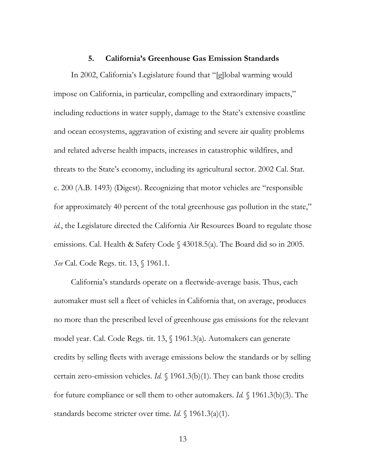#### **5. California's Greenhouse Gas Emission Standards**

In 2002, California's Legislature found that "[g]lobal warming would impose on California, in particular, compelling and extraordinary impacts," including reductions in water supply, damage to the State's extensive coastline and ocean ecosystems, aggravation of existing and severe air quality problems and related adverse health impacts, increases in catastrophic wildfires, and threats to the State's economy, including its agricultural sector. 2002 Cal. Stat. c. 200 (A.B. 1493) (Digest). Recognizing that motor vehicles are "responsible for approximately 40 percent of the total greenhouse gas pollution in the state," *id.*, the Legislature directed the California Air Resources Board to regulate those emissions. Cal. Health & Safety Code § 43018.5(a). The Board did so in 2005. *See* Cal. Code Regs. tit. 13, § 1961.1.

California's standards operate on a fleetwide-average basis. Thus, each automaker must sell a fleet of vehicles in California that, on average, produces no more than the prescribed level of greenhouse gas emissions for the relevant model year. Cal. Code Regs. tit. 13, § 1961.3(a)*.* Automakers can generate credits by selling fleets with average emissions below the standards or by selling certain zero-emission vehicles. *Id.* § 1961.3(b)(1). They can bank those credits for future compliance or sell them to other automakers. *Id.* § 1961.3(b)(3). The standards become stricter over time. *Id*. § 1961.3(a)(1).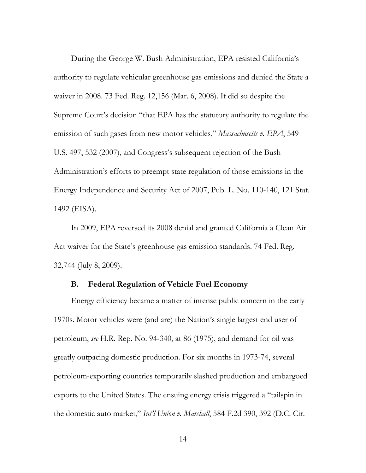During the George W. Bush Administration, EPA resisted California's authority to regulate vehicular greenhouse gas emissions and denied the State a waiver in 2008. 73 Fed. Reg. 12,156 (Mar. 6, 2008). It did so despite the Supreme Court's decision "that EPA has the statutory authority to regulate the emission of such gases from new motor vehicles," *Massachusetts v. EPA*, 549 U.S. 497, 532 (2007), and Congress's subsequent rejection of the Bush Administration's efforts to preempt state regulation of those emissions in the Energy Independence and Security Act of 2007, Pub. L. No. 110-140, 121 Stat. 1492 (EISA).

In 2009, EPA reversed its 2008 denial and granted California a Clean Air Act waiver for the State's greenhouse gas emission standards. 74 Fed. Reg. 32,744 (July 8, 2009).

## **B. Federal Regulation of Vehicle Fuel Economy**

Energy efficiency became a matter of intense public concern in the early 1970s. Motor vehicles were (and are) the Nation's single largest end user of petroleum, *see* H.R. Rep. No. 94-340, at 86 (1975), and demand for oil was greatly outpacing domestic production. For six months in 1973-74, several petroleum-exporting countries temporarily slashed production and embargoed exports to the United States. The ensuing energy crisis triggered a "tailspin in the domestic auto market," *Int'l Union v. Marshall*, 584 F.2d 390, 392 (D.C. Cir.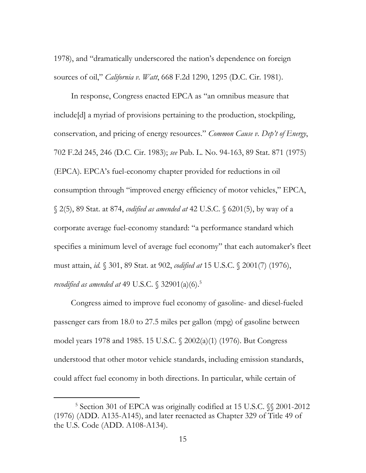1978), and "dramatically underscored the nation's dependence on foreign sources of oil," *California v. Watt*, 668 F.2d 1290, 1295 (D.C. Cir. 1981).

In response, Congress enacted EPCA as "an omnibus measure that include[d] a myriad of provisions pertaining to the production, stockpiling, conservation, and pricing of energy resources." *Common Cause v. Dep't of Energy*, 702 F.2d 245, 246 (D.C. Cir. 1983); *see* Pub. L. No. 94-163, 89 Stat. 871 (1975) (EPCA). EPCA's fuel-economy chapter provided for reductions in oil consumption through "improved energy efficiency of motor vehicles," EPCA, § 2(5), 89 Stat. at 874, *codified as amended at* 42 U.S.C. § 6201(5), by way of a corporate average fuel-economy standard: "a performance standard which specifies a minimum level of average fuel economy" that each automaker's fleet must attain, *id.* § 301, 89 Stat. at 902, *codified at* 15 U.S.C. § 2001(7) (1976), *recodified as amended at* 49 U.S.C. § 32901(a)(6).5

Congress aimed to improve fuel economy of gasoline- and diesel-fueled passenger cars from 18.0 to 27.5 miles per gallon (mpg) of gasoline between model years 1978 and 1985. 15 U.S.C. § 2002(a)(1) (1976). But Congress understood that other motor vehicle standards, including emission standards, could affect fuel economy in both directions. In particular, while certain of

 $\overline{\phantom{a}}$ <sup>5</sup> Section 301 of EPCA was originally codified at 15 U.S.C.  $\%$  2001-2012 (1976) (ADD. A135-A145), and later reenacted as Chapter 329 of Title 49 of the U.S. Code (ADD. A108-A134).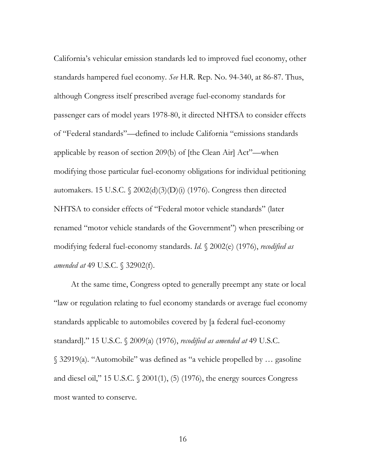California's vehicular emission standards led to improved fuel economy, other standards hampered fuel economy. *See* H.R. Rep. No. 94-340, at 86-87. Thus, although Congress itself prescribed average fuel-economy standards for passenger cars of model years 1978-80, it directed NHTSA to consider effects of "Federal standards"—defined to include California "emissions standards applicable by reason of section 209(b) of [the Clean Air] Act"—when modifying those particular fuel-economy obligations for individual petitioning automakers. 15 U.S.C.  $\frac{2002(d)(3)(D)(i)}{1976}$ . Congress then directed NHTSA to consider effects of "Federal motor vehicle standards" (later renamed "motor vehicle standards of the Government") when prescribing or modifying federal fuel-economy standards. *Id.* § 2002(e) (1976), *recodified as amended at* 49 U.S.C. § 32902(f).

At the same time, Congress opted to generally preempt any state or local "law or regulation relating to fuel economy standards or average fuel economy standards applicable to automobiles covered by [a federal fuel-economy standard]." 15 U.S.C. § 2009(a) (1976), *recodified as amended at* 49 U.S.C. § 32919(a). "Automobile" was defined as "a vehicle propelled by … gasoline and diesel oil," 15 U.S.C. § 2001(1), (5) (1976), the energy sources Congress most wanted to conserve.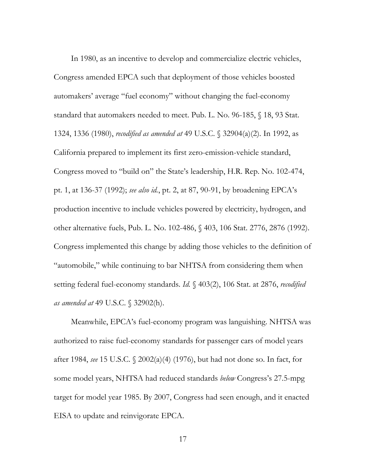In 1980, as an incentive to develop and commercialize electric vehicles, Congress amended EPCA such that deployment of those vehicles boosted automakers' average "fuel economy" without changing the fuel-economy standard that automakers needed to meet. Pub. L. No. 96-185, § 18, 93 Stat. 1324, 1336 (1980), *recodified as amended at* 49 U.S.C. § 32904(a)(2). In 1992, as California prepared to implement its first zero-emission-vehicle standard, Congress moved to "build on" the State's leadership, H.R. Rep. No. 102-474, pt. 1, at 136-37 (1992); *see also id.*, pt. 2, at 87, 90-91, by broadening EPCA's production incentive to include vehicles powered by electricity, hydrogen, and other alternative fuels, Pub. L. No. 102-486, § 403, 106 Stat. 2776, 2876 (1992). Congress implemented this change by adding those vehicles to the definition of "automobile," while continuing to bar NHTSA from considering them when setting federal fuel-economy standards. *Id.* § 403(2), 106 Stat. at 2876, *recodified as amended at* 49 U.S.C. § 32902(h).

Meanwhile, EPCA's fuel-economy program was languishing. NHTSA was authorized to raise fuel-economy standards for passenger cars of model years after 1984, *see* 15 U.S.C. § 2002(a)(4) (1976), but had not done so. In fact, for some model years, NHTSA had reduced standards *below* Congress's 27.5-mpg target for model year 1985. By 2007, Congress had seen enough, and it enacted EISA to update and reinvigorate EPCA.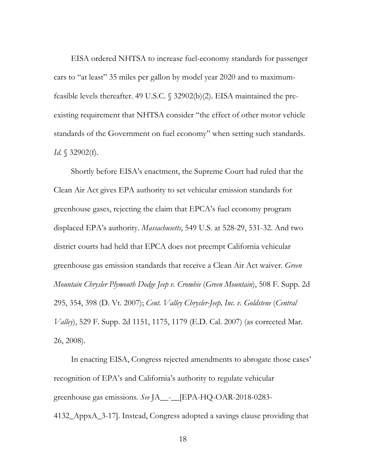EISA ordered NHTSA to increase fuel-economy standards for passenger cars to "at least" 35 miles per gallon by model year 2020 and to maximumfeasible levels thereafter. 49 U.S.C. § 32902(b)(2). EISA maintained the preexisting requirement that NHTSA consider "the effect of other motor vehicle standards of the Government on fuel economy" when setting such standards. *Id.* § 32902(f).

Shortly before EISA's enactment, the Supreme Court had ruled that the Clean Air Act gives EPA authority to set vehicular emission standards for greenhouse gases, rejecting the claim that EPCA's fuel economy program displaced EPA's authority. *Massachusetts*, 549 U.S. at 528-29, 531-32. And two district courts had held that EPCA does not preempt California vehicular greenhouse gas emission standards that receive a Clean Air Act waiver. *Green Mountain Chrysler Plymouth Dodge Jeep v. Crombie* (*Green Mountain*), 508 F. Supp. 2d 295, 354, 398 (D. Vt. 2007); *Cent. Valley Chrysler-Jeep, Inc. v. Goldstene* (*Central Valley*), 529 F. Supp. 2d 1151, 1175, 1179 (E.D. Cal. 2007) (as corrected Mar. 26, 2008).

In enacting EISA, Congress rejected amendments to abrogate those cases' recognition of EPA's and California's authority to regulate vehicular greenhouse gas emissions. *See* JA\_\_-\_\_[EPA-HQ-OAR-2018-0283- 4132\_AppxA\_3-17]. Instead, Congress adopted a savings clause providing that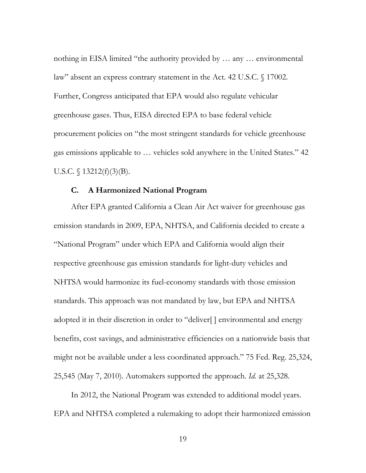nothing in EISA limited "the authority provided by … any … environmental law" absent an express contrary statement in the Act. 42 U.S.C. § 17002. Further, Congress anticipated that EPA would also regulate vehicular greenhouse gases. Thus, EISA directed EPA to base federal vehicle procurement policies on "the most stringent standards for vehicle greenhouse gas emissions applicable to … vehicles sold anywhere in the United States." 42 U.S.C.  $\{(13212(f)(3)(B)).\}$ 

#### **C. A Harmonized National Program**

After EPA granted California a Clean Air Act waiver for greenhouse gas emission standards in 2009, EPA, NHTSA, and California decided to create a "National Program" under which EPA and California would align their respective greenhouse gas emission standards for light-duty vehicles and NHTSA would harmonize its fuel-economy standards with those emission standards. This approach was not mandated by law, but EPA and NHTSA adopted it in their discretion in order to "deliver[ ] environmental and energy benefits, cost savings, and administrative efficiencies on a nationwide basis that might not be available under a less coordinated approach." 75 Fed. Reg. 25,324, 25,545 (May 7, 2010). Automakers supported the approach. *Id.* at 25,328.

In 2012, the National Program was extended to additional model years. EPA and NHTSA completed a rulemaking to adopt their harmonized emission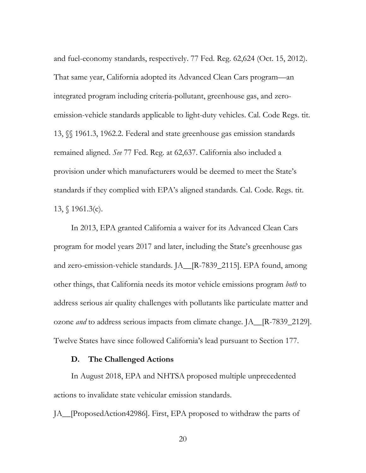and fuel-economy standards, respectively. 77 Fed. Reg. 62,624 (Oct. 15, 2012). That same year, California adopted its Advanced Clean Cars program—an integrated program including criteria-pollutant, greenhouse gas, and zeroemission-vehicle standards applicable to light-duty vehicles. Cal. Code Regs. tit. 13, §§ 1961.3, 1962.2. Federal and state greenhouse gas emission standards remained aligned. *See* 77 Fed. Reg. at 62,637. California also included a provision under which manufacturers would be deemed to meet the State's standards if they complied with EPA's aligned standards. Cal. Code. Regs. tit. 13, § 1961.3(c).

In 2013, EPA granted California a waiver for its Advanced Clean Cars program for model years 2017 and later, including the State's greenhouse gas and zero-emission-vehicle standards. JA\_\_[R-7839\_2115]. EPA found, among other things, that California needs its motor vehicle emissions program *both* to address serious air quality challenges with pollutants like particulate matter and ozone *and* to address serious impacts from climate change. JA\_\_[R-7839\_2129]. Twelve States have since followed California's lead pursuant to Section 177.

## **D. The Challenged Actions**

In August 2018, EPA and NHTSA proposed multiple unprecedented actions to invalidate state vehicular emission standards.

JA\_\_[ProposedAction42986]. First, EPA proposed to withdraw the parts of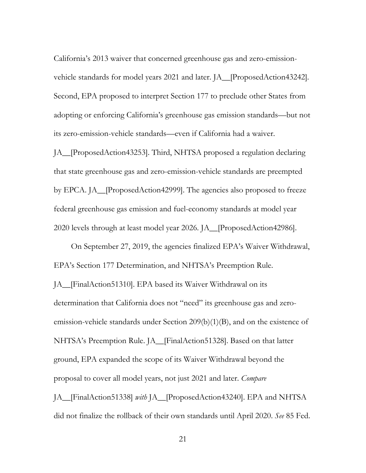California's 2013 waiver that concerned greenhouse gas and zero-emissionvehicle standards for model years 2021 and later. JA\_\_[ProposedAction43242]*.* Second, EPA proposed to interpret Section 177 to preclude other States from adopting or enforcing California's greenhouse gas emission standards—but not its zero-emission-vehicle standards—even if California had a waiver.

JA\_\_[ProposedAction43253]. Third, NHTSA proposed a regulation declaring that state greenhouse gas and zero-emission-vehicle standards are preempted by EPCA. JA\_\_[ProposedAction42999]. The agencies also proposed to freeze federal greenhouse gas emission and fuel-economy standards at model year 2020 levels through at least model year 2026. JA\_\_[ProposedAction42986].

On September 27, 2019, the agencies finalized EPA's Waiver Withdrawal, EPA's Section 177 Determination, and NHTSA's Preemption Rule.

JA\_\_[FinalAction51310]. EPA based its Waiver Withdrawal on its determination that California does not "need" its greenhouse gas and zeroemission-vehicle standards under Section 209(b)(1)(B), and on the existence of NHTSA's Preemption Rule. JA\_\_[FinalAction51328]. Based on that latter ground, EPA expanded the scope of its Waiver Withdrawal beyond the proposal to cover all model years, not just 2021 and later. *Compare* JA\_\_[FinalAction51338] *with* JA\_\_[ProposedAction43240]. EPA and NHTSA

did not finalize the rollback of their own standards until April 2020. *See* 85 Fed.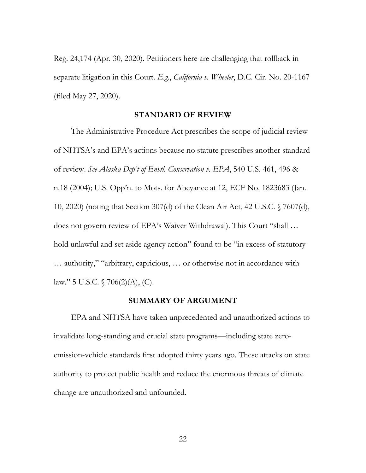Reg. 24,174 (Apr. 30, 2020). Petitioners here are challenging that rollback in separate litigation in this Court. *E.g.*, *California v. Wheeler*, D.C. Cir. No. 20-1167 (filed May 27, 2020).

#### **STANDARD OF REVIEW**

The Administrative Procedure Act prescribes the scope of judicial review of NHTSA's and EPA's actions because no statute prescribes another standard of review. *See Alaska Dep't of Envtl. Conservation v. EPA*, 540 U.S. 461, 496 & n.18 (2004); U.S. Opp'n. to Mots. for Abeyance at 12, ECF No. 1823683 (Jan. 10, 2020) (noting that Section 307(d) of the Clean Air Act, 42 U.S.C. § 7607(d), does not govern review of EPA's Waiver Withdrawal). This Court "shall … hold unlawful and set aside agency action" found to be "in excess of statutory … authority," "arbitrary, capricious, … or otherwise not in accordance with law." 5 U.S.C.  $\sqrt{706(2)}$ (A), (C).

## **SUMMARY OF ARGUMENT**

EPA and NHTSA have taken unprecedented and unauthorized actions to invalidate long-standing and crucial state programs—including state zeroemission-vehicle standards first adopted thirty years ago. These attacks on state authority to protect public health and reduce the enormous threats of climate change are unauthorized and unfounded.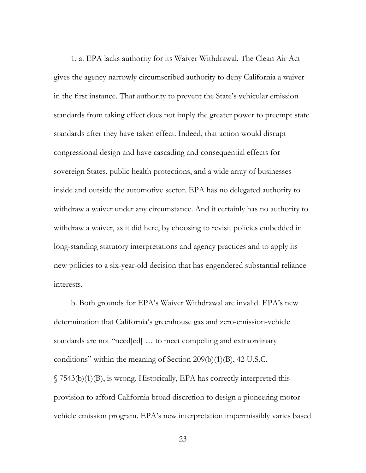1. a. EPA lacks authority for its Waiver Withdrawal. The Clean Air Act gives the agency narrowly circumscribed authority to deny California a waiver in the first instance. That authority to prevent the State's vehicular emission standards from taking effect does not imply the greater power to preempt state standards after they have taken effect. Indeed, that action would disrupt congressional design and have cascading and consequential effects for sovereign States, public health protections, and a wide array of businesses inside and outside the automotive sector. EPA has no delegated authority to withdraw a waiver under any circumstance. And it certainly has no authority to withdraw a waiver, as it did here, by choosing to revisit policies embedded in long-standing statutory interpretations and agency practices and to apply its new policies to a six-year-old decision that has engendered substantial reliance interests.

b. Both grounds for EPA's Waiver Withdrawal are invalid. EPA's new determination that California's greenhouse gas and zero-emission-vehicle standards are not "need[ed] … to meet compelling and extraordinary conditions" within the meaning of Section 209(b)(1)(B), 42 U.S.C. § 7543(b)(1)(B), is wrong. Historically, EPA has correctly interpreted this provision to afford California broad discretion to design a pioneering motor vehicle emission program. EPA's new interpretation impermissibly varies based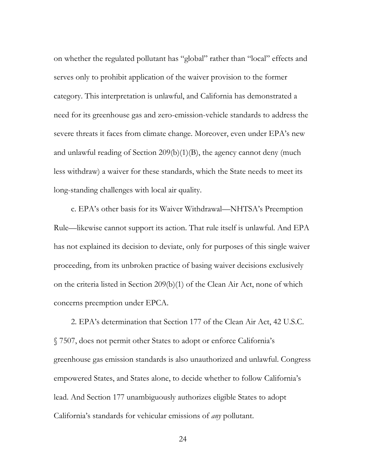on whether the regulated pollutant has "global" rather than "local" effects and serves only to prohibit application of the waiver provision to the former category. This interpretation is unlawful, and California has demonstrated a need for its greenhouse gas and zero-emission-vehicle standards to address the severe threats it faces from climate change. Moreover, even under EPA's new and unlawful reading of Section 209(b)(1)(B), the agency cannot deny (much less withdraw) a waiver for these standards, which the State needs to meet its long-standing challenges with local air quality.

c. EPA's other basis for its Waiver Withdrawal—NHTSA's Preemption Rule—likewise cannot support its action. That rule itself is unlawful. And EPA has not explained its decision to deviate, only for purposes of this single waiver proceeding, from its unbroken practice of basing waiver decisions exclusively on the criteria listed in Section 209(b)(1) of the Clean Air Act, none of which concerns preemption under EPCA.

2. EPA's determination that Section 177 of the Clean Air Act, 42 U.S.C. § 7507, does not permit other States to adopt or enforce California's greenhouse gas emission standards is also unauthorized and unlawful. Congress empowered States, and States alone, to decide whether to follow California's lead. And Section 177 unambiguously authorizes eligible States to adopt California's standards for vehicular emissions of *any* pollutant.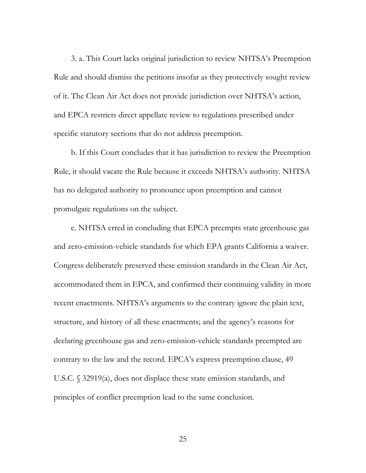3. a. This Court lacks original jurisdiction to review NHTSA's Preemption Rule and should dismiss the petitions insofar as they protectively sought review of it. The Clean Air Act does not provide jurisdiction over NHTSA's action, and EPCA restricts direct appellate review to regulations prescribed under specific statutory sections that do not address preemption.

b. If this Court concludes that it has jurisdiction to review the Preemption Rule, it should vacate the Rule because it exceeds NHTSA's authority. NHTSA has no delegated authority to pronounce upon preemption and cannot promulgate regulations on the subject.

c. NHTSA erred in concluding that EPCA preempts state greenhouse gas and zero-emission-vehicle standards for which EPA grants California a waiver. Congress deliberately preserved these emission standards in the Clean Air Act, accommodated them in EPCA, and confirmed their continuing validity in more recent enactments. NHTSA's arguments to the contrary ignore the plain text, structure, and history of all these enactments; and the agency's reasons for declaring greenhouse gas and zero-emission-vehicle standards preempted are contrary to the law and the record. EPCA's express preemption clause, 49 U.S.C. § 32919(a), does not displace these state emission standards, and principles of conflict preemption lead to the same conclusion.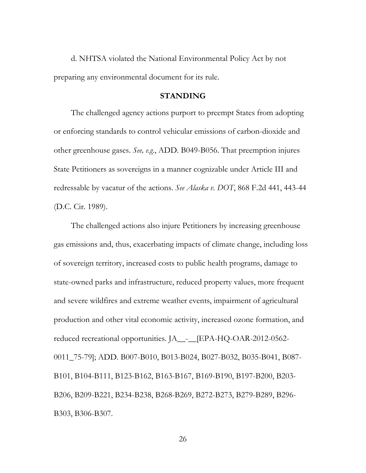d. NHTSA violated the National Environmental Policy Act by not preparing any environmental document for its rule.

#### **STANDING**

The challenged agency actions purport to preempt States from adopting or enforcing standards to control vehicular emissions of carbon-dioxide and other greenhouse gases. *See, e.g*., ADD. B049-B056. That preemption injures State Petitioners as sovereigns in a manner cognizable under Article III and redressable by vacatur of the actions. *See Alaska v. DOT*, 868 F.2d 441, 443-44 (D.C. Cir. 1989).

The challenged actions also injure Petitioners by increasing greenhouse gas emissions and, thus, exacerbating impacts of climate change, including loss of sovereign territory, increased costs to public health programs, damage to state-owned parks and infrastructure, reduced property values, more frequent and severe wildfires and extreme weather events, impairment of agricultural production and other vital economic activity, increased ozone formation, and reduced recreational opportunities. JA\_\_-\_\_[EPA-HQ-OAR-2012-0562- 0011\_75-79]; ADD. B007-B010, B013-B024, B027-B032, B035-B041, B087- B101, B104-B111, B123-B162, B163-B167, B169-B190, B197-B200, B203- B206, B209-B221, B234-B238, B268-B269, B272-B273, B279-B289, B296- B303, B306-B307.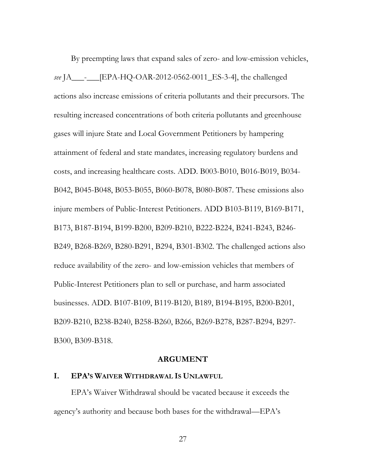By preempting laws that expand sales of zero- and low-emission vehicles, *see* JA\_\_\_-\_\_\_[EPA-HQ-OAR-2012-0562-0011\_ES-3-4], the challenged actions also increase emissions of criteria pollutants and their precursors. The resulting increased concentrations of both criteria pollutants and greenhouse gases will injure State and Local Government Petitioners by hampering attainment of federal and state mandates, increasing regulatory burdens and costs, and increasing healthcare costs. ADD. B003-B010, B016-B019, B034- B042, B045-B048, B053-B055, B060-B078, B080-B087. These emissions also injure members of Public-Interest Petitioners. ADD B103-B119, B169-B171, B173, B187-B194, B199-B200, B209-B210, B222-B224, B241-B243, B246- B249, B268-B269, B280-B291, B294, B301-B302. The challenged actions also reduce availability of the zero- and low-emission vehicles that members of Public-Interest Petitioners plan to sell or purchase, and harm associated businesses. ADD. B107-B109, B119-B120, B189, B194-B195, B200-B201, B209-B210, B238-B240, B258-B260, B266, B269-B278, B287-B294, B297- B300, B309-B318.

#### **ARGUMENT**

## **I. EPA'S WAIVER WITHDRAWAL IS UNLAWFUL**

EPA's Waiver Withdrawal should be vacated because it exceeds the agency's authority and because both bases for the withdrawal—EPA's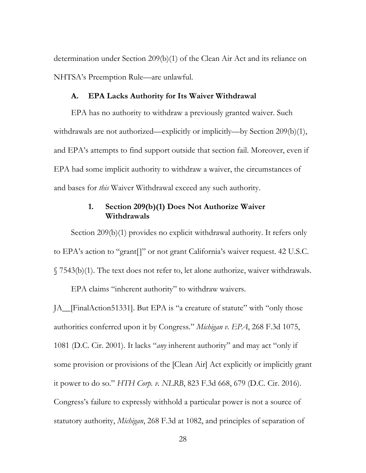determination under Section 209(b)(1) of the Clean Air Act and its reliance on NHTSA's Preemption Rule—are unlawful.

#### **A. EPA Lacks Authority for Its Waiver Withdrawal**

EPA has no authority to withdraw a previously granted waiver. Such withdrawals are not authorized—explicitly or implicitly—by Section 209(b)(1), and EPA's attempts to find support outside that section fail. Moreover, even if EPA had some implicit authority to withdraw a waiver, the circumstances of and bases for *this* Waiver Withdrawal exceed any such authority.

# **1. Section 209(b)(1) Does Not Authorize Waiver Withdrawals**

Section 209(b)(1) provides no explicit withdrawal authority. It refers only to EPA's action to "grant[]" or not grant California's waiver request. 42 U.S.C. § 7543(b)(1). The text does not refer to, let alone authorize, waiver withdrawals.

EPA claims "inherent authority" to withdraw waivers.

JA\_\_[FinalAction51331]. But EPA is "a creature of statute" with "only those authorities conferred upon it by Congress." *Michigan v. EPA*, 268 F.3d 1075, 1081 (D.C. Cir. 2001). It lacks "*any* inherent authority" and may act "only if some provision or provisions of the [Clean Air] Act explicitly or implicitly grant it power to do so." *HTH Corp. v. NLRB*, 823 F.3d 668, 679 (D.C. Cir. 2016). Congress's failure to expressly withhold a particular power is not a source of statutory authority, *Michigan*, 268 F.3d at 1082, and principles of separation of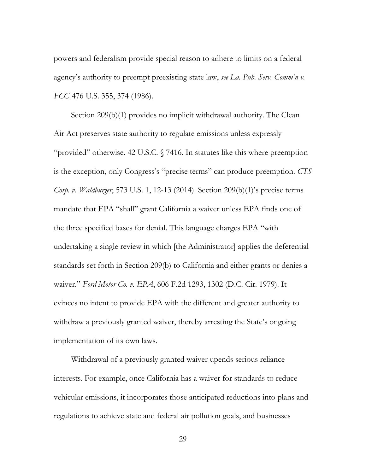powers and federalism provide special reason to adhere to limits on a federal agency's authority to preempt preexisting state law, *see La. Pub. Serv. Comm'n v. FCC*¸476 U.S. 355, 374 (1986).

Section 209(b)(1) provides no implicit withdrawal authority. The Clean Air Act preserves state authority to regulate emissions unless expressly "provided" otherwise. 42 U.S.C*.* § 7416. In statutes like this where preemption is the exception, only Congress's "precise terms" can produce preemption. *CTS Corp. v. Waldburger*, 573 U.S. 1, 12-13 (2014). Section 209(b)(1)'s precise terms mandate that EPA "shall" grant California a waiver unless EPA finds one of the three specified bases for denial. This language charges EPA "with undertaking a single review in which [the Administrator] applies the deferential standards set forth in Section 209(b) to California and either grants or denies a waiver." *Ford Motor Co. v. EPA*, 606 F.2d 1293, 1302 (D.C. Cir. 1979). It evinces no intent to provide EPA with the different and greater authority to withdraw a previously granted waiver, thereby arresting the State's ongoing implementation of its own laws.

Withdrawal of a previously granted waiver upends serious reliance interests. For example, once California has a waiver for standards to reduce vehicular emissions, it incorporates those anticipated reductions into plans and regulations to achieve state and federal air pollution goals, and businesses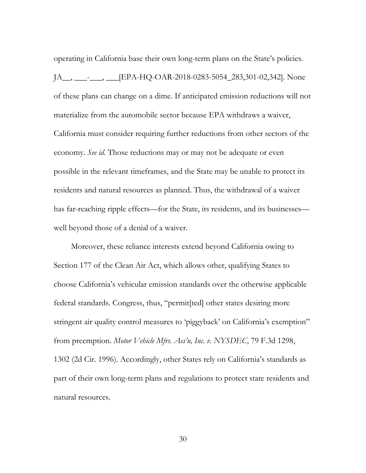operating in California base their own long-term plans on the State's policies. JA\_\_, \_\_\_-\_\_\_, \_\_\_[EPA-HQ-OAR-2018-0283-5054\_283,301-02,342]. None of these plans can change on a dime. If anticipated emission reductions will not materialize from the automobile sector because EPA withdraws a waiver, California must consider requiring further reductions from other sectors of the economy. *See id.* Those reductions may or may not be adequate or even possible in the relevant timeframes, and the State may be unable to protect its residents and natural resources as planned. Thus, the withdrawal of a waiver has far-reaching ripple effects—for the State, its residents, and its businesses well beyond those of a denial of a waiver.

Moreover, these reliance interests extend beyond California owing to Section 177 of the Clean Air Act, which allows other, qualifying States to choose California's vehicular emission standards over the otherwise applicable federal standards. Congress, thus, "permit[ted] other states desiring more stringent air quality control measures to 'piggyback' on California's exemption" from preemption. *Motor Vehicle Mfrs. Ass'n, Inc. v. NYSDEC*, 79 F.3d 1298, 1302 (2d Cir. 1996). Accordingly, other States rely on California's standards as part of their own long-term plans and regulations to protect state residents and natural resources.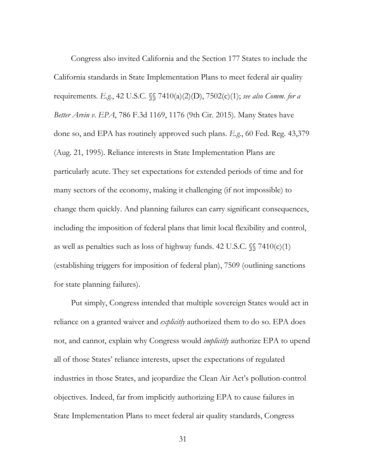Congress also invited California and the Section 177 States to include the California standards in State Implementation Plans to meet federal air quality requirements. *E.g.*, 42 U.S.C. §§ 7410(a)(2)(D), 7502(c)(1); *see also Comm. for a Better Arvin v. EPA*, 786 F.3d 1169, 1176 (9th Cir. 2015). Many States have done so, and EPA has routinely approved such plans. *E.g.*, 60 Fed. Reg. 43,379 (Aug. 21, 1995). Reliance interests in State Implementation Plans are particularly acute. They set expectations for extended periods of time and for many sectors of the economy, making it challenging (if not impossible) to change them quickly. And planning failures can carry significant consequences, including the imposition of federal plans that limit local flexibility and control, as well as penalties such as loss of highway funds. 42 U.S.C.  $\sqrt{\}$  7410(c)(1) (establishing triggers for imposition of federal plan), 7509 (outlining sanctions for state planning failures).

Put simply, Congress intended that multiple sovereign States would act in reliance on a granted waiver and *explicitly* authorized them to do so. EPA does not, and cannot, explain why Congress would *implicitly* authorize EPA to upend all of those States' reliance interests, upset the expectations of regulated industries in those States, and jeopardize the Clean Air Act's pollution-control objectives. Indeed, far from implicitly authorizing EPA to cause failures in State Implementation Plans to meet federal air quality standards, Congress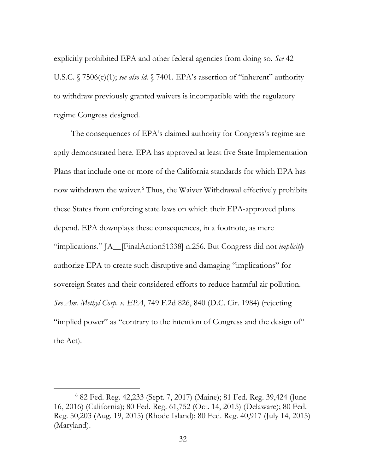explicitly prohibited EPA and other federal agencies from doing so. *See* 42 U.S.C. § 7506(c)(1); *see also id.* § 7401. EPA's assertion of "inherent" authority to withdraw previously granted waivers is incompatible with the regulatory regime Congress designed.

The consequences of EPA's claimed authority for Congress's regime are aptly demonstrated here. EPA has approved at least five State Implementation Plans that include one or more of the California standards for which EPA has now withdrawn the waiver.6 Thus, the Waiver Withdrawal effectively prohibits these States from enforcing state laws on which their EPA-approved plans depend. EPA downplays these consequences, in a footnote, as mere "implications." JA\_\_[FinalAction51338] n.256. But Congress did not *implicitly*  authorize EPA to create such disruptive and damaging "implications" for sovereign States and their considered efforts to reduce harmful air pollution. *See Am. Methyl Corp. v. EPA*, 749 F.2d 826, 840 (D.C. Cir. 1984) (rejecting "implied power" as "contrary to the intention of Congress and the design of" the Act).

 <sup>6</sup> 82 Fed. Reg. 42,233 (Sept. 7, 2017) (Maine); 81 Fed. Reg. 39,424 (June 16, 2016) (California); 80 Fed. Reg. 61,752 (Oct. 14, 2015) (Delaware); 80 Fed. Reg. 50,203 (Aug. 19, 2015) (Rhode Island); 80 Fed. Reg. 40,917 (July 14, 2015) (Maryland).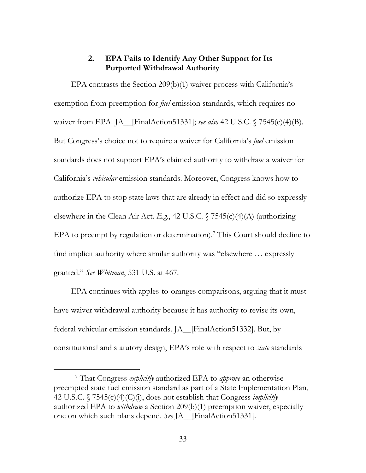## **2. EPA Fails to Identify Any Other Support for Its Purported Withdrawal Authority**

EPA contrasts the Section 209(b)(1) waiver process with California's exemption from preemption for *fuel* emission standards, which requires no waiver from EPA. JA\_\_[FinalAction51331]; *see also* 42 U.S.C. § 7545(c)(4)(B). But Congress's choice not to require a waiver for California's *fuel* emission standards does not support EPA's claimed authority to withdraw a waiver for California's *vehicular* emission standards. Moreover, Congress knows how to authorize EPA to stop state laws that are already in effect and did so expressly elsewhere in the Clean Air Act. *E.g.*, 42 U.S.C. § 7545(c)(4)(A) (authorizing EPA to preempt by regulation or determination).<sup>7</sup> This Court should decline to find implicit authority where similar authority was "elsewhere … expressly granted." *See Whitman*, 531 U.S. at 467.

EPA continues with apples-to-oranges comparisons, arguing that it must have waiver withdrawal authority because it has authority to revise its own, federal vehicular emission standards. JA\_\_[FinalAction51332]. But, by constitutional and statutory design, EPA's role with respect to *state* standards

 <sup>7</sup> That Congress *explicitly* authorized EPA to *approve* an otherwise preempted state fuel emission standard as part of a State Implementation Plan, 42 U.S.C. § 7545(c)(4)(C)(i), does not establish that Congress *implicitly*  authorized EPA to *withdraw* a Section 209(b)(1) preemption waiver, especially one on which such plans depend. *See* JA\_\_[FinalAction51331].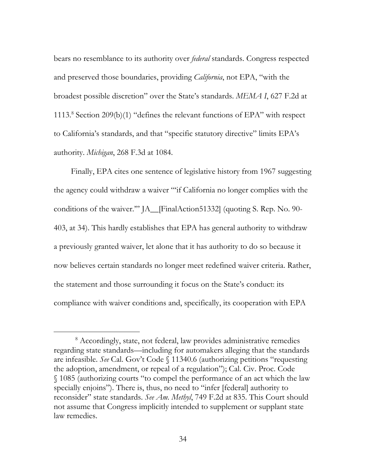bears no resemblance to its authority over *federal* standards. Congress respected and preserved those boundaries, providing *California*, not EPA, "with the broadest possible discretion" over the State's standards. *MEMA I*, 627 F.2d at 1113.8 Section 209(b)(1) "defines the relevant functions of EPA" with respect to California's standards, and that "specific statutory directive" limits EPA's authority. *Michigan*, 268 F.3d at 1084.

Finally, EPA cites one sentence of legislative history from 1967 suggesting the agency could withdraw a waiver "'if California no longer complies with the conditions of the waiver.'" JA\_\_[FinalAction51332] (quoting S. Rep. No. 90- 403, at 34). This hardly establishes that EPA has general authority to withdraw a previously granted waiver, let alone that it has authority to do so because it now believes certain standards no longer meet redefined waiver criteria. Rather, the statement and those surrounding it focus on the State's conduct: its compliance with waiver conditions and, specifically, its cooperation with EPA

 <sup>8</sup> Accordingly, state, not federal, law provides administrative remedies regarding state standards—including for automakers alleging that the standards are infeasible. *See* Cal. Gov't Code § 11340.6 (authorizing petitions "requesting the adoption, amendment, or repeal of a regulation"); Cal. Civ. Proc. Code § 1085 (authorizing courts "to compel the performance of an act which the law specially enjoins"). There is, thus, no need to "infer [federal] authority to reconsider" state standards. *See Am. Methyl*, 749 F.2d at 835. This Court should not assume that Congress implicitly intended to supplement or supplant state law remedies.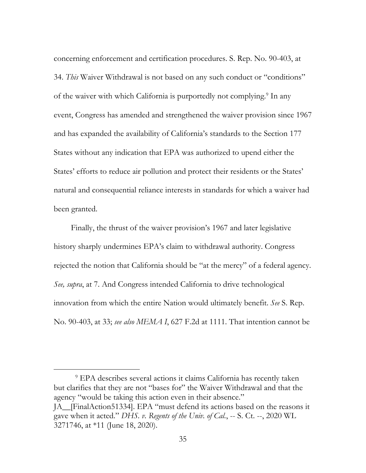concerning enforcement and certification procedures. S. Rep. No. 90-403, at 34. *This* Waiver Withdrawal is not based on any such conduct or "conditions" of the waiver with which California is purportedly not complying.<sup>9</sup> In any event, Congress has amended and strengthened the waiver provision since 1967 and has expanded the availability of California's standards to the Section 177 States without any indication that EPA was authorized to upend either the States' efforts to reduce air pollution and protect their residents or the States' natural and consequential reliance interests in standards for which a waiver had been granted.

Finally, the thrust of the waiver provision's 1967 and later legislative history sharply undermines EPA's claim to withdrawal authority. Congress rejected the notion that California should be "at the mercy" of a federal agency. *See, supra*, at 7. And Congress intended California to drive technological innovation from which the entire Nation would ultimately benefit. *See* S. Rep. No. 90-403, at 33; *see also MEMA I*, 627 F.2d at 1111. That intention cannot be

 9 EPA describes several actions it claims California has recently taken but clarifies that they are not "bases for" the Waiver Withdrawal and that the agency "would be taking this action even in their absence." JA\_\_[FinalAction51334]. EPA "must defend its actions based on the reasons it gave when it acted." *DHS. v. Regents of the Univ. of Cal.*, -- S. Ct. --, 2020 WL 3271746, at \*11 (June 18, 2020).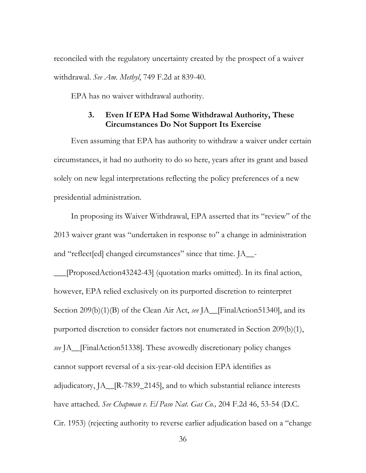reconciled with the regulatory uncertainty created by the prospect of a waiver withdrawal. *See Am. Methyl*, 749 F.2d at 839-40.

EPA has no waiver withdrawal authority.

## **3. Even If EPA Had Some Withdrawal Authority, These Circumstances Do Not Support Its Exercise**

Even assuming that EPA has authority to withdraw a waiver under certain circumstances, it had no authority to do so here, years after its grant and based solely on new legal interpretations reflecting the policy preferences of a new presidential administration.

In proposing its Waiver Withdrawal, EPA asserted that its "review" of the 2013 waiver grant was "undertaken in response to" a change in administration and "reflect[ed] changed circumstances" since that time. JA\_\_-

\_\_\_[ProposedAction43242-43] (quotation marks omitted). In its final action, however, EPA relied exclusively on its purported discretion to reinterpret Section 209(b)(1)(B) of the Clean Air Act, *see* JA\_\_[FinalAction51340], and its purported discretion to consider factors not enumerated in Section 209(b)(1), *see* JA\_\_[FinalAction51338]. These avowedly discretionary policy changes cannot support reversal of a six-year-old decision EPA identifies as adjudicatory, JA\_\_[R-7839\_2145], and to which substantial reliance interests have attached. *See Chapman v. El Paso Nat. Gas Co.,* 204 F.2d 46, 53-54 (D.C. Cir. 1953) (rejecting authority to reverse earlier adjudication based on a "change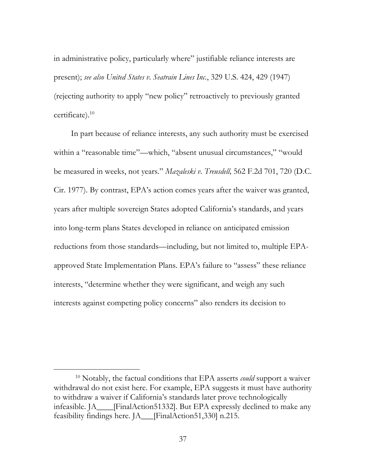in administrative policy, particularly where" justifiable reliance interests are present); *see also United States v. Seatrain Lines Inc.*, 329 U.S. 424, 429 (1947) (rejecting authority to apply "new policy" retroactively to previously granted certificate).10

In part because of reliance interests, any such authority must be exercised within a "reasonable time"—which, "absent unusual circumstances," "would be measured in weeks, not years." *Mazaleski v. Treusdell,* 562 F.2d 701, 720 (D.C. Cir. 1977). By contrast, EPA's action comes years after the waiver was granted, years after multiple sovereign States adopted California's standards, and years into long-term plans States developed in reliance on anticipated emission reductions from those standards—including, but not limited to, multiple EPAapproved State Implementation Plans. EPA's failure to "assess" these reliance interests, "determine whether they were significant, and weigh any such interests against competing policy concerns" also renders its decision to

 <sup>10</sup> Notably, the factual conditions that EPA asserts *could* support a waiver withdrawal do not exist here. For example, EPA suggests it must have authority to withdraw a waiver if California's standards later prove technologically infeasible. JA\_\_\_\_[FinalAction51332]. But EPA expressly declined to make any feasibility findings here. JA\_\_\_[FinalAction51,330] n.215.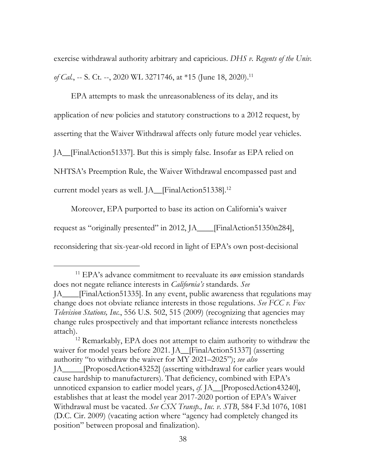exercise withdrawal authority arbitrary and capricious. *DHS v. Regents of the Univ. of Cal.*, -- S. Ct. --, 2020 WL 3271746, at \*15 (June 18, 2020).<sup>11</sup>

EPA attempts to mask the unreasonableness of its delay, and its application of new policies and statutory constructions to a 2012 request, by asserting that the Waiver Withdrawal affects only future model year vehicles. JA\_\_[FinalAction51337]. But this is simply false. Insofar as EPA relied on NHTSA's Preemption Rule, the Waiver Withdrawal encompassed past and current model years as well. JA\_\_[FinalAction51338].12

Moreover, EPA purported to base its action on California's waiver request as "originally presented" in 2012, JA\_\_\_\_[FinalAction51350n284], reconsidering that six-year-old record in light of EPA's own post-decisional

 <sup>11</sup> EPA's advance commitment to reevaluate its *own* emission standards does not negate reliance interests in *California's* standards. *See*  JA\_\_\_\_[FinalAction51335]. In any event, public awareness that regulations may change does not obviate reliance interests in those regulations. *See FCC v. Fox Television Stations, Inc.*, 556 U.S. 502, 515 (2009) (recognizing that agencies may change rules prospectively and that important reliance interests nonetheless attach).

<sup>12</sup> Remarkably, EPA does not attempt to claim authority to withdraw the waiver for model years before 2021. JA\_FinalAction51337] (asserting authority "to withdraw the waiver for MY 2021–2025"); *see also*  JA\_\_\_\_\_[ProposedAction43252] (asserting withdrawal for earlier years would cause hardship to manufacturers). That deficiency, combined with EPA's unnoticed expansion to earlier model years, *cf.* JA\_\_[ProposedAction43240], establishes that at least the model year 2017-2020 portion of EPA's Waiver Withdrawal must be vacated. *See CSX Transp., Inc. v. STB*, 584 F.3d 1076, 1081 (D.C. Cir. 2009) (vacating action where "agency had completely changed its position" between proposal and finalization).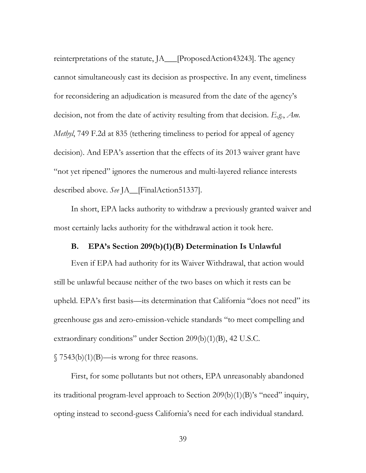reinterpretations of the statute, JA\_\_\_[ProposedAction43243]. The agency cannot simultaneously cast its decision as prospective. In any event, timeliness for reconsidering an adjudication is measured from the date of the agency's decision, not from the date of activity resulting from that decision. *E.g.*, *Am. Methyl*, 749 F.2d at 835 (tethering timeliness to period for appeal of agency decision). And EPA's assertion that the effects of its 2013 waiver grant have "not yet ripened" ignores the numerous and multi-layered reliance interests described above. *See* JA\_\_[FinalAction51337].

In short, EPA lacks authority to withdraw a previously granted waiver and most certainly lacks authority for the withdrawal action it took here.

## **B. EPA's Section 209(b)(1)(B) Determination Is Unlawful**

Even if EPA had authority for its Waiver Withdrawal, that action would still be unlawful because neither of the two bases on which it rests can be upheld. EPA's first basis—its determination that California "does not need" its greenhouse gas and zero-emission-vehicle standards "to meet compelling and extraordinary conditions" under Section 209(b)(1)(B), 42 U.S.C.

 $\sqrt{7543(b)(1)(B)}$ —is wrong for three reasons.

First, for some pollutants but not others, EPA unreasonably abandoned its traditional program-level approach to Section 209(b)(1)(B)'s "need" inquiry, opting instead to second-guess California's need for each individual standard.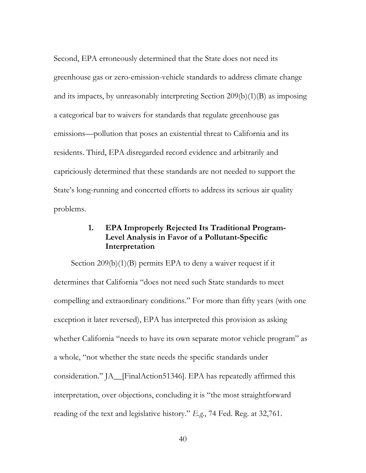Second, EPA erroneously determined that the State does not need its greenhouse gas or zero-emission-vehicle standards to address climate change and its impacts, by unreasonably interpreting Section 209(b)(1)(B) as imposing a categorical bar to waivers for standards that regulate greenhouse gas emissions—pollution that poses an existential threat to California and its residents. Third, EPA disregarded record evidence and arbitrarily and capriciously determined that these standards are not needed to support the State's long-running and concerted efforts to address its serious air quality problems.

## **1. EPA Improperly Rejected Its Traditional Program-Level Analysis in Favor of a Pollutant-Specific Interpretation**

Section 209(b)(1)(B) permits EPA to deny a waiver request if it determines that California "does not need such State standards to meet compelling and extraordinary conditions." For more than fifty years (with one exception it later reversed), EPA has interpreted this provision as asking whether California "needs to have its own separate motor vehicle program" as a whole, "not whether the state needs the specific standards under consideration." JA\_\_[FinalAction51346]. EPA has repeatedly affirmed this interpretation, over objections, concluding it is "the most straightforward reading of the text and legislative history." *E.g.*, 74 Fed. Reg. at 32,761.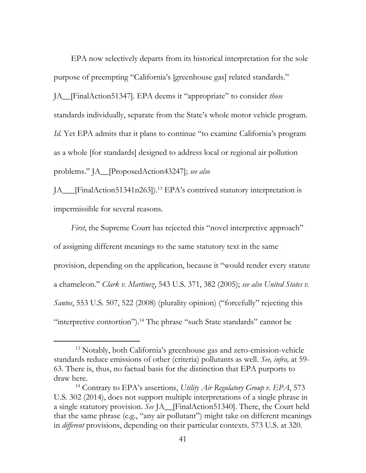EPA now selectively departs from its historical interpretation for the sole purpose of preempting "California's [greenhouse gas] related standards." JA\_\_[FinalAction51347]. EPA deems it "appropriate" to consider *those* standards individually, separate from the State's whole motor vehicle program. *Id.* Yet EPA admits that it plans to continue "to examine California's program as a whole [for standards] designed to address local or regional air pollution problems." JA\_\_[ProposedAction43247]; *see also* 

JA\_\_\_[FinalAction51341n263]).13 EPA's contrived statutory interpretation is impermissible for several reasons.

*First*, the Supreme Court has rejected this "novel interpretive approach" of assigning different meanings to the same statutory text in the same provision, depending on the application, because it "would render every statute a chameleon." *Clark v. Martinez*, 543 U.S. 371, 382 (2005); *see also United States v. Santos*, 553 U.S. 507, 522 (2008) (plurality opinion) ("forcefully" rejecting this "interpretive contortion").14 The phrase "such State standards" cannot be

 <sup>13</sup> Notably, both California's greenhouse gas and zero-emission-vehicle standards reduce emissions of other (criteria) pollutants as well. *See, infra,* at 59- 63. There is, thus, no factual basis for the distinction that EPA purports to draw here.

<sup>14</sup> Contrary to EPA's assertions, *Utility Air Regulatory Group v. EPA*, 573 U.S. 302 (2014), does not support multiple interpretations of a single phrase in a single statutory provision. *See* JA\_\_[FinalAction51340]. There, the Court held that the same phrase (e.g., "any air pollutant") might take on different meanings in *different* provisions, depending on their particular contexts. 573 U.S. at 320.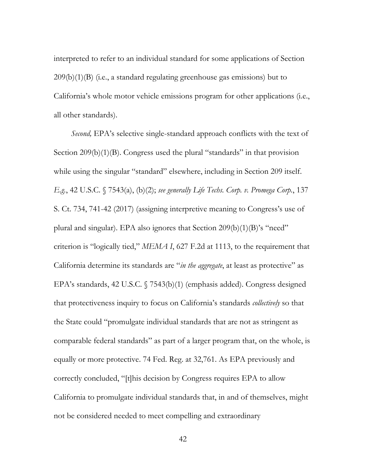interpreted to refer to an individual standard for some applications of Section  $209(b)(1)(B)$  (i.e., a standard regulating greenhouse gas emissions) but to California's whole motor vehicle emissions program for other applications (i.e., all other standards).

*Second,* EPA's selective single-standard approach conflicts with the text of Section 209(b)(1)(B). Congress used the plural "standards" in that provision while using the singular "standard" elsewhere, including in Section 209 itself. *E.g.*, 42 U.S.C. § 7543(a), (b)(2); *see generally Life Techs. Corp. v. Promega Corp.*, 137 S. Ct. 734, 741-42 (2017) (assigning interpretive meaning to Congress's use of plural and singular). EPA also ignores that Section 209(b)(1)(B)'s "need" criterion is "logically tied," *MEMA I*, 627 F.2d at 1113, to the requirement that California determine its standards are "*in the aggregate*, at least as protective" as EPA's standards, 42 U.S.C. § 7543(b)(1) (emphasis added). Congress designed that protectiveness inquiry to focus on California's standards *collectively* so that the State could "promulgate individual standards that are not as stringent as comparable federal standards" as part of a larger program that, on the whole, is equally or more protective. 74 Fed. Reg. at 32,761. As EPA previously and correctly concluded, "[t]his decision by Congress requires EPA to allow California to promulgate individual standards that, in and of themselves, might not be considered needed to meet compelling and extraordinary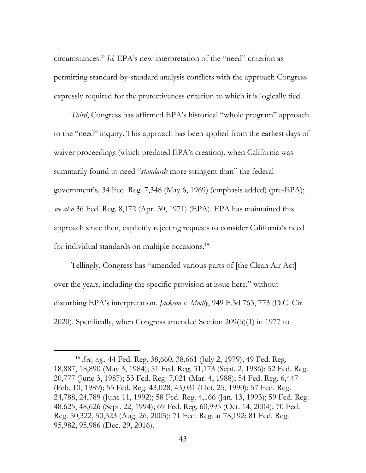circumstances." *Id.* EPA's new interpretation of the "need" criterion as permitting standard-by-standard analysis conflicts with the approach Congress expressly required for the protectiveness criterion to which it is logically tied.

*Third*, Congress has affirmed EPA's historical "whole program" approach to the "need" inquiry. This approach has been applied from the earliest days of waiver proceedings (which predated EPA's creation), when California was summarily found to need "*standards* more stringent than" the federal government's. 34 Fed. Reg. 7,348 (May 6, 1969) (emphasis added) (pre-EPA); *see also* 36 Fed. Reg. 8,172 (Apr. 30, 1971) (EPA). EPA has maintained this approach since then, explicitly rejecting requests to consider California's need for individual standards on multiple occasions.15

Tellingly, Congress has "amended various parts of [the Clean Air Act] over the years, including the specific provision at issue here," without disturbing EPA's interpretation. *Jackson v. Modly*, 949 F.3d 763, 773 (D.C. Cir. 2020). Specifically, when Congress amended Section 209(b)(1) in 1977 to

 <sup>15</sup> *See, e.g.*, 44 Fed. Reg. 38,660, 38,661 (July 2, 1979); 49 Fed. Reg. 18,887, 18,890 (May 3, 1984); 51 Fed. Reg. 31,173 (Sept. 2, 1986); 52 Fed. Reg. 20,777 (June 3, 1987); 53 Fed. Reg. 7,021 (Mar. 4, 1988); 54 Fed. Reg. 6,447 (Feb. 10, 1989); 55 Fed. Reg. 43,028, 43,031 (Oct. 25, 1990); 57 Fed. Reg. 24,788, 24,789 (June 11, 1992); 58 Fed. Reg. 4,166 (Jan. 13, 1993); 59 Fed. Reg. 48,625, 48,626 (Sept. 22, 1994); 69 Fed. Reg. 60,995 (Oct. 14, 2004); 70 Fed. Reg. 50,322, 50,323 (Aug. 26, 2005); 71 Fed. Reg. at 78,192; 81 Fed. Reg. 95,982, 95,986 (Dec. 29, 2016).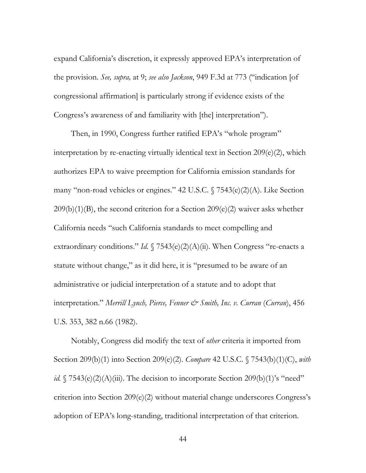expand California's discretion, it expressly approved EPA's interpretation of the provision. *See, supra,* at 9; *see also Jackson*, 949 F.3d at 773 ("indication [of congressional affirmation] is particularly strong if evidence exists of the Congress's awareness of and familiarity with [the] interpretation").

Then, in 1990, Congress further ratified EPA's "whole program" interpretation by re-enacting virtually identical text in Section 209(e)(2), which authorizes EPA to waive preemption for California emission standards for many "non-road vehicles or engines." 42 U.S.C. § 7543(e)(2)(A). Like Section  $209(b)(1)(B)$ , the second criterion for a Section  $209(e)(2)$  waiver asks whether California needs "such California standards to meet compelling and extraordinary conditions." *Id.*  $\sqrt{7543}$ (e)(2)(A)(ii). When Congress "re-enacts a statute without change," as it did here, it is "presumed to be aware of an administrative or judicial interpretation of a statute and to adopt that interpretation." *Merrill Lynch, Pierce, Fenner & Smith, Inc. v. Curran* (*Curran*), 456 U.S. 353, 382 n.66 (1982).

Notably, Congress did modify the text of *other* criteria it imported from Section 209(b)(1) into Section 209(e)(2). *Compare* 42 U.S.C. § 7543(b)(1)(C), *with id.*  $\sqrt{7543}$ (e)(2)(A)(iii). The decision to incorporate Section 209(b)(1)'s "need" criterion into Section 209(e)(2) without material change underscores Congress's adoption of EPA's long-standing, traditional interpretation of that criterion.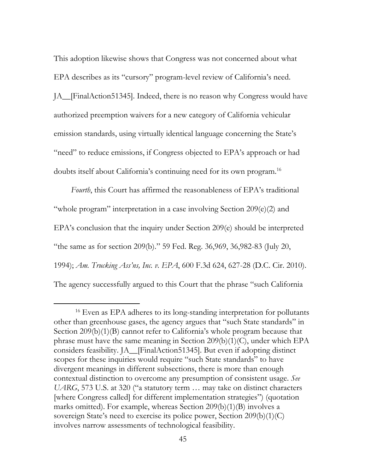This adoption likewise shows that Congress was not concerned about what EPA describes as its "cursory" program-level review of California's need. JA\_\_[FinalAction51345]. Indeed, there is no reason why Congress would have authorized preemption waivers for a new category of California vehicular emission standards, using virtually identical language concerning the State's "need" to reduce emissions, if Congress objected to EPA's approach or had doubts itself about California's continuing need for its own program.16

*Fourth*, this Court has affirmed the reasonableness of EPA's traditional "whole program" interpretation in a case involving Section 209(e)(2) and EPA's conclusion that the inquiry under Section 209(e) should be interpreted "the same as for section 209(b)." 59 Fed. Reg. 36,969, 36,982-83 (July 20, 1994); *Am. Trucking Ass'ns, Inc. v. EPA*, 600 F.3d 624, 627-28 (D.C. Cir. 2010). The agency successfully argued to this Court that the phrase "such California

<sup>&</sup>lt;sup>16</sup> Even as EPA adheres to its long-standing interpretation for pollutants other than greenhouse gases, the agency argues that "such State standards" in Section 209(b)(1)(B) cannot refer to California's whole program because that phrase must have the same meaning in Section 209(b)(1)(C), under which EPA considers feasibility. JA\_\_[FinalAction51345]. But even if adopting distinct scopes for these inquiries would require "such State standards" to have divergent meanings in different subsections, there is more than enough contextual distinction to overcome any presumption of consistent usage. *See UARG*, 573 U.S. at 320 ("a statutory term … may take on distinct characters [where Congress called] for different implementation strategies") (quotation marks omitted). For example, whereas Section 209(b)(1)(B) involves a sovereign State's need to exercise its police power, Section 209(b)(1)(C) involves narrow assessments of technological feasibility.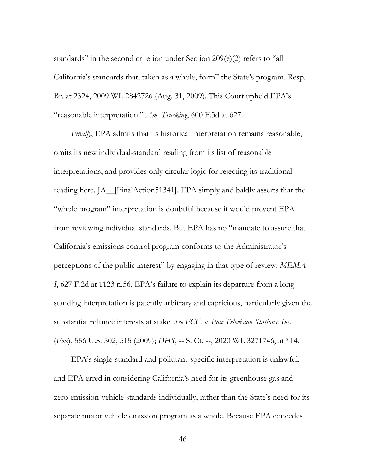standards" in the second criterion under Section 209(e)(2) refers to "all California's standards that, taken as a whole, form" the State's program. Resp. Br. at 2324, 2009 WL 2842726 (Aug. 31, 2009). This Court upheld EPA's "reasonable interpretation." *Am. Trucking*, 600 F.3d at 627.

*Finally*, EPA admits that its historical interpretation remains reasonable, omits its new individual-standard reading from its list of reasonable interpretations, and provides only circular logic for rejecting its traditional reading here. JA\_\_[FinalAction51341]. EPA simply and baldly asserts that the "whole program" interpretation is doubtful because it would prevent EPA from reviewing individual standards. But EPA has no "mandate to assure that California's emissions control program conforms to the Administrator's perceptions of the public interest" by engaging in that type of review. *MEMA I*, 627 F.2d at 1123 n.56. EPA's failure to explain its departure from a longstanding interpretation is patently arbitrary and capricious, particularly given the substantial reliance interests at stake. *See FCC. v. Fox Television Stations, Inc.*  (*Fox*), 556 U.S. 502, 515 (2009); *DHS*, -- S. Ct. --, 2020 WL 3271746, at \*14.

EPA's single-standard and pollutant-specific interpretation is unlawful, and EPA erred in considering California's need for its greenhouse gas and zero-emission-vehicle standards individually, rather than the State's need for its separate motor vehicle emission program as a whole. Because EPA concedes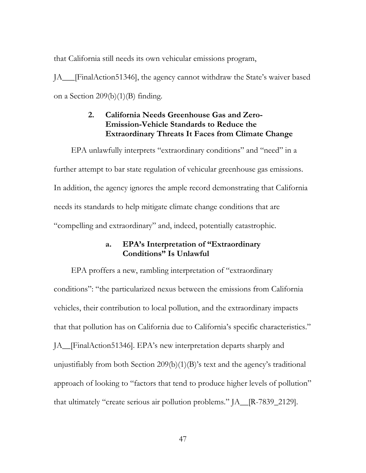that California still needs its own vehicular emissions program,

JA\_\_\_[FinalAction51346], the agency cannot withdraw the State's waiver based on a Section 209(b)(1)(B) finding.

# **2. California Needs Greenhouse Gas and Zero-Emission-Vehicle Standards to Reduce the Extraordinary Threats It Faces from Climate Change**

EPA unlawfully interprets "extraordinary conditions" and "need" in a further attempt to bar state regulation of vehicular greenhouse gas emissions. In addition, the agency ignores the ample record demonstrating that California needs its standards to help mitigate climate change conditions that are "compelling and extraordinary" and, indeed, potentially catastrophic.

# **a. EPA's Interpretation of "Extraordinary Conditions" Is Unlawful**

EPA proffers a new, rambling interpretation of "extraordinary conditions": "the particularized nexus between the emissions from California vehicles, their contribution to local pollution, and the extraordinary impacts that that pollution has on California due to California's specific characteristics." JA\_\_[FinalAction51346]. EPA's new interpretation departs sharply and unjustifiably from both Section 209(b)(1)(B)'s text and the agency's traditional approach of looking to "factors that tend to produce higher levels of pollution" that ultimately "create serious air pollution problems." JA\_\_[R-7839\_2129].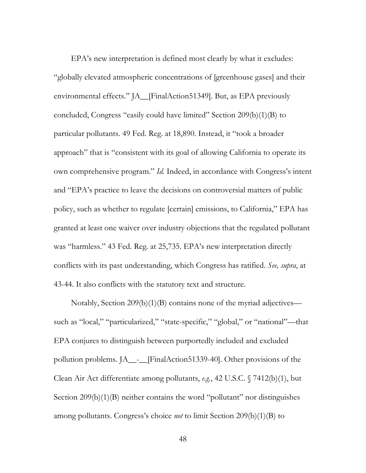EPA's new interpretation is defined most clearly by what it excludes: "globally elevated atmospheric concentrations of [greenhouse gases] and their environmental effects." JA\_\_[FinalAction51349]. But, as EPA previously concluded, Congress "easily could have limited" Section 209(b)(1)(B) to particular pollutants. 49 Fed. Reg. at 18,890. Instead, it "took a broader approach" that is "consistent with its goal of allowing California to operate its own comprehensive program." *Id.* Indeed, in accordance with Congress's intent and "EPA's practice to leave the decisions on controversial matters of public policy, such as whether to regulate [certain] emissions, to California," EPA has granted at least one waiver over industry objections that the regulated pollutant was "harmless." 43 Fed. Reg. at 25,735. EPA's new interpretation directly conflicts with its past understanding, which Congress has ratified. *See, supra*, at 43-44. It also conflicts with the statutory text and structure.

Notably, Section 209(b)(1)(B) contains none of the myriad adjectives such as "local," "particularized," "state-specific," "global," or "national"—that EPA conjures to distinguish between purportedly included and excluded pollution problems. JA\_\_-\_\_[FinalAction51339-40]. Other provisions of the Clean Air Act differentiate among pollutants, *e.g.*, 42 U.S.C. § 7412(b)(1), but Section 209(b)(1)(B) neither contains the word "pollutant" nor distinguishes among pollutants. Congress's choice *not* to limit Section 209(b)(1)(B) to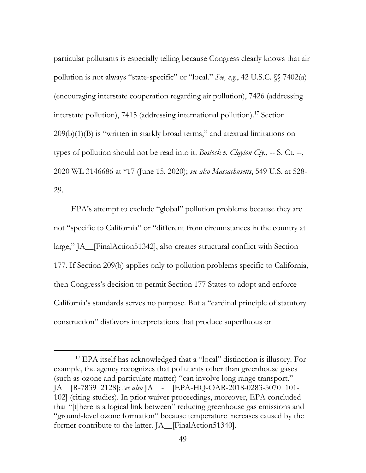particular pollutants is especially telling because Congress clearly knows that air pollution is not always "state-specific" or "local." *See, e.g.*, 42 U.S.C. §§ 7402(a) (encouraging interstate cooperation regarding air pollution), 7426 (addressing interstate pollution), 7415 (addressing international pollution).<sup>17</sup> Section  $209(b)(1)(B)$  is "written in starkly broad terms," and atextual limitations on types of pollution should not be read into it. *Bostock v. Clayton Cty.*, -- S. Ct. --, 2020 WL 3146686 at \*17 (June 15, 2020); *see also Massachusetts*, 549 U.S. at 528- 29.

EPA's attempt to exclude "global" pollution problems because they are not "specific to California" or "different from circumstances in the country at large," JA\_\_[FinalAction51342], also creates structural conflict with Section 177. If Section 209(b) applies only to pollution problems specific to California, then Congress's decision to permit Section 177 States to adopt and enforce California's standards serves no purpose. But a "cardinal principle of statutory construction" disfavors interpretations that produce superfluous or

 <sup>17</sup> EPA itself has acknowledged that a "local" distinction is illusory. For example, the agency recognizes that pollutants other than greenhouse gases (such as ozone and particulate matter) "can involve long range transport." JA\_\_[R-7839\_2128]; *see also* JA\_\_-\_\_[EPA-HQ-OAR-2018-0283-5070\_101- 102] (citing studies). In prior waiver proceedings, moreover, EPA concluded that ''[t]here is a logical link between" reducing greenhouse gas emissions and "ground-level ozone formation" because temperature increases caused by the former contribute to the latter. JA\_[FinalAction51340].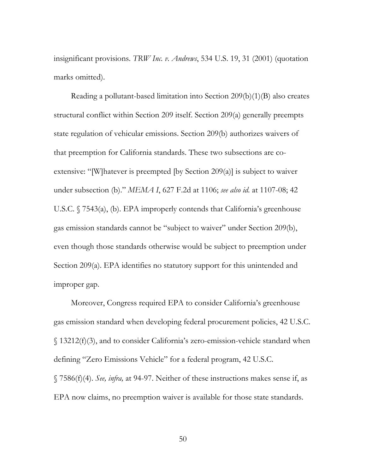insignificant provisions. *TRW Inc. v. Andrews*, 534 U.S. 19, 31 (2001) (quotation marks omitted).

Reading a pollutant-based limitation into Section 209(b)(1)(B) also creates structural conflict within Section 209 itself. Section 209(a) generally preempts state regulation of vehicular emissions. Section 209(b) authorizes waivers of that preemption for California standards. These two subsections are coextensive: "[W]hatever is preempted [by Section 209(a)] is subject to waiver under subsection (b)." *MEMA I*, 627 F.2d at 1106; *see also id.* at 1107-08; 42 U.S.C. § 7543(a), (b). EPA improperly contends that California's greenhouse gas emission standards cannot be "subject to waiver" under Section 209(b), even though those standards otherwise would be subject to preemption under Section 209(a). EPA identifies no statutory support for this unintended and improper gap.

Moreover, Congress required EPA to consider California's greenhouse gas emission standard when developing federal procurement policies, 42 U.S.C. § 13212(f)(3), and to consider California's zero-emission-vehicle standard when defining "Zero Emissions Vehicle" for a federal program, 42 U.S.C. § 7586(f)(4). *See, infra,* at 94-97. Neither of these instructions makes sense if, as EPA now claims, no preemption waiver is available for those state standards.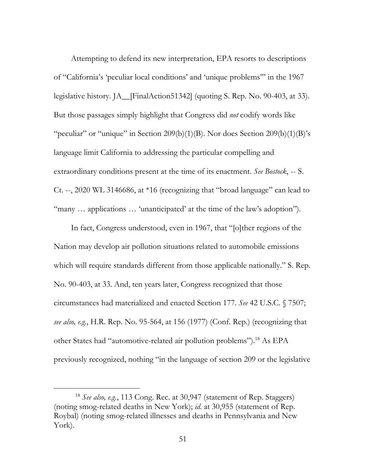Attempting to defend its new interpretation, EPA resorts to descriptions of "California's 'peculiar local conditions' and 'unique problems'" in the 1967 legislative history. JA\_\_[FinalAction51342] (quoting S. Rep. No. 90-403, at 33). But those passages simply highlight that Congress did *not* codify words like "peculiar" or "unique" in Section 209(b)(1)(B). Nor does Section 209(b)(1)(B)'s language limit California to addressing the particular compelling and extraordinary conditions present at the time of its enactment. *See Bostock*, -- S. Ct. --, 2020 WL 3146686, at \*16 (recognizing that "broad language" can lead to "many … applications … 'unanticipated' at the time of the law's adoption").

In fact, Congress understood, even in 1967, that "[o]ther regions of the Nation may develop air pollution situations related to automobile emissions which will require standards different from those applicable nationally." S. Rep. No. 90-403, at 33. And, ten years later, Congress recognized that those circumstances had materialized and enacted Section 177. *See* 42 U.S.C. § 7507; *see also, e.g.*, H.R. Rep. No. 95-564, at 156 (1977) (Conf. Rep.) (recognizing that other States had "automotive-related air pollution problems").18 As EPA previously recognized, nothing "in the language of section 209 or the legislative

 <sup>18</sup> *See also, e.g.*, 113 Cong. Rec. at 30,947 (statement of Rep. Staggers) (noting smog-related deaths in New York); *id*. at 30,955 (statement of Rep. Roybal) (noting smog-related illnesses and deaths in Pennsylvania and New York).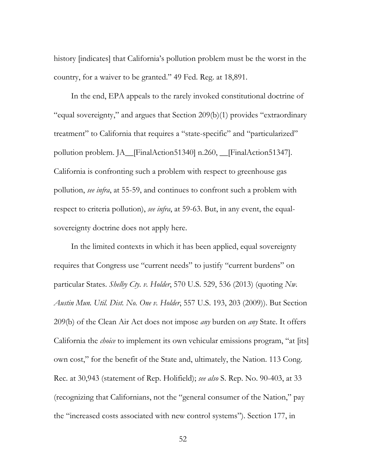history [indicates] that California's pollution problem must be the worst in the country, for a waiver to be granted." 49 Fed. Reg. at 18,891.

In the end, EPA appeals to the rarely invoked constitutional doctrine of "equal sovereignty," and argues that Section 209(b)(1) provides "extraordinary treatment" to California that requires a "state-specific" and "particularized" pollution problem. JA\_\_[FinalAction51340] n.260, \_\_[FinalAction51347]. California is confronting such a problem with respect to greenhouse gas pollution, *see infra*, at 55-59, and continues to confront such a problem with respect to criteria pollution), *see infra*, at 59-63. But, in any event, the equalsovereignty doctrine does not apply here.

In the limited contexts in which it has been applied, equal sovereignty requires that Congress use "current needs" to justify "current burdens" on particular States. *Shelby Cty. v. Holder*, 570 U.S. 529, 536 (2013) (quoting *Nw. Austin Mun. Util. Dist. No. One v. Holder*, 557 U.S. 193, 203 (2009)). But Section 209(b) of the Clean Air Act does not impose *any* burden on *any* State. It offers California the *choice* to implement its own vehicular emissions program, "at [its] own cost," for the benefit of the State and, ultimately, the Nation. 113 Cong. Rec. at 30,943 (statement of Rep. Holifield); *see also* S. Rep. No. 90-403, at 33 (recognizing that Californians, not the "general consumer of the Nation," pay the "increased costs associated with new control systems"). Section 177, in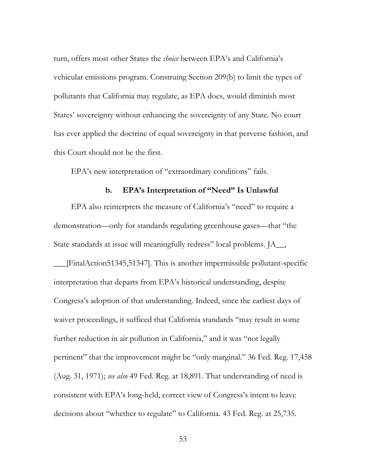turn, offers most other States the *choice* between EPA's and California's vehicular emissions program. Construing Section 209(b) to limit the types of pollutants that California may regulate, as EPA does, would diminish most States' sovereignty without enhancing the sovereignty of any State. No court has ever applied the doctrine of equal sovereignty in that perverse fashion, and this Court should not be the first.

EPA's new interpretation of "extraordinary conditions" fails.

#### **b. EPA's Interpretation of "Need" Is Unlawful**

EPA also reinterprets the measure of California's "need" to require a demonstration—only for standards regulating greenhouse gases—that "the State standards at issue will meaningfully redress" local problems. JA\_\_,

\_\_\_[FinalAction51345,51347]. This is another impermissible pollutant-specific interpretation that departs from EPA's historical understanding, despite Congress's adoption of that understanding. Indeed, since the earliest days of waiver proceedings, it sufficed that California standards "may result in some further reduction in air pollution in California," and it was "not legally pertinent" that the improvement might be "only marginal." 36 Fed. Reg. 17,458 (Aug. 31, 1971); *see also* 49 Fed. Reg. at 18,891. That understanding of need is consistent with EPA's long-held, correct view of Congress's intent to leave decisions about "whether to regulate" to California. 43 Fed. Reg. at 25,735.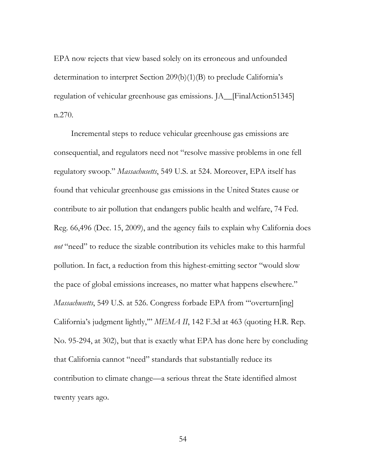EPA now rejects that view based solely on its erroneous and unfounded determination to interpret Section 209(b)(1)(B) to preclude California's regulation of vehicular greenhouse gas emissions. JA\_\_[FinalAction51345] n.270.

Incremental steps to reduce vehicular greenhouse gas emissions are consequential, and regulators need not "resolve massive problems in one fell regulatory swoop." *Massachusetts*, 549 U.S. at 524. Moreover, EPA itself has found that vehicular greenhouse gas emissions in the United States cause or contribute to air pollution that endangers public health and welfare, 74 Fed. Reg. 66,496 (Dec. 15, 2009), and the agency fails to explain why California does *not* "need" to reduce the sizable contribution its vehicles make to this harmful pollution. In fact, a reduction from this highest-emitting sector "would slow the pace of global emissions increases, no matter what happens elsewhere." *Massachusetts*, 549 U.S. at 526. Congress forbade EPA from "'overturn[ing] California's judgment lightly,'" *MEMA II*, 142 F.3d at 463 (quoting H.R. Rep. No. 95-294, at 302), but that is exactly what EPA has done here by concluding that California cannot "need" standards that substantially reduce its contribution to climate change—a serious threat the State identified almost twenty years ago.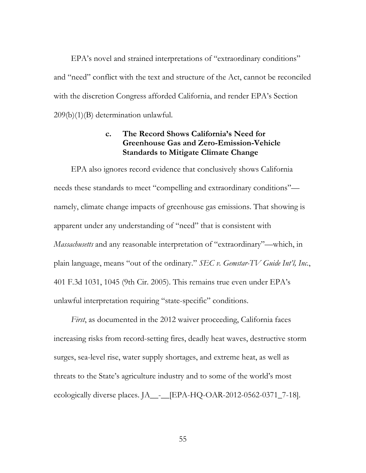EPA's novel and strained interpretations of "extraordinary conditions" and "need" conflict with the text and structure of the Act, cannot be reconciled with the discretion Congress afforded California, and render EPA's Section 209(b)(1)(B) determination unlawful.

# **c. The Record Shows California's Need for Greenhouse Gas and Zero-Emission-Vehicle Standards to Mitigate Climate Change**

EPA also ignores record evidence that conclusively shows California needs these standards to meet "compelling and extraordinary conditions" namely, climate change impacts of greenhouse gas emissions. That showing is apparent under any understanding of "need" that is consistent with *Massachusetts* and any reasonable interpretation of "extraordinary"—which, in plain language, means "out of the ordinary." *SEC v. Gemstar-TV Guide Int'l, Inc.*, 401 F.3d 1031, 1045 (9th Cir. 2005). This remains true even under EPA's unlawful interpretation requiring "state-specific" conditions.

*First*, as documented in the 2012 waiver proceeding, California faces increasing risks from record-setting fires, deadly heat waves, destructive storm surges, sea-level rise, water supply shortages, and extreme heat, as well as threats to the State's agriculture industry and to some of the world's most ecologically diverse places. JA\_\_-\_\_[EPA-HQ-OAR-2012-0562-0371\_7-18].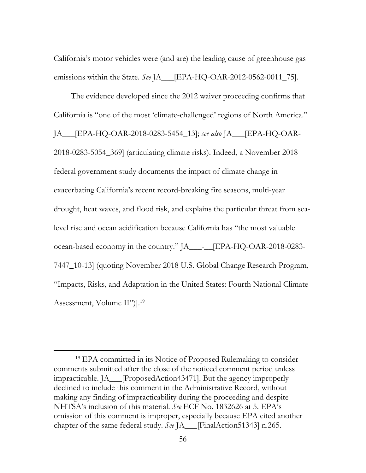California's motor vehicles were (and are) the leading cause of greenhouse gas emissions within the State. *See* JA\_\_\_[EPA-HQ-OAR-2012-0562-0011\_75].

The evidence developed since the 2012 waiver proceeding confirms that California is "one of the most 'climate-challenged' regions of North America." JA\_\_\_[EPA-HQ-OAR-2018-0283-5454\_13]; *see also* JA\_\_\_[EPA-HQ-OAR-2018-0283-5054\_369] (articulating climate risks). Indeed, a November 2018 federal government study documents the impact of climate change in exacerbating California's recent record-breaking fire seasons, multi-year drought, heat waves, and flood risk, and explains the particular threat from sealevel rise and ocean acidification because California has "the most valuable ocean-based economy in the country." JA\_\_\_-\_\_[EPA-HQ-OAR-2018-0283- 7447\_10-13] (quoting November 2018 U.S. Global Change Research Program, "Impacts, Risks, and Adaptation in the United States: Fourth National Climate Assessment, Volume II")].<sup>19</sup>

<sup>&</sup>lt;sup>19</sup> EPA committed in its Notice of Proposed Rulemaking to consider comments submitted after the close of the noticed comment period unless impracticable. JA\_\_\_[ProposedAction43471]. But the agency improperly declined to include this comment in the Administrative Record, without making any finding of impracticability during the proceeding and despite NHTSA's inclusion of this material. *See* ECF No. 1832626 at 5. EPA's omission of this comment is improper, especially because EPA cited another chapter of the same federal study. *See* JA\_\_\_[FinalAction51343] n.265.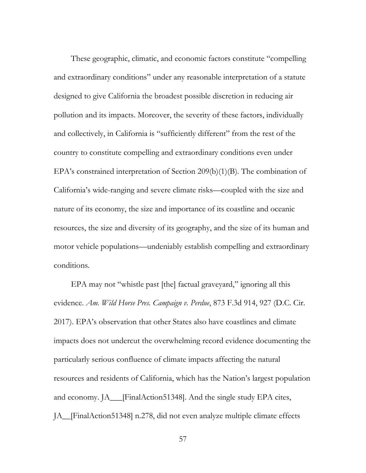These geographic, climatic, and economic factors constitute "compelling and extraordinary conditions" under any reasonable interpretation of a statute designed to give California the broadest possible discretion in reducing air pollution and its impacts. Moreover, the severity of these factors, individually and collectively, in California is "sufficiently different" from the rest of the country to constitute compelling and extraordinary conditions even under EPA's constrained interpretation of Section 209(b)(1)(B). The combination of California's wide-ranging and severe climate risks—coupled with the size and nature of its economy, the size and importance of its coastline and oceanic resources, the size and diversity of its geography, and the size of its human and motor vehicle populations—undeniably establish compelling and extraordinary conditions.

EPA may not "whistle past [the] factual graveyard," ignoring all this evidence. *Am. Wild Horse Pres. Campaign v. Perdue*, 873 F.3d 914, 927 (D.C. Cir. 2017). EPA's observation that other States also have coastlines and climate impacts does not undercut the overwhelming record evidence documenting the particularly serious confluence of climate impacts affecting the natural resources and residents of California, which has the Nation's largest population and economy. JA\_\_\_[FinalAction51348]. And the single study EPA cites, JA\_\_[FinalAction51348] n.278, did not even analyze multiple climate effects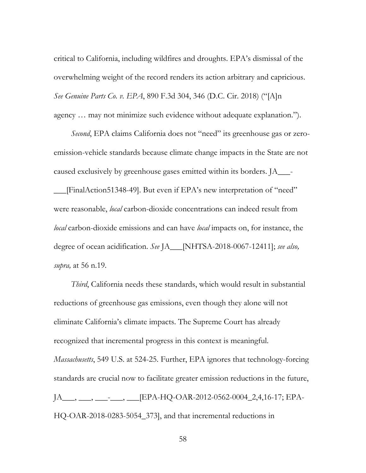critical to California, including wildfires and droughts. EPA's dismissal of the overwhelming weight of the record renders its action arbitrary and capricious. *See Genuine Parts Co. v. EPA*, 890 F.3d 304, 346 (D.C. Cir. 2018) ("[A]n agency … may not minimize such evidence without adequate explanation.").

*Second*, EPA claims California does not "need" its greenhouse gas or zeroemission-vehicle standards because climate change impacts in the State are not caused exclusively by greenhouse gases emitted within its borders. JA\_\_\_- \_\_\_[FinalAction51348-49]. But even if EPA's new interpretation of "need" were reasonable, *local* carbon-dioxide concentrations can indeed result from *local* carbon-dioxide emissions and can have *local* impacts on, for instance, the degree of ocean acidification. *See* JA\_\_\_[NHTSA-2018-0067-12411]; *see also, supra,* at 56 n.19.

*Third*, California needs these standards, which would result in substantial reductions of greenhouse gas emissions, even though they alone will not eliminate California's climate impacts. The Supreme Court has already recognized that incremental progress in this context is meaningful. *Massachusetts*, 549 U.S. at 524-25. Further, EPA ignores that technology-forcing standards are crucial now to facilitate greater emission reductions in the future, JA<sub>\_\_\_</sub>, \_\_\_\_\_, \_\_\_\_<sub>[EPA-HQ-OAR-2012-0562-0004\_2,4,16-17; EPA-</sub> HQ-OAR-2018-0283-5054\_373], and that incremental reductions in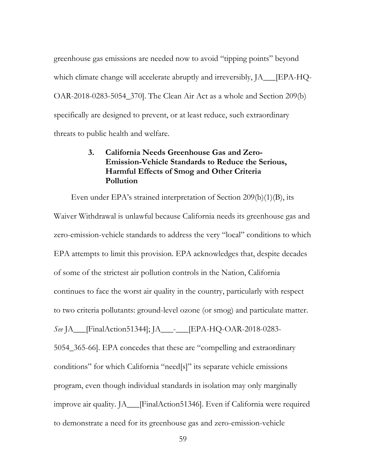greenhouse gas emissions are needed now to avoid "tipping points" beyond which climate change will accelerate abruptly and irreversibly,  $[A_$  [EPA-HQ-OAR-2018-0283-5054\_370]. The Clean Air Act as a whole and Section 209(b) specifically are designed to prevent, or at least reduce, such extraordinary threats to public health and welfare.

# **3. California Needs Greenhouse Gas and Zero-Emission-Vehicle Standards to Reduce the Serious, Harmful Effects of Smog and Other Criteria Pollution**

Even under EPA's strained interpretation of Section 209(b)(1)(B), its Waiver Withdrawal is unlawful because California needs its greenhouse gas and zero-emission-vehicle standards to address the very "local" conditions to which EPA attempts to limit this provision. EPA acknowledges that, despite decades of some of the strictest air pollution controls in the Nation, California continues to face the worst air quality in the country, particularly with respect to two criteria pollutants: ground-level ozone (or smog) and particulate matter. *See* JA\_\_\_[FinalAction51344]; JA\_\_\_-\_\_\_[EPA-HQ-OAR-2018-0283- 5054\_365-66]. EPA concedes that these are "compelling and extraordinary conditions" for which California "need[s]" its separate vehicle emissions program, even though individual standards in isolation may only marginally improve air quality. JA\_\_\_[FinalAction51346]. Even if California were required to demonstrate a need for its greenhouse gas and zero-emission-vehicle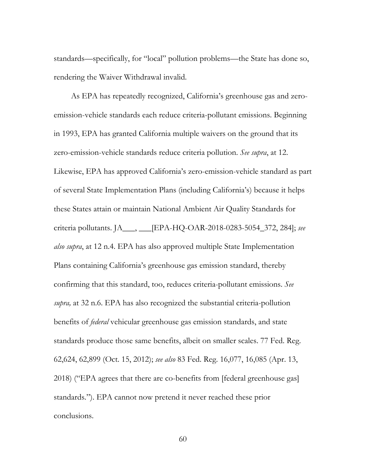standards—specifically, for "local" pollution problems—the State has done so, rendering the Waiver Withdrawal invalid.

As EPA has repeatedly recognized, California's greenhouse gas and zeroemission-vehicle standards each reduce criteria-pollutant emissions. Beginning in 1993, EPA has granted California multiple waivers on the ground that its zero-emission-vehicle standards reduce criteria pollution. *See supra*, at 12. Likewise, EPA has approved California's zero-emission-vehicle standard as part of several State Implementation Plans (including California's) because it helps these States attain or maintain National Ambient Air Quality Standards for criteria pollutants. JA\_\_\_, \_\_\_[EPA-HQ-OAR-2018-0283-5054\_372, 284]; *see also supra*, at 12 n.4. EPA has also approved multiple State Implementation Plans containing California's greenhouse gas emission standard, thereby confirming that this standard, too, reduces criteria-pollutant emissions. *See supra,* at 32 n.6. EPA has also recognized the substantial criteria-pollution benefits of *federal* vehicular greenhouse gas emission standards, and state standards produce those same benefits, albeit on smaller scales. 77 Fed. Reg. 62,624, 62,899 (Oct. 15, 2012); *see also* 83 Fed. Reg. 16,077, 16,085 (Apr. 13, 2018) ("EPA agrees that there are co-benefits from [federal greenhouse gas] standards."). EPA cannot now pretend it never reached these prior conclusions.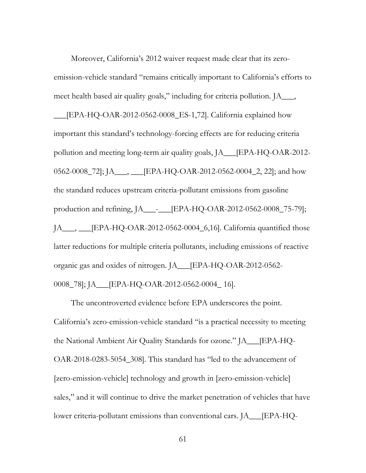Moreover, California's 2012 waiver request made clear that its zeroemission-vehicle standard "remains critically important to California's efforts to meet health based air quality goals," including for criteria pollution. JA\_\_\_, \_\_\_[EPA-HQ-OAR-2012-0562-0008\_ES-1,72]. California explained how important this standard's technology-forcing effects are for reducing criteria pollution and meeting long-term air quality goals, JA\_\_\_[EPA-HQ-OAR-2012- 0562-0008\_72]; JA\_\_\_, \_\_\_ [EPA-HQ-OAR-2012-0562-0004\_2, 22]; and how the standard reduces upstream criteria-pollutant emissions from gasoline production and refining, JA\_\_\_-\_\_\_[EPA-HQ-OAR-2012-0562-0008\_75-79]; JA\_\_\_, \_\_\_[EPA-HQ-OAR-2012-0562-0004\_6,16]. California quantified those latter reductions for multiple criteria pollutants, including emissions of reactive organic gas and oxides of nitrogen. JA\_\_\_[EPA-HQ-OAR-2012-0562- 0008\_78]; JA\_\_\_[EPA-HQ-OAR-2012-0562-0004\_ 16].

The uncontroverted evidence before EPA underscores the point. California's zero-emission-vehicle standard "is a practical necessity to meeting the National Ambient Air Quality Standards for ozone." JA\_\_\_[EPA-HQ-OAR-2018-0283-5054\_308]. This standard has "led to the advancement of [zero-emission-vehicle] technology and growth in [zero-emission-vehicle] sales," and it will continue to drive the market penetration of vehicles that have lower criteria-pollutant emissions than conventional cars. JA\_\_\_ [EPA-HQ-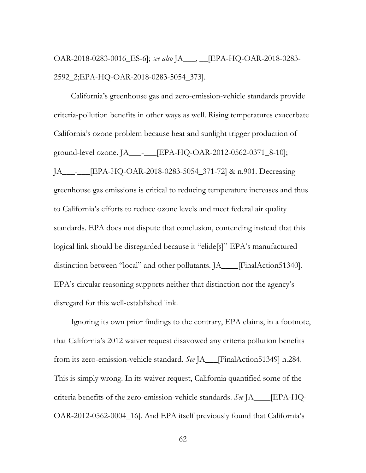OAR-2018-0283-0016\_ES-6]; *see also* JA\_\_\_, \_\_[EPA-HQ-OAR-2018-0283- 2592\_2;EPA-HQ-OAR-2018-0283-5054\_373].

California's greenhouse gas and zero-emission-vehicle standards provide criteria-pollution benefits in other ways as well. Rising temperatures exacerbate California's ozone problem because heat and sunlight trigger production of ground-level ozone. JA\_\_\_-\_\_\_[EPA-HQ-OAR-2012-0562-0371\_8-10]; JA\_\_\_-\_\_\_[EPA-HQ-OAR-2018-0283-5054\_371-72] & n.901. Decreasing greenhouse gas emissions is critical to reducing temperature increases and thus to California's efforts to reduce ozone levels and meet federal air quality standards. EPA does not dispute that conclusion, contending instead that this logical link should be disregarded because it "elide[s]" EPA's manufactured distinction between "local" and other pollutants. JA\_\_\_\_[FinalAction51340]*.*  EPA's circular reasoning supports neither that distinction nor the agency's disregard for this well-established link.

Ignoring its own prior findings to the contrary, EPA claims, in a footnote, that California's 2012 waiver request disavowed any criteria pollution benefits from its zero-emission-vehicle standard. *See* JA\_\_\_[FinalAction51349] n.284. This is simply wrong. In its waiver request, California quantified some of the criteria benefits of the zero-emission-vehicle standards. *See* JA\_\_\_\_[EPA-HQ-OAR-2012-0562-0004\_16]. And EPA itself previously found that California's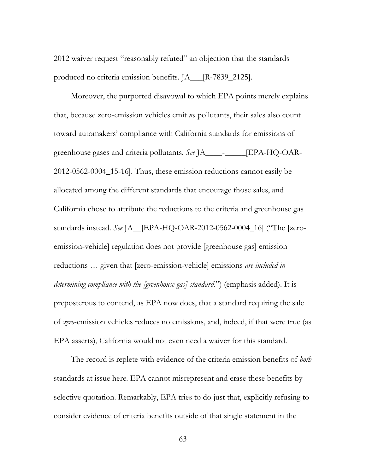2012 waiver request "reasonably refuted" an objection that the standards produced no criteria emission benefits. JA\_\_\_[R-7839\_2125].

Moreover, the purported disavowal to which EPA points merely explains that, because zero-emission vehicles emit *no* pollutants, their sales also count toward automakers' compliance with California standards for emissions of greenhouse gases and criteria pollutants. *See* JA\_\_\_\_-\_\_\_\_\_[EPA-HQ-OAR-2012-0562-0004\_15-16]. Thus, these emission reductions cannot easily be allocated among the different standards that encourage those sales, and California chose to attribute the reductions to the criteria and greenhouse gas standards instead. *See* JA\_\_[EPA-HQ-OAR-2012-0562-0004\_16] ("The [zeroemission-vehicle] regulation does not provide [greenhouse gas] emission reductions … given that [zero-emission-vehicle] emissions *are included in determining compliance with the [greenhouse gas] standard*.") (emphasis added). It is preposterous to contend, as EPA now does, that a standard requiring the sale of *zero*-emission vehicles reduces no emissions, and, indeed, if that were true (as EPA asserts), California would not even need a waiver for this standard.

The record is replete with evidence of the criteria emission benefits of *both*  standards at issue here. EPA cannot misrepresent and erase these benefits by selective quotation. Remarkably, EPA tries to do just that, explicitly refusing to consider evidence of criteria benefits outside of that single statement in the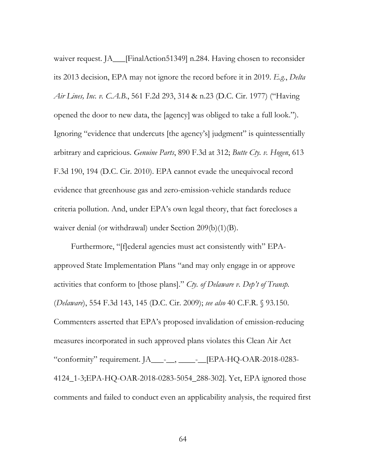waiver request. JA\_\_\_[FinalAction51349] n.284. Having chosen to reconsider its 2013 decision, EPA may not ignore the record before it in 2019. *E.g.*, *Delta Air Lines, Inc. v. C.A.B.*, 561 F.2d 293, 314 & n.23 (D.C. Cir. 1977) ("Having opened the door to new data, the [agency] was obliged to take a full look."). Ignoring "evidence that undercuts [the agency's] judgment" is quintessentially arbitrary and capricious. *Genuine Parts*, 890 F.3d at 312; *Butte Cty. v. Hogen*, 613 F.3d 190, 194 (D.C. Cir. 2010). EPA cannot evade the unequivocal record evidence that greenhouse gas and zero-emission-vehicle standards reduce criteria pollution. And, under EPA's own legal theory, that fact forecloses a waiver denial (or withdrawal) under Section 209(b)(1)(B).

Furthermore, "[f]ederal agencies must act consistently with" EPAapproved State Implementation Plans "and may only engage in or approve activities that conform to [those plans]." *Cty. of Delaware v. Dep't of Transp.*  (*Delaware*), 554 F.3d 143, 145 (D.C. Cir. 2009); *see also* 40 C.F.R. § 93.150. Commenters asserted that EPA's proposed invalidation of emission-reducing measures incorporated in such approved plans violates this Clean Air Act "conformity" requirement. JA\_\_\_-\_\_, \_\_\_\_-\_\_[EPA-HQ-OAR-2018-0283- 4124\_1-3;EPA-HQ-OAR-2018-0283-5054\_288-302]. Yet, EPA ignored those comments and failed to conduct even an applicability analysis, the required first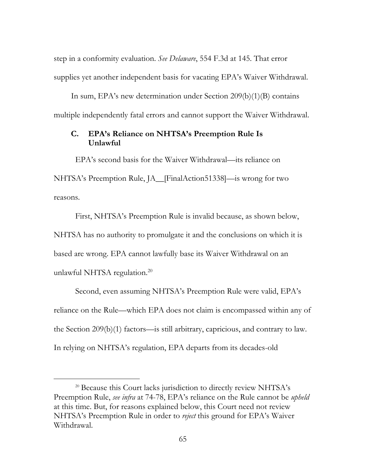step in a conformity evaluation. *See Delaware*, 554 F.3d at 145. That error supplies yet another independent basis for vacating EPA's Waiver Withdrawal.

In sum, EPA's new determination under Section 209(b)(1)(B) contains multiple independently fatal errors and cannot support the Waiver Withdrawal.

## **C. EPA's Reliance on NHTSA's Preemption Rule Is Unlawful**

EPA's second basis for the Waiver Withdrawal—its reliance on NHTSA's Preemption Rule, JA\_\_[FinalAction51338]—is wrong for two reasons.

First, NHTSA's Preemption Rule is invalid because, as shown below, NHTSA has no authority to promulgate it and the conclusions on which it is based are wrong. EPA cannot lawfully base its Waiver Withdrawal on an unlawful NHTSA regulation.<sup>20</sup>

Second, even assuming NHTSA's Preemption Rule were valid, EPA's reliance on the Rule—which EPA does not claim is encompassed within any of the Section 209(b)(1) factors—is still arbitrary, capricious, and contrary to law. In relying on NHTSA's regulation, EPA departs from its decades-old

<sup>&</sup>lt;sup>20</sup> Because this Court lacks jurisdiction to directly review NHTSA's Preemption Rule, *see infra* at 74-78, EPA's reliance on the Rule cannot be *upheld* at this time. But, for reasons explained below, this Court need not review NHTSA's Preemption Rule in order to *reject* this ground for EPA's Waiver Withdrawal.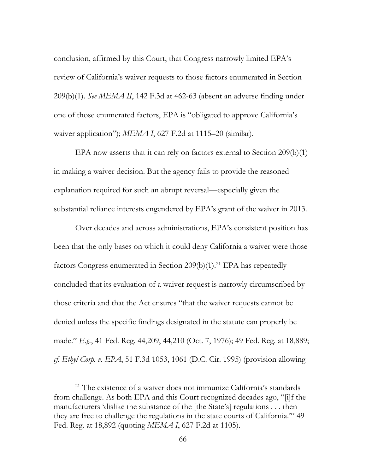conclusion, affirmed by this Court, that Congress narrowly limited EPA's review of California's waiver requests to those factors enumerated in Section 209(b)(1). *See MEMA II*, 142 F.3d at 462-63 (absent an adverse finding under one of those enumerated factors, EPA is "obligated to approve California's waiver application"); *MEMA I*, 627 F.2d at 1115–20 (similar).

EPA now asserts that it can rely on factors external to Section 209(b)(1) in making a waiver decision. But the agency fails to provide the reasoned explanation required for such an abrupt reversal—especially given the substantial reliance interests engendered by EPA's grant of the waiver in 2013.

Over decades and across administrations, EPA's consistent position has been that the only bases on which it could deny California a waiver were those factors Congress enumerated in Section  $209(b)(1)$ .<sup>21</sup> EPA has repeatedly concluded that its evaluation of a waiver request is narrowly circumscribed by those criteria and that the Act ensures "that the waiver requests cannot be denied unless the specific findings designated in the statute can properly be made." *E.g.*, 41 Fed. Reg. 44,209, 44,210 (Oct. 7, 1976); 49 Fed. Reg. at 18,889; *cf. Ethyl Corp. v. EPA*, 51 F.3d 1053, 1061 (D.C. Cir. 1995) (provision allowing

<sup>&</sup>lt;sup>21</sup> The existence of a waiver does not immunize California's standards from challenge. As both EPA and this Court recognized decades ago, "[i]f the manufacturers 'dislike the substance of the [the State's] regulations . . . then they are free to challenge the regulations in the state courts of California.'" 49 Fed. Reg. at 18,892 (quoting *MEMA I*, 627 F.2d at 1105).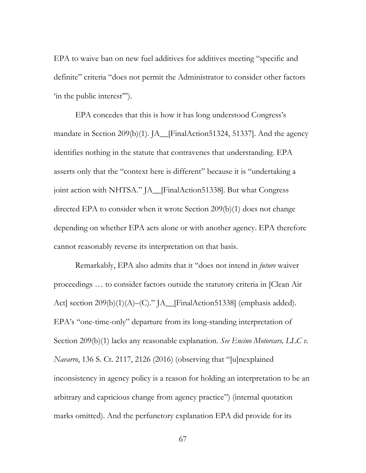EPA to waive ban on new fuel additives for additives meeting "specific and definite" criteria "does not permit the Administrator to consider other factors 'in the public interest'").

EPA concedes that this is how it has long understood Congress's mandate in Section 209(b)(1). JA\_\_[FinalAction51324, 51337]. And the agency identifies nothing in the statute that contravenes that understanding. EPA asserts only that the "context here is different" because it is "undertaking a joint action with NHTSA." JA\_\_[FinalAction51338]. But what Congress directed EPA to consider when it wrote Section 209(b)(1) does not change depending on whether EPA acts alone or with another agency. EPA therefore cannot reasonably reverse its interpretation on that basis.

Remarkably, EPA also admits that it "does not intend in *future* waiver proceedings … to consider factors outside the statutory criteria in [Clean Air Act] section 209(b)(1)(A)–(C)." JA\_\_[FinalAction51338] (emphasis added). EPA's "one-time-only" departure from its long-standing interpretation of Section 209(b)(1) lacks any reasonable explanation. *See Encino Motorcars, LLC v. Navarro*, 136 S. Ct. 2117, 2126 (2016) (observing that "[u]nexplained inconsistency in agency policy is a reason for holding an interpretation to be an arbitrary and capricious change from agency practice") (internal quotation marks omitted). And the perfunctory explanation EPA did provide for its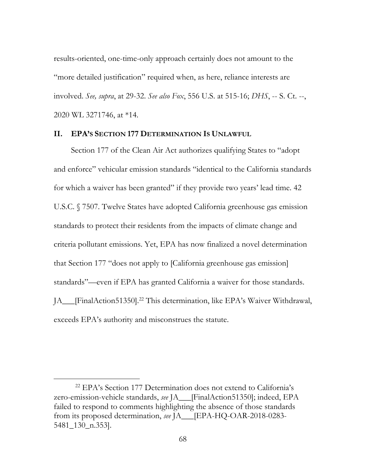results-oriented, one-time-only approach certainly does not amount to the "more detailed justification" required when, as here, reliance interests are involved. *See, supra*, at 29-32. *See also Fox*, 556 U.S. at 515-16; *DHS*, -- S. Ct. --, 2020 WL 3271746, at \*14.

#### **II. EPA'S SECTION 177 DETERMINATION IS UNLAWFUL**

Section 177 of the Clean Air Act authorizes qualifying States to "adopt and enforce" vehicular emission standards "identical to the California standards for which a waiver has been granted" if they provide two years' lead time. 42 U.S.C. § 7507. Twelve States have adopted California greenhouse gas emission standards to protect their residents from the impacts of climate change and criteria pollutant emissions. Yet, EPA has now finalized a novel determination that Section 177 "does not apply to [California greenhouse gas emission] standards"—even if EPA has granted California a waiver for those standards. JA\_\_\_[FinalAction51350].22 This determination, like EPA's Waiver Withdrawal, exceeds EPA's authority and misconstrues the statute.

 <sup>22</sup> EPA's Section 177 Determination does not extend to California's zero-emission-vehicle standards, *see* JA\_\_\_[FinalAction51350]; indeed, EPA failed to respond to comments highlighting the absence of those standards from its proposed determination, *see* JA\_\_\_[EPA-HQ-OAR-2018-0283- 5481\_130\_n.353].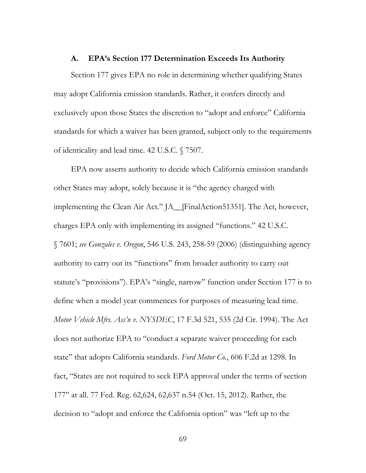#### **A. EPA's Section 177 Determination Exceeds Its Authority**

Section 177 gives EPA no role in determining whether qualifying States may adopt California emission standards. Rather, it confers directly and exclusively upon those States the discretion to "adopt and enforce" California standards for which a waiver has been granted, subject only to the requirements of identicality and lead time. 42 U.S.C. § 7507.

EPA now asserts authority to decide which California emission standards other States may adopt, solely because it is "the agency charged with implementing the Clean Air Act." JA\_\_[FinalAction51351]. The Act, however, charges EPA only with implementing its assigned "functions." 42 U.S.C. § 7601; *see Gonzales v. Oregon*, 546 U.S. 243, 258-59 (2006) (distinguishing agency authority to carry out its "functions" from broader authority to carry out statute's "provisions"). EPA's "single, narrow" function under Section 177 is to define when a model year commences for purposes of measuring lead time. *Motor Vehicle Mfrs. Ass'n v. NYSDEC*, 17 F.3d 521, 535 (2d Cir. 1994). The Act does not authorize EPA to "conduct a separate waiver proceeding for each state" that adopts California standards. *Ford Motor Co.*, 606 F.2d at 1298. In fact, "States are not required to seek EPA approval under the terms of section 177" at all. 77 Fed. Reg. 62,624, 62,637 n.54 (Oct. 15, 2012). Rather, the decision to "adopt and enforce the California option" was "left up to the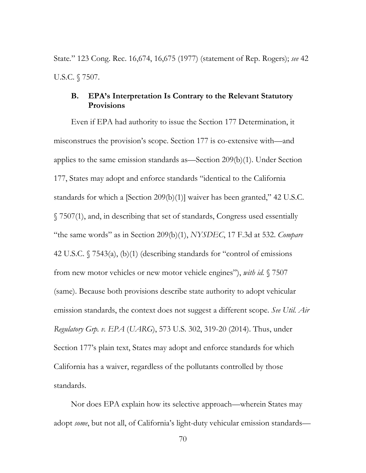State*.*" 123 Cong. Rec. 16,674, 16,675 (1977) (statement of Rep. Rogers); *see* 42 U.S.C. § 7507.

### **B. EPA's Interpretation Is Contrary to the Relevant Statutory Provisions**

Even if EPA had authority to issue the Section 177 Determination, it misconstrues the provision's scope. Section 177 is co-extensive with—and applies to the same emission standards as—Section 209(b)(1). Under Section 177, States may adopt and enforce standards "identical to the California standards for which a [Section 209(b)(1)] waiver has been granted," 42 U.S.C. § 7507(1), and, in describing that set of standards, Congress used essentially "the same words" as in Section 209(b)(1), *NYSDEC*, 17 F.3d at 532. *Compare*  42 U.S.C. § 7543(a), (b)(1) (describing standards for "control of emissions from new motor vehicles or new motor vehicle engines"), *with id.* § 7507 (same). Because both provisions describe state authority to adopt vehicular emission standards, the context does not suggest a different scope. *See Util. Air Regulatory Grp. v. EPA* (*UARG*), 573 U.S. 302, 319-20 (2014). Thus, under Section 177's plain text, States may adopt and enforce standards for which California has a waiver, regardless of the pollutants controlled by those standards.

Nor does EPA explain how its selective approach—wherein States may adopt *some*, but not all, of California's light-duty vehicular emission standards—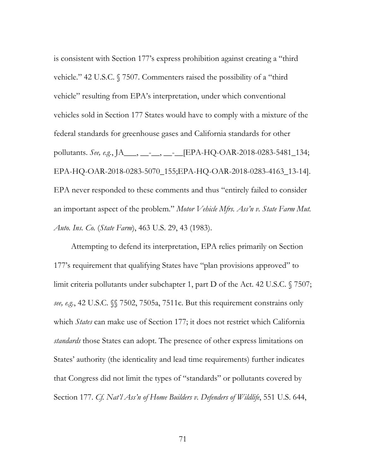is consistent with Section 177's express prohibition against creating a "third vehicle." 42 U.S.C. § 7507. Commenters raised the possibility of a "third vehicle" resulting from EPA's interpretation, under which conventional vehicles sold in Section 177 States would have to comply with a mixture of the federal standards for greenhouse gases and California standards for other pollutants. *See, e.g.*, JA\_\_\_, \_\_-\_\_, \_\_-\_\_[EPA-HQ-OAR-2018-0283-5481\_134; EPA-HQ-OAR-2018-0283-5070\_155;EPA-HQ-OAR-2018-0283-4163\_13-14]. EPA never responded to these comments and thus "entirely failed to consider an important aspect of the problem." *Motor Vehicle Mfrs. Ass'n v. State Farm Mut. Auto. Ins. Co.* (*State Farm*), 463 U.S. 29, 43 (1983).

Attempting to defend its interpretation, EPA relies primarily on Section 177's requirement that qualifying States have "plan provisions approved" to limit criteria pollutants under subchapter 1, part D of the Act. 42 U.S.C. § 7507; *see, e.g.*, 42 U.S.C. §§ 7502, 7505a, 7511c. But this requirement constrains only which *States* can make use of Section 177; it does not restrict which California *standards* those States can adopt. The presence of other express limitations on States' authority (the identicality and lead time requirements) further indicates that Congress did not limit the types of "standards" or pollutants covered by Section 177. *Cf. Nat'l Ass'n of Home Builders v. Defenders of Wildlife*, 551 U.S. 644,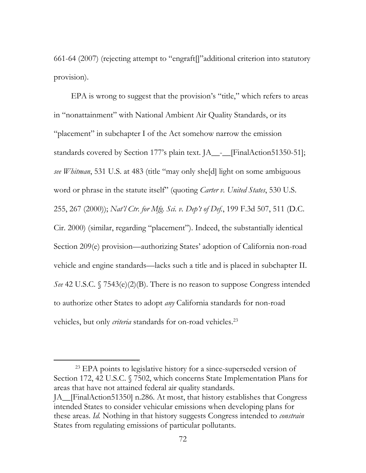661-64 (2007) (rejecting attempt to "engraft[]"additional criterion into statutory provision).

EPA is wrong to suggest that the provision's "title," which refers to areas in "nonattainment" with National Ambient Air Quality Standards, or its "placement" in subchapter I of the Act somehow narrow the emission standards covered by Section 177's plain text. JA\_\_-\_\_[FinalAction51350-51]; *see Whitman*, 531 U.S. at 483 (title "may only she[d] light on some ambiguous word or phrase in the statute itself" (quoting *Carter v. United States*, 530 U.S. 255, 267 (2000)); *Nat'l Ctr. for Mfg. Sci. v. Dep't of Def.*, 199 F.3d 507, 511 (D.C. Cir. 2000) (similar, regarding "placement"). Indeed, the substantially identical Section 209(e) provision—authorizing States' adoption of California non-road vehicle and engine standards—lacks such a title and is placed in subchapter II. *See* 42 U.S.C. § 7543(e)(2)(B). There is no reason to suppose Congress intended to authorize other States to adopt *any* California standards for non-road vehicles, but only *criteria* standards for on-road vehicles.<sup>23</sup>

<sup>&</sup>lt;sup>23</sup> EPA points to legislative history for a since-superseded version of Section 172, 42 U.S.C. § 7502, which concerns State Implementation Plans for areas that have not attained federal air quality standards. JA\_\_[FinalAction51350] n.286. At most, that history establishes that Congress intended States to consider vehicular emissions when developing plans for these areas. *Id.* Nothing in that history suggests Congress intended to *constrain* States from regulating emissions of particular pollutants.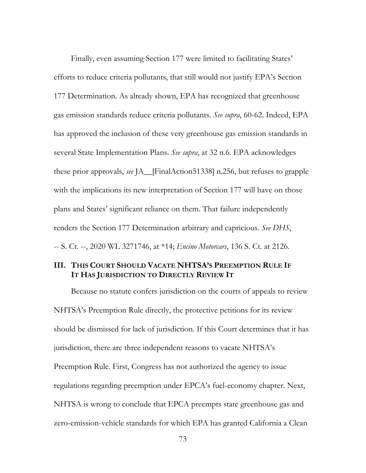Finally, even assuming Section 177 were limited to facilitating States' efforts to reduce criteria pollutants, that still would not justify EPA's Section 177 Determination. As already shown, EPA has recognized that greenhouse gas emission standards reduce criteria pollutants. *See supra*, 60-62. Indeed, EPA has approved the inclusion of these very greenhouse gas emission standards in several State Implementation Plans. *See supra*, at 32 n.6. EPA acknowledges these prior approvals, *see* JA\_\_[FinalAction51338] n.256, but refuses to grapple with the implications its new interpretation of Section 177 will have on those plans and States' significant reliance on them. That failure independently renders the Section 177 Determination arbitrary and capricious. *See DHS*, -- S. Ct. --, 2020 WL 3271746, at \*14; *Encino Motorcars*, 136 S. Ct. at 2126.

### **III. THIS COURT SHOULD VACATE NHTSA'S PREEMPTION RULE IF IT HAS JURISDICTION TO DIRECTLY REVIEW IT**

Because no statute confers jurisdiction on the courts of appeals to review NHTSA's Preemption Rule directly, the protective petitions for its review should be dismissed for lack of jurisdiction. If this Court determines that it has jurisdiction, there are three independent reasons to vacate NHTSA's Preemption Rule. First, Congress has not authorized the agency to issue regulations regarding preemption under EPCA's fuel-economy chapter. Next, NHTSA is wrong to conclude that EPCA preempts state greenhouse gas and zero-emission-vehicle standards for which EPA has granted California a Clean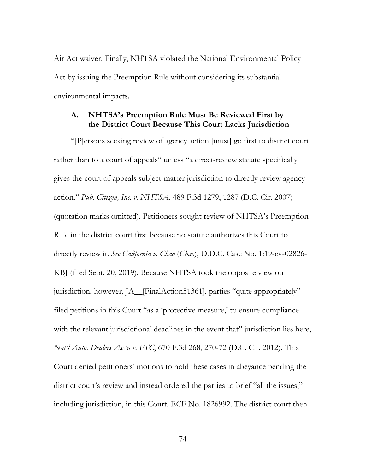Air Act waiver. Finally, NHTSA violated the National Environmental Policy Act by issuing the Preemption Rule without considering its substantial environmental impacts.

### **A. NHTSA's Preemption Rule Must Be Reviewed First by the District Court Because This Court Lacks Jurisdiction**

"[P]ersons seeking review of agency action [must] go first to district court rather than to a court of appeals" unless "a direct-review statute specifically gives the court of appeals subject-matter jurisdiction to directly review agency action." *Pub. Citizen, Inc. v. NHTSA*, 489 F.3d 1279, 1287 (D.C. Cir. 2007) (quotation marks omitted). Petitioners sought review of NHTSA's Preemption Rule in the district court first because no statute authorizes this Court to directly review it. *See California v. Chao* (*Chao*), D.D.C. Case No. 1:19-cv-02826- KBJ (filed Sept. 20, 2019). Because NHTSA took the opposite view on jurisdiction, however, JA\_FinalAction51361], parties "quite appropriately" filed petitions in this Court "as a 'protective measure,' to ensure compliance with the relevant jurisdictional deadlines in the event that" jurisdiction lies here, *Nat'l Auto. Dealers Ass'n v. FTC*, 670 F.3d 268, 270-72 (D.C. Cir. 2012). This Court denied petitioners' motions to hold these cases in abeyance pending the district court's review and instead ordered the parties to brief "all the issues," including jurisdiction, in this Court. ECF No. 1826992. The district court then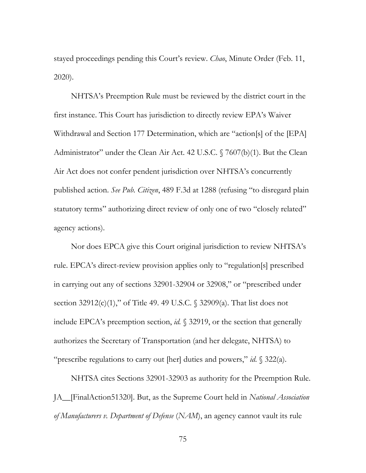stayed proceedings pending this Court's review. *Chao*, Minute Order (Feb. 11, 2020).

NHTSA's Preemption Rule must be reviewed by the district court in the first instance. This Court has jurisdiction to directly review EPA's Waiver Withdrawal and Section 177 Determination, which are "action[s] of the [EPA] Administrator" under the Clean Air Act. 42 U.S.C. § 7607(b)(1). But the Clean Air Act does not confer pendent jurisdiction over NHTSA's concurrently published action. *See Pub. Citizen*, 489 F.3d at 1288 (refusing "to disregard plain statutory terms" authorizing direct review of only one of two "closely related" agency actions).

Nor does EPCA give this Court original jurisdiction to review NHTSA's rule. EPCA's direct-review provision applies only to "regulation[s] prescribed in carrying out any of sections 32901-32904 or 32908," or "prescribed under section 32912(c)(1)," of Title 49. 49 U.S.C. § 32909(a). That list does not include EPCA's preemption section, *id.* § 32919, or the section that generally authorizes the Secretary of Transportation (and her delegate, NHTSA) to "prescribe regulations to carry out [her] duties and powers," *id*. § 322(a).

NHTSA cites Sections 32901-32903 as authority for the Preemption Rule. JA\_\_[FinalAction51320]. But, as the Supreme Court held in *National Association of Manufacturers v. Department of Defense* (*NAM*), an agency cannot vault its rule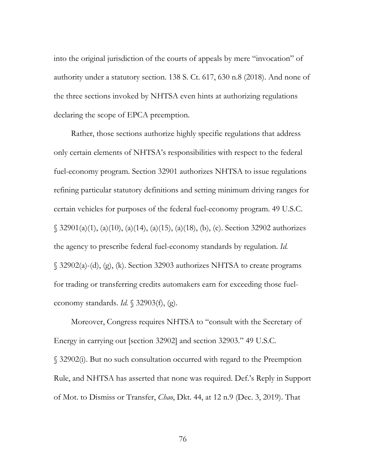into the original jurisdiction of the courts of appeals by mere "invocation" of authority under a statutory section. 138 S. Ct. 617, 630 n.8 (2018). And none of the three sections invoked by NHTSA even hints at authorizing regulations declaring the scope of EPCA preemption.

Rather, those sections authorize highly specific regulations that address only certain elements of NHTSA's responsibilities with respect to the federal fuel-economy program. Section 32901 authorizes NHTSA to issue regulations refining particular statutory definitions and setting minimum driving ranges for certain vehicles for purposes of the federal fuel-economy program. 49 U.S.C. § 32901(a)(1), (a)(10), (a)(14), (a)(15), (a)(18), (b), (c). Section 32902 authorizes the agency to prescribe federal fuel-economy standards by regulation. *Id.*  § 32902(a)-(d), (g), (k). Section 32903 authorizes NHTSA to create programs for trading or transferring credits automakers earn for exceeding those fueleconomy standards. *Id.* § 32903(f), (g).

Moreover, Congress requires NHTSA to "consult with the Secretary of Energy in carrying out [section 32902] and section 32903." 49 U.S.C. § 32902(i). But no such consultation occurred with regard to the Preemption Rule, and NHTSA has asserted that none was required. Def.'s Reply in Support of Mot. to Dismiss or Transfer, *Chao*, Dkt. 44, at 12 n.9 (Dec. 3, 2019). That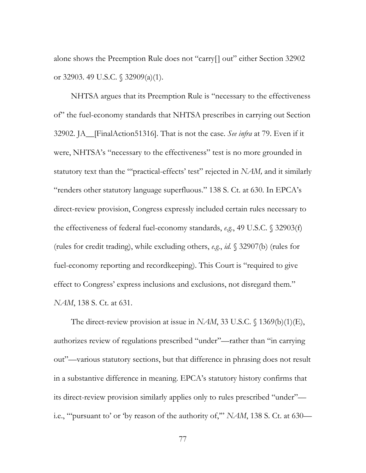alone shows the Preemption Rule does not "carry[] out" either Section 32902 or 32903. 49 U.S.C. § 32909(a)(1).

NHTSA argues that its Preemption Rule is "necessary to the effectiveness of" the fuel-economy standards that NHTSA prescribes in carrying out Section 32902. JA\_\_[FinalAction51316]. That is not the case. *See infra* at 79. Even if it were, NHTSA's "necessary to the effectiveness" test is no more grounded in statutory text than the ""practical-effects' test" rejected in *NAM*, and it similarly "renders other statutory language superfluous." 138 S. Ct. at 630. In EPCA's direct-review provision, Congress expressly included certain rules necessary to the effectiveness of federal fuel-economy standards, *e.g.*, 49 U.S.C. § 32903(f) (rules for credit trading), while excluding others, *e.g.*, *id.* § 32907(b) (rules for fuel-economy reporting and recordkeeping). This Court is "required to give effect to Congress' express inclusions and exclusions, not disregard them." *NAM*, 138 S. Ct. at 631.

The direct-review provision at issue in *NAM*, 33 U.S.C. § 1369(b)(1)(E), authorizes review of regulations prescribed "under"—rather than "in carrying out"—various statutory sections, but that difference in phrasing does not result in a substantive difference in meaning. EPCA's statutory history confirms that its direct-review provision similarly applies only to rules prescribed "under" i.e., "'pursuant to' or 'by reason of the authority of,'" *NAM*, 138 S. Ct. at 630—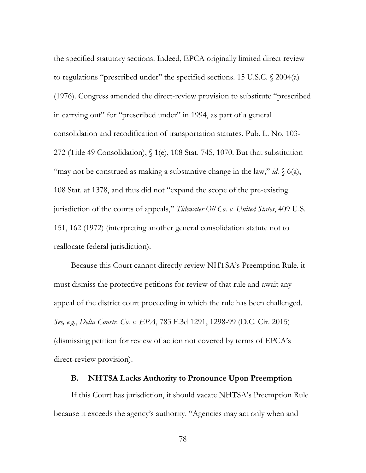the specified statutory sections. Indeed, EPCA originally limited direct review to regulations "prescribed under" the specified sections. 15 U.S.C. § 2004(a) (1976). Congress amended the direct-review provision to substitute "prescribed in carrying out" for "prescribed under" in 1994, as part of a general consolidation and recodification of transportation statutes. Pub. L. No. 103- 272 (Title 49 Consolidation), § 1(e), 108 Stat. 745, 1070. But that substitution "may not be construed as making a substantive change in the law," *id.* § 6(a), 108 Stat. at 1378, and thus did not "expand the scope of the pre-existing jurisdiction of the courts of appeals," *Tidewater Oil Co. v. United States*, 409 U.S. 151, 162 (1972) (interpreting another general consolidation statute not to reallocate federal jurisdiction).

Because this Court cannot directly review NHTSA's Preemption Rule, it must dismiss the protective petitions for review of that rule and await any appeal of the district court proceeding in which the rule has been challenged. *See, e.g.*, *Delta Constr. Co. v. EPA*, 783 F.3d 1291, 1298-99 (D.C. Cir. 2015) (dismissing petition for review of action not covered by terms of EPCA's direct-review provision).

#### **B. NHTSA Lacks Authority to Pronounce Upon Preemption**

If this Court has jurisdiction, it should vacate NHTSA's Preemption Rule because it exceeds the agency's authority. "Agencies may act only when and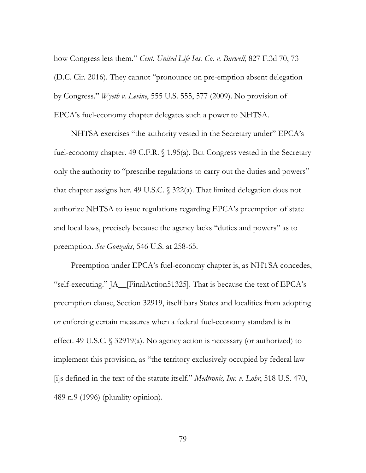how Congress lets them." *Cent. United Life Ins. Co. v. Burwell*, 827 F.3d 70, 73 (D.C. Cir. 2016). They cannot "pronounce on pre-emption absent delegation by Congress." *Wyeth v. Levine*, 555 U.S. 555, 577 (2009). No provision of EPCA's fuel-economy chapter delegates such a power to NHTSA.

NHTSA exercises "the authority vested in the Secretary under" EPCA's fuel-economy chapter. 49 C.F.R. § 1.95(a). But Congress vested in the Secretary only the authority to "prescribe regulations to carry out the duties and powers" that chapter assigns her. 49 U.S.C. § 322(a). That limited delegation does not authorize NHTSA to issue regulations regarding EPCA's preemption of state and local laws, precisely because the agency lacks "duties and powers" as to preemption. *See Gonzales*, 546 U.S. at 258-65.

Preemption under EPCA's fuel-economy chapter is, as NHTSA concedes, "self-executing." JA\_\_[FinalAction51325]. That is because the text of EPCA's preemption clause, Section 32919, itself bars States and localities from adopting or enforcing certain measures when a federal fuel-economy standard is in effect. 49 U.S.C. § 32919(a). No agency action is necessary (or authorized) to implement this provision, as "the territory exclusively occupied by federal law [i]s defined in the text of the statute itself." *Medtronic, Inc. v. Lohr*, 518 U.S. 470, 489 n.9 (1996) (plurality opinion).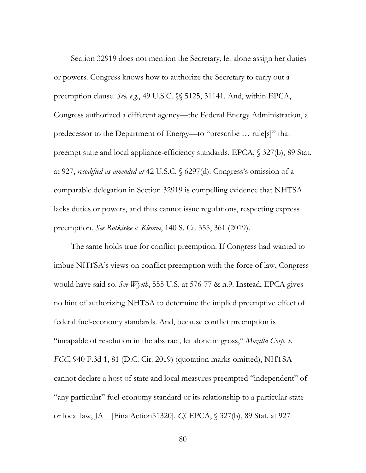Section 32919 does not mention the Secretary, let alone assign her duties or powers. Congress knows how to authorize the Secretary to carry out a preemption clause. *See, e.g.*, 49 U.S.C. §§ 5125, 31141. And, within EPCA, Congress authorized a different agency—the Federal Energy Administration, a predecessor to the Department of Energy—to "prescribe … rule[s]" that preempt state and local appliance-efficiency standards. EPCA, § 327(b), 89 Stat. at 927, *recodified as amended at* 42 U.S.C. § 6297(d). Congress's omission of a comparable delegation in Section 32919 is compelling evidence that NHTSA lacks duties or powers, and thus cannot issue regulations, respecting express preemption. *See Rotkiske v. Klemm*, 140 S. Ct. 355, 361 (2019).

The same holds true for conflict preemption. If Congress had wanted to imbue NHTSA's views on conflict preemption with the force of law, Congress would have said so. *See Wyeth*, 555 U.S. at 576-77 & n.9. Instead, EPCA gives no hint of authorizing NHTSA to determine the implied preemptive effect of federal fuel-economy standards. And, because conflict preemption is "incapable of resolution in the abstract, let alone in gross," *Mozilla Corp. v. FCC*, 940 F.3d 1, 81 (D.C. Cir. 2019) (quotation marks omitted), NHTSA cannot declare a host of state and local measures preempted "independent" of "any particular" fuel-economy standard or its relationship to a particular state or local law, JA\_\_[FinalAction51320]. *Cf.* EPCA, § 327(b), 89 Stat. at 927

80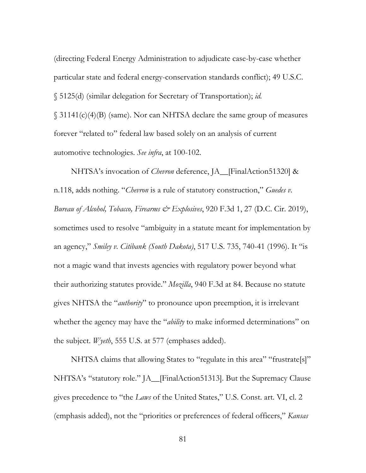(directing Federal Energy Administration to adjudicate case-by-case whether particular state and federal energy-conservation standards conflict); 49 U.S.C. § 5125(d) (similar delegation for Secretary of Transportation); *id.* § 31141(c)(4)(B) (same). Nor can NHTSA declare the same group of measures forever "related to" federal law based solely on an analysis of current automotive technologies. *See infra*, at 100-102.

NHTSA's invocation of *Chevron* deference, JA\_\_[FinalAction51320] & n.118, adds nothing. "*Chevron* is a rule of statutory construction," *Guedes v. Bureau of Alcohol, Tobacco, Firearms & Explosives*, 920 F.3d 1, 27 (D.C. Cir. 2019), sometimes used to resolve "ambiguity in a statute meant for implementation by an agency," *Smiley v. Citibank (South Dakota)*, 517 U.S. 735, 740-41 (1996). It "is not a magic wand that invests agencies with regulatory power beyond what their authorizing statutes provide." *Mozilla*, 940 F.3d at 84. Because no statute gives NHTSA the "*authority*" to pronounce upon preemption, it is irrelevant whether the agency may have the "*ability* to make informed determinations" on the subject. *Wyeth*, 555 U.S. at 577 (emphases added).

NHTSA claims that allowing States to "regulate in this area" "frustrate[s]" NHTSA's "statutory role." JA\_[FinalAction51313]. But the Supremacy Clause gives precedence to "the *Laws* of the United States," U.S. Const. art. VI, cl. 2 (emphasis added), not the "priorities or preferences of federal officers," *Kansas*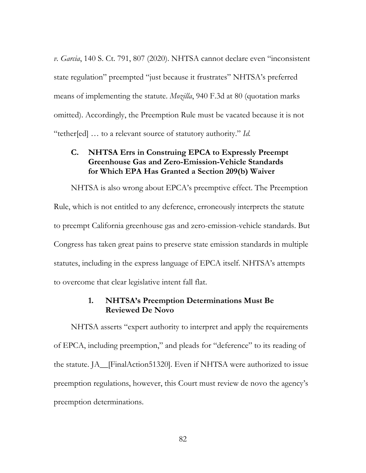*v. Garcia*, 140 S. Ct. 791, 807 (2020). NHTSA cannot declare even "inconsistent state regulation" preempted "just because it frustrates" NHTSA's preferred means of implementing the statute. *Mozilla*, 940 F.3d at 80 (quotation marks omitted). Accordingly, the Preemption Rule must be vacated because it is not "tether[ed] … to a relevant source of statutory authority." *Id.*

# **C. NHTSA Errs in Construing EPCA to Expressly Preempt Greenhouse Gas and Zero-Emission-Vehicle Standards for Which EPA Has Granted a Section 209(b) Waiver**

NHTSA is also wrong about EPCA's preemptive effect. The Preemption Rule, which is not entitled to any deference, erroneously interprets the statute to preempt California greenhouse gas and zero-emission-vehicle standards. But Congress has taken great pains to preserve state emission standards in multiple statutes, including in the express language of EPCA itself. NHTSA's attempts to overcome that clear legislative intent fall flat.

### **1. NHTSA's Preemption Determinations Must Be Reviewed De Novo**

NHTSA asserts "expert authority to interpret and apply the requirements of EPCA, including preemption," and pleads for "deference" to its reading of the statute. JA\_\_[FinalAction51320]. Even if NHTSA were authorized to issue preemption regulations, however, this Court must review de novo the agency's preemption determinations.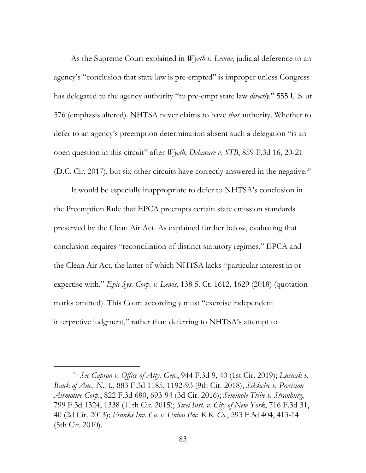As the Supreme Court explained in *Wyeth v. Levine*, judicial deference to an agency's "conclusion that state law is pre-empted" is improper unless Congress has delegated to the agency authority "to pre-empt state law *directly*." 555 U.S. at 576 (emphasis altered). NHTSA never claims to have *that* authority. Whether to defer to an agency's preemption determination absent such a delegation "is an open question in this circuit" after *Wyeth*, *Delaware v. STB*, 859 F.3d 16, 20-21 (D.C. Cir. 2017), but six other circuits have correctly answered in the negative.<sup>24</sup>

It would be especially inappropriate to defer to NHTSA's conclusion in the Preemption Rule that EPCA preempts certain state emission standards preserved by the Clean Air Act. As explained further below, evaluating that conclusion requires "reconciliation of distinct statutory regimes," EPCA and the Clean Air Act, the latter of which NHTSA lacks "particular interest in or expertise with." *Epic Sys. Corp. v. Lewis*, 138 S. Ct. 1612, 1629 (2018) (quotation marks omitted). This Court accordingly must "exercise independent interpretive judgment," rather than deferring to NHTSA's attempt to

 <sup>24</sup> *See Capron v. Office of Atty. Gen.*, 944 F.3d 9, 40 (1st Cir. 2019); *Lusnak v. Bank of Am., N.A.*, 883 F.3d 1185, 1192-93 (9th Cir. 2018); *Sikkelee v. Precision Airmotive Corp.*, 822 F.3d 680, 693-94 (3d Cir. 2016); *Seminole Tribe v. Stranburg*, 799 F.3d 1324, 1338 (11th Cir. 2015); *Steel Inst. v. City of New York*, 716 F.3d 31, 40 (2d Cir. 2013); *Franks Inv. Co. v. Union Pac. R.R. Co.*, 593 F.3d 404, 413-14 (5th Cir. 2010).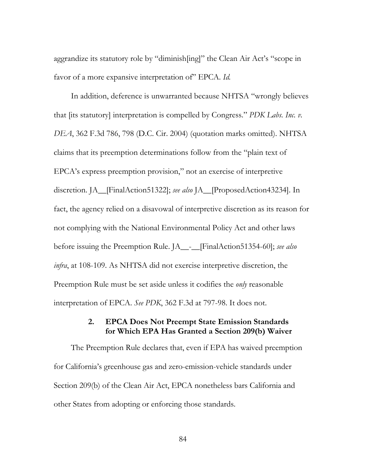aggrandize its statutory role by "diminish[ing]" the Clean Air Act's "scope in favor of a more expansive interpretation of" EPCA. *Id.*

In addition, deference is unwarranted because NHTSA "wrongly believes that [its statutory] interpretation is compelled by Congress." *PDK Labs. Inc. v. DEA*, 362 F.3d 786, 798 (D.C. Cir. 2004) (quotation marks omitted). NHTSA claims that its preemption determinations follow from the "plain text of EPCA's express preemption provision," not an exercise of interpretive discretion. JA\_\_[FinalAction51322]; *see also* JA\_\_[ProposedAction43234]. In fact, the agency relied on a disavowal of interpretive discretion as its reason for not complying with the National Environmental Policy Act and other laws before issuing the Preemption Rule. JA\_\_-\_\_[FinalAction51354-60]; *see also infra*, at 108-109. As NHTSA did not exercise interpretive discretion, the Preemption Rule must be set aside unless it codifies the *only* reasonable interpretation of EPCA. *See PDK*, 362 F.3d at 797-98. It does not.

# **2. EPCA Does Not Preempt State Emission Standards for Which EPA Has Granted a Section 209(b) Waiver**

The Preemption Rule declares that, even if EPA has waived preemption for California's greenhouse gas and zero-emission-vehicle standards under Section 209(b) of the Clean Air Act, EPCA nonetheless bars California and other States from adopting or enforcing those standards.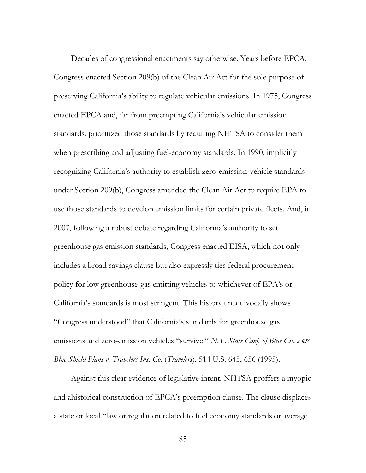Decades of congressional enactments say otherwise. Years before EPCA, Congress enacted Section 209(b) of the Clean Air Act for the sole purpose of preserving California's ability to regulate vehicular emissions. In 1975, Congress enacted EPCA and, far from preempting California's vehicular emission standards, prioritized those standards by requiring NHTSA to consider them when prescribing and adjusting fuel-economy standards. In 1990, implicitly recognizing California's authority to establish zero-emission-vehicle standards under Section 209(b), Congress amended the Clean Air Act to require EPA to use those standards to develop emission limits for certain private fleets. And, in 2007, following a robust debate regarding California's authority to set greenhouse gas emission standards, Congress enacted EISA, which not only includes a broad savings clause but also expressly ties federal procurement policy for low greenhouse-gas emitting vehicles to whichever of EPA's or California's standards is most stringent. This history unequivocally shows "Congress understood" that California's standards for greenhouse gas emissions and zero-emission vehicles "survive." *N.Y. State Conf. of Blue Cross & Blue Shield Plans v. Travelers Ins. Co.* (*Travelers*), 514 U.S. 645, 656 (1995).

Against this clear evidence of legislative intent, NHTSA proffers a myopic and ahistorical construction of EPCA's preemption clause. The clause displaces a state or local "law or regulation related to fuel economy standards or average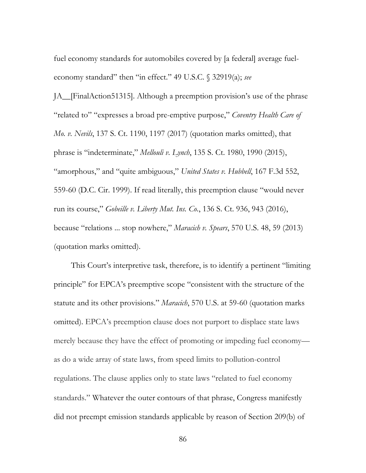fuel economy standards for automobiles covered by [a federal] average fueleconomy standard" then "in effect." 49 U.S.C. § 32919(a); *see* 

JA\_\_[FinalAction51315]. Although a preemption provision's use of the phrase "related to" "expresses a broad pre-emptive purpose," *Coventry Health Care of Mo. v. Nevils*, 137 S. Ct. 1190, 1197 (2017) (quotation marks omitted), that phrase is "indeterminate," *Mellouli v. Lynch*, 135 S. Ct. 1980, 1990 (2015), "amorphous," and "quite ambiguous," *United States v. Hubbell*, 167 F.3d 552, 559-60 (D.C. Cir. 1999). If read literally, this preemption clause "would never run its course," *Gobeille v. Liberty Mut. Ins. Co.*, 136 S. Ct. 936, 943 (2016), because "relations ... stop nowhere," *Maracich v. Spears*, 570 U.S. 48, 59 (2013) (quotation marks omitted).

This Court's interpretive task, therefore, is to identify a pertinent "limiting principle" for EPCA's preemptive scope "consistent with the structure of the statute and its other provisions." *Maracich*, 570 U.S. at 59-60 (quotation marks omitted). EPCA's preemption clause does not purport to displace state laws merely because they have the effect of promoting or impeding fuel economy as do a wide array of state laws, from speed limits to pollution-control regulations. The clause applies only to state laws "related to fuel economy standards." Whatever the outer contours of that phrase, Congress manifestly did not preempt emission standards applicable by reason of Section 209(b) of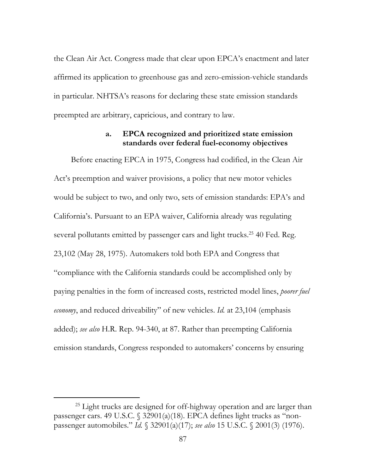the Clean Air Act. Congress made that clear upon EPCA's enactment and later affirmed its application to greenhouse gas and zero-emission-vehicle standards in particular. NHTSA's reasons for declaring these state emission standards preempted are arbitrary, capricious, and contrary to law.

#### **a. EPCA recognized and prioritized state emission standards over federal fuel-economy objectives**

Before enacting EPCA in 1975, Congress had codified, in the Clean Air Act's preemption and waiver provisions, a policy that new motor vehicles would be subject to two, and only two, sets of emission standards: EPA's and California's. Pursuant to an EPA waiver, California already was regulating several pollutants emitted by passenger cars and light trucks.<sup>25</sup> 40 Fed. Reg. 23,102 (May 28, 1975). Automakers told both EPA and Congress that "compliance with the California standards could be accomplished only by paying penalties in the form of increased costs, restricted model lines, *poorer fuel economy*, and reduced driveability" of new vehicles. *Id.* at 23,104 (emphasis added); *see also* H.R. Rep. 94-340, at 87. Rather than preempting California emission standards, Congress responded to automakers' concerns by ensuring

<sup>&</sup>lt;sup>25</sup> Light trucks are designed for off-highway operation and are larger than passenger cars. 49 U.S.C. § 32901(a)(18). EPCA defines light trucks as "nonpassenger automobiles." *Id.* § 32901(a)(17); *see also* 15 U.S.C. § 2001(3) (1976).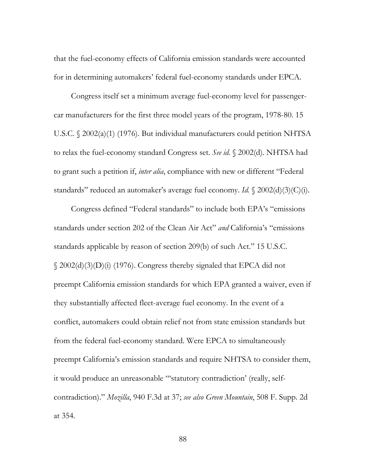that the fuel-economy effects of California emission standards were accounted for in determining automakers' federal fuel-economy standards under EPCA.

Congress itself set a minimum average fuel-economy level for passengercar manufacturers for the first three model years of the program, 1978-80. 15 U.S.C. § 2002(a)(1) (1976). But individual manufacturers could petition NHTSA to relax the fuel-economy standard Congress set. *See id.* § 2002(d). NHTSA had to grant such a petition if, *inter alia*, compliance with new or different "Federal standards" reduced an automaker's average fuel economy. *Id.* § 2002(d)(3)(C)(i).

Congress defined "Federal standards" to include both EPA's "emissions standards under section 202 of the Clean Air Act" *and* California's "emissions standards applicable by reason of section 209(b) of such Act." 15 U.S.C. § 2002(d)(3)(D)(i) (1976). Congress thereby signaled that EPCA did not preempt California emission standards for which EPA granted a waiver, even if they substantially affected fleet-average fuel economy. In the event of a conflict, automakers could obtain relief not from state emission standards but from the federal fuel-economy standard. Were EPCA to simultaneously preempt California's emission standards and require NHTSA to consider them, it would produce an unreasonable "'statutory contradiction' (really, selfcontradiction)." *Mozilla*, 940 F.3d at 37; *see also Green Mountain*, 508 F. Supp. 2d at 354.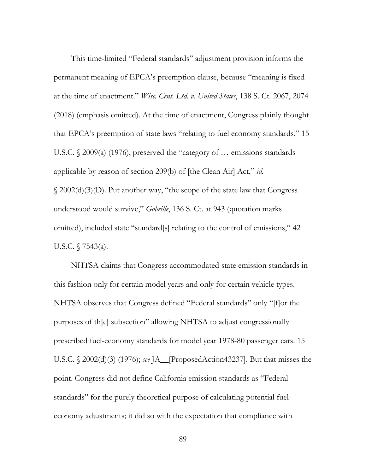This time-limited "Federal standards" adjustment provision informs the permanent meaning of EPCA's preemption clause, because "meaning is fixed at the time of enactment." *Wisc. Cent. Ltd. v. United States*, 138 S. Ct. 2067, 2074 (2018) (emphasis omitted). At the time of enactment, Congress plainly thought that EPCA's preemption of state laws "relating to fuel economy standards," 15 U.S.C. § 2009(a) (1976), preserved the "category of ... emissions standards applicable by reason of section 209(b) of [the Clean Air] Act," *id.* § 2002(d)(3)(D). Put another way, "the scope of the state law that Congress understood would survive," *Gobeille*, 136 S. Ct. at 943 (quotation marks omitted), included state "standard[s] relating to the control of emissions," 42 U.S.C. § 7543(a).

NHTSA claims that Congress accommodated state emission standards in this fashion only for certain model years and only for certain vehicle types. NHTSA observes that Congress defined "Federal standards" only "[f]or the purposes of th[e] subsection" allowing NHTSA to adjust congressionally prescribed fuel-economy standards for model year 1978-80 passenger cars. 15 U.S.C. § 2002(d)(3) (1976); *see* JA\_\_[ProposedAction43237]. But that misses the point. Congress did not define California emission standards as "Federal standards" for the purely theoretical purpose of calculating potential fueleconomy adjustments; it did so with the expectation that compliance with

89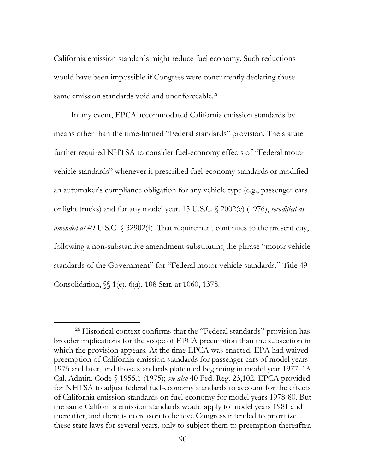California emission standards might reduce fuel economy. Such reductions would have been impossible if Congress were concurrently declaring those same emission standards void and unenforceable.<sup>26</sup>

In any event, EPCA accommodated California emission standards by means other than the time-limited "Federal standards" provision. The statute further required NHTSA to consider fuel-economy effects of "Federal motor vehicle standards" whenever it prescribed fuel-economy standards or modified an automaker's compliance obligation for any vehicle type (e.g., passenger cars or light trucks) and for any model year. 15 U.S.C. § 2002(e) (1976), *recodified as amended at* 49 U.S.C. § 32902(f). That requirement continues to the present day, following a non-substantive amendment substituting the phrase "motor vehicle standards of the Government" for "Federal motor vehicle standards." Title 49 Consolidation, §§ 1(e), 6(a), 108 Stat. at 1060, 1378.

<sup>&</sup>lt;sup>26</sup> Historical context confirms that the "Federal standards" provision has broader implications for the scope of EPCA preemption than the subsection in which the provision appears. At the time EPCA was enacted, EPA had waived preemption of California emission standards for passenger cars of model years 1975 and later, and those standards plateaued beginning in model year 1977. 13 Cal. Admin. Code § 1955.1 (1975); *see also* 40 Fed. Reg. 23,102. EPCA provided for NHTSA to adjust federal fuel-economy standards to account for the effects of California emission standards on fuel economy for model years 1978-80. But the same California emission standards would apply to model years 1981 and thereafter, and there is no reason to believe Congress intended to prioritize these state laws for several years, only to subject them to preemption thereafter.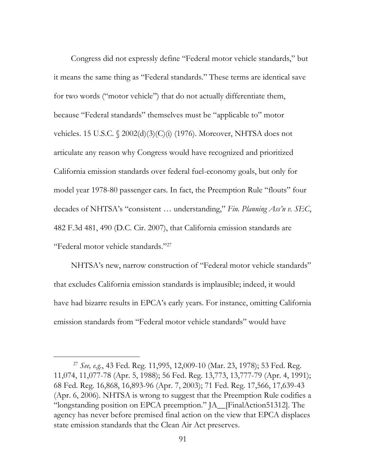Congress did not expressly define "Federal motor vehicle standards," but it means the same thing as "Federal standards." These terms are identical save for two words ("motor vehicle") that do not actually differentiate them, because "Federal standards" themselves must be "applicable to" motor vehicles. 15 U.S.C. § 2002(d)(3)(C)(i) (1976). Moreover, NHTSA does not articulate any reason why Congress would have recognized and prioritized California emission standards over federal fuel-economy goals, but only for model year 1978-80 passenger cars. In fact, the Preemption Rule "flouts" four decades of NHTSA's "consistent … understanding," *Fin. Planning Ass'n v. SEC*, 482 F.3d 481, 490 (D.C. Cir. 2007), that California emission standards are "Federal motor vehicle standards."27

NHTSA's new, narrow construction of "Federal motor vehicle standards" that excludes California emission standards is implausible; indeed, it would have had bizarre results in EPCA's early years. For instance, omitting California emission standards from "Federal motor vehicle standards" would have

 <sup>27</sup> *See, e.g.*, 43 Fed. Reg. 11,995, 12,009-10 (Mar. 23, 1978); 53 Fed. Reg. 11,074, 11,077-78 (Apr. 5, 1988); 56 Fed. Reg. 13,773, 13,777-79 (Apr. 4, 1991); 68 Fed. Reg. 16,868, 16,893-96 (Apr. 7, 2003); 71 Fed. Reg. 17,566, 17,639-43 (Apr. 6, 2006). NHTSA is wrong to suggest that the Preemption Rule codifies a "longstanding position on EPCA preemption." JA\_\_[FinalAction51312]. The agency has never before premised final action on the view that EPCA displaces state emission standards that the Clean Air Act preserves.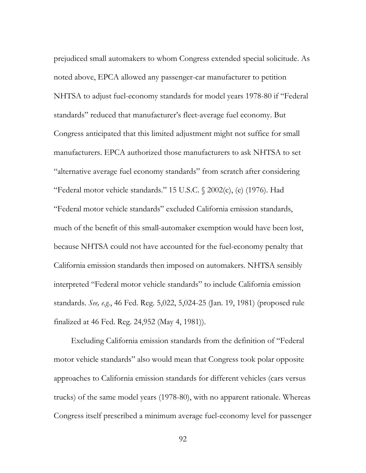prejudiced small automakers to whom Congress extended special solicitude. As noted above, EPCA allowed any passenger-car manufacturer to petition NHTSA to adjust fuel-economy standards for model years 1978-80 if "Federal standards" reduced that manufacturer's fleet-average fuel economy. But Congress anticipated that this limited adjustment might not suffice for small manufacturers. EPCA authorized those manufacturers to ask NHTSA to set "alternative average fuel economy standards" from scratch after considering "Federal motor vehicle standards." 15 U.S.C. § 2002(c), (e) (1976). Had "Federal motor vehicle standards" excluded California emission standards, much of the benefit of this small-automaker exemption would have been lost, because NHTSA could not have accounted for the fuel-economy penalty that California emission standards then imposed on automakers. NHTSA sensibly interpreted "Federal motor vehicle standards" to include California emission standards. *See, e.g.*, 46 Fed. Reg. 5,022, 5,024-25 (Jan. 19, 1981) (proposed rule finalized at 46 Fed. Reg. 24,952 (May 4, 1981)).

Excluding California emission standards from the definition of "Federal motor vehicle standards" also would mean that Congress took polar opposite approaches to California emission standards for different vehicles (cars versus trucks) of the same model years (1978-80), with no apparent rationale. Whereas Congress itself prescribed a minimum average fuel-economy level for passenger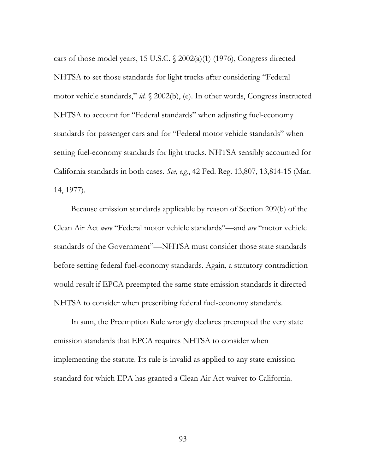cars of those model years, 15 U.S.C.  $\sqrt{2002(a)(1)}$  (1976), Congress directed NHTSA to set those standards for light trucks after considering "Federal motor vehicle standards," *id.* § 2002(b), (e). In other words, Congress instructed NHTSA to account for "Federal standards" when adjusting fuel-economy standards for passenger cars and for "Federal motor vehicle standards" when setting fuel-economy standards for light trucks. NHTSA sensibly accounted for California standards in both cases. *See, e.g.*, 42 Fed. Reg. 13,807, 13,814-15 (Mar. 14, 1977).

Because emission standards applicable by reason of Section 209(b) of the Clean Air Act *were* "Federal motor vehicle standards"—and *are* "motor vehicle standards of the Government"—NHTSA must consider those state standards before setting federal fuel-economy standards. Again, a statutory contradiction would result if EPCA preempted the same state emission standards it directed NHTSA to consider when prescribing federal fuel-economy standards.

In sum, the Preemption Rule wrongly declares preempted the very state emission standards that EPCA requires NHTSA to consider when implementing the statute. Its rule is invalid as applied to any state emission standard for which EPA has granted a Clean Air Act waiver to California.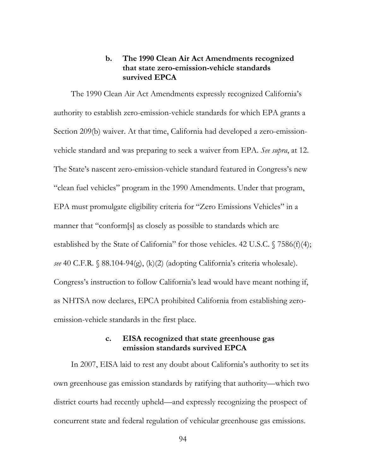### **b. The 1990 Clean Air Act Amendments recognized that state zero-emission-vehicle standards survived EPCA**

The 1990 Clean Air Act Amendments expressly recognized California's authority to establish zero-emission-vehicle standards for which EPA grants a Section 209(b) waiver. At that time, California had developed a zero-emissionvehicle standard and was preparing to seek a waiver from EPA. *See supra*, at 12. The State's nascent zero-emission-vehicle standard featured in Congress's new "clean fuel vehicles" program in the 1990 Amendments. Under that program, EPA must promulgate eligibility criteria for "Zero Emissions Vehicles" in a manner that "conform[s] as closely as possible to standards which are established by the State of California" for those vehicles. 42 U.S.C.  $\sqrt{7586(f)(4)}$ ; *see* 40 C.F.R. § 88.104-94(g), (k)(2) (adopting California's criteria wholesale). Congress's instruction to follow California's lead would have meant nothing if, as NHTSA now declares, EPCA prohibited California from establishing zeroemission-vehicle standards in the first place.

### **c. EISA recognized that state greenhouse gas emission standards survived EPCA**

In 2007, EISA laid to rest any doubt about California's authority to set its own greenhouse gas emission standards by ratifying that authority—which two district courts had recently upheld—and expressly recognizing the prospect of concurrent state and federal regulation of vehicular greenhouse gas emissions.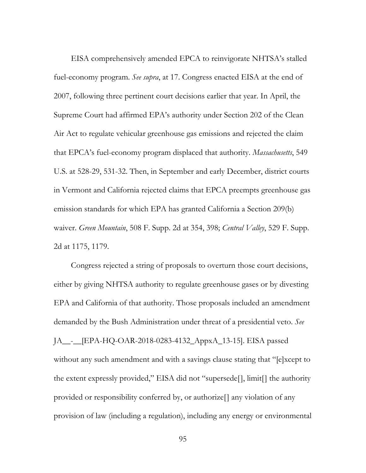EISA comprehensively amended EPCA to reinvigorate NHTSA's stalled fuel-economy program. *See supra*, at 17. Congress enacted EISA at the end of 2007, following three pertinent court decisions earlier that year. In April, the Supreme Court had affirmed EPA's authority under Section 202 of the Clean Air Act to regulate vehicular greenhouse gas emissions and rejected the claim that EPCA's fuel-economy program displaced that authority. *Massachusetts*, 549 U.S. at 528-29, 531-32. Then, in September and early December, district courts in Vermont and California rejected claims that EPCA preempts greenhouse gas emission standards for which EPA has granted California a Section 209(b) waiver. *Green Mountain*, 508 F. Supp. 2d at 354, 398; *Central Valley*, 529 F. Supp. 2d at 1175, 1179.

Congress rejected a string of proposals to overturn those court decisions, either by giving NHTSA authority to regulate greenhouse gases or by divesting EPA and California of that authority. Those proposals included an amendment demanded by the Bush Administration under threat of a presidential veto. *See*  JA\_\_-\_\_[EPA-HQ-OAR-2018-0283-4132\_AppxA\_13-15]. EISA passed without any such amendment and with a savings clause stating that "[e]xcept to the extent expressly provided," EISA did not "supersede[], limit[] the authority provided or responsibility conferred by, or authorize[] any violation of any provision of law (including a regulation), including any energy or environmental

95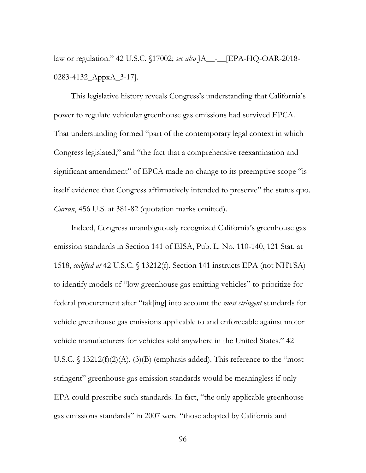law or regulation." 42 U.S.C. §17002; *see also* JA\_\_-\_\_[EPA-HQ-OAR-2018- 0283-4132\_AppxA\_3-17].

This legislative history reveals Congress's understanding that California's power to regulate vehicular greenhouse gas emissions had survived EPCA. That understanding formed "part of the contemporary legal context in which Congress legislated," and "the fact that a comprehensive reexamination and significant amendment" of EPCA made no change to its preemptive scope "is itself evidence that Congress affirmatively intended to preserve" the status quo. *Curran*, 456 U.S. at 381-82 (quotation marks omitted).

Indeed, Congress unambiguously recognized California's greenhouse gas emission standards in Section 141 of EISA, Pub. L. No. 110-140, 121 Stat. at 1518, *codified at* 42 U.S.C. § 13212(f). Section 141 instructs EPA (not NHTSA) to identify models of "low greenhouse gas emitting vehicles" to prioritize for federal procurement after "tak[ing] into account the *most stringent* standards for vehicle greenhouse gas emissions applicable to and enforceable against motor vehicle manufacturers for vehicles sold anywhere in the United States." 42 U.S.C.  $\S$  13212(f)(2)(A), (3)(B) (emphasis added). This reference to the "most stringent" greenhouse gas emission standards would be meaningless if only EPA could prescribe such standards. In fact, "the only applicable greenhouse gas emissions standards" in 2007 were "those adopted by California and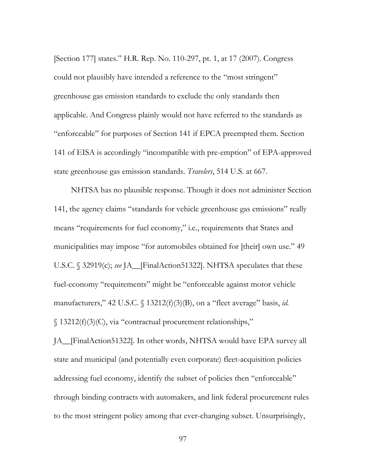[Section 177] states." H.R. Rep. No. 110-297, pt. 1, at 17 (2007). Congress could not plausibly have intended a reference to the "most stringent" greenhouse gas emission standards to exclude the only standards then applicable. And Congress plainly would not have referred to the standards as "enforceable" for purposes of Section 141 if EPCA preempted them. Section 141 of EISA is accordingly "incompatible with pre-emption" of EPA-approved state greenhouse gas emission standards. *Travelers*, 514 U.S. at 667.

NHTSA has no plausible response. Though it does not administer Section 141, the agency claims "standards for vehicle greenhouse gas emissions" really means "requirements for fuel economy," i.e., requirements that States and municipalities may impose "for automobiles obtained for [their] own use." 49 U.S.C. § 32919(c); *see* JA\_\_[FinalAction51322]. NHTSA speculates that these fuel-economy "requirements" might be "enforceable against motor vehicle manufacturers," 42 U.S.C. § 13212(f)(3)(B), on a "fleet average" basis, *id.* § 13212(f)(3)(C), via "contractual procurement relationships,"

JA\_\_[FinalAction51322]. In other words, NHTSA would have EPA survey all state and municipal (and potentially even corporate) fleet-acquisition policies addressing fuel economy, identify the subset of policies then "enforceable" through binding contracts with automakers, and link federal procurement rules to the most stringent policy among that ever-changing subset. Unsurprisingly,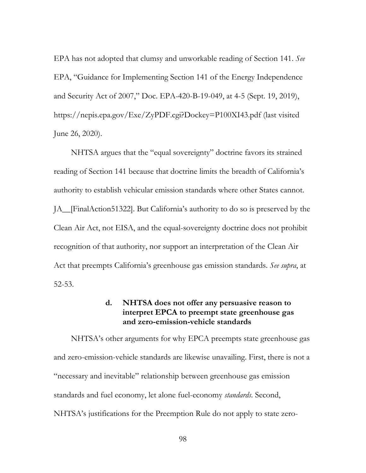EPA has not adopted that clumsy and unworkable reading of Section 141. *See* EPA, "Guidance for Implementing Section 141 of the Energy Independence and Security Act of 2007," Doc. EPA-420-B-19-049, at 4-5 (Sept. 19, 2019), https://nepis.epa.gov/Exe/ZyPDF.cgi?Dockey=P100XI43.pdf (last visited June 26, 2020).

NHTSA argues that the "equal sovereignty" doctrine favors its strained reading of Section 141 because that doctrine limits the breadth of California's authority to establish vehicular emission standards where other States cannot. JA\_\_[FinalAction51322]. But California's authority to do so is preserved by the Clean Air Act, not EISA, and the equal-sovereignty doctrine does not prohibit recognition of that authority, nor support an interpretation of the Clean Air Act that preempts California's greenhouse gas emission standards. *See supra*, at 52-53.

# **d. NHTSA does not offer any persuasive reason to interpret EPCA to preempt state greenhouse gas and zero-emission-vehicle standards**

NHTSA's other arguments for why EPCA preempts state greenhouse gas and zero-emission-vehicle standards are likewise unavailing. First, there is not a "necessary and inevitable" relationship between greenhouse gas emission standards and fuel economy, let alone fuel-economy *standards*. Second, NHTSA's justifications for the Preemption Rule do not apply to state zero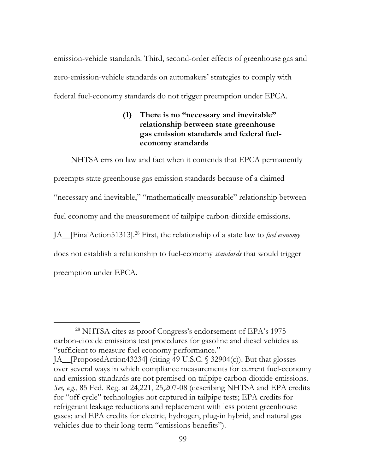emission-vehicle standards. Third, second-order effects of greenhouse gas and zero-emission-vehicle standards on automakers' strategies to comply with federal fuel-economy standards do not trigger preemption under EPCA.

# **(1) There is no "necessary and inevitable" relationship between state greenhouse gas emission standards and federal fueleconomy standards**

NHTSA errs on law and fact when it contends that EPCA permanently preempts state greenhouse gas emission standards because of a claimed "necessary and inevitable," "mathematically measurable" relationship between fuel economy and the measurement of tailpipe carbon-dioxide emissions. JA\_\_[FinalAction51313].28 First, the relationship of a state law to *fuel economy* does not establish a relationship to fuel-economy *standards* that would trigger preemption under EPCA.

 <sup>28</sup> NHTSA cites as proof Congress's endorsement of EPA's 1975 carbon-dioxide emissions test procedures for gasoline and diesel vehicles as "sufficient to measure fuel economy performance."

JA\_\_[ProposedAction43234] (citing 49 U.S.C. § 32904(c)). But that glosses over several ways in which compliance measurements for current fuel-economy and emission standards are not premised on tailpipe carbon-dioxide emissions. *See, e.g.*, 85 Fed. Reg. at 24,221, 25,207-08 (describing NHTSA and EPA credits for "off-cycle" technologies not captured in tailpipe tests; EPA credits for refrigerant leakage reductions and replacement with less potent greenhouse gases; and EPA credits for electric, hydrogen, plug-in hybrid, and natural gas vehicles due to their long-term "emissions benefits").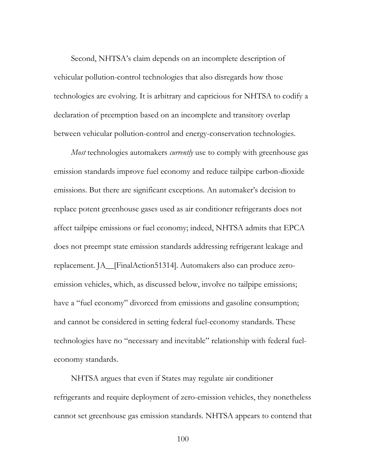Second, NHTSA's claim depends on an incomplete description of vehicular pollution-control technologies that also disregards how those technologies are evolving. It is arbitrary and capricious for NHTSA to codify a declaration of preemption based on an incomplete and transitory overlap between vehicular pollution-control and energy-conservation technologies.

*Most* technologies automakers *currently* use to comply with greenhouse gas emission standards improve fuel economy and reduce tailpipe carbon-dioxide emissions. But there are significant exceptions. An automaker's decision to replace potent greenhouse gases used as air conditioner refrigerants does not affect tailpipe emissions or fuel economy; indeed, NHTSA admits that EPCA does not preempt state emission standards addressing refrigerant leakage and replacement. JA\_\_[FinalAction51314]. Automakers also can produce zeroemission vehicles, which, as discussed below, involve no tailpipe emissions; have a "fuel economy" divorced from emissions and gasoline consumption; and cannot be considered in setting federal fuel-economy standards. These technologies have no "necessary and inevitable" relationship with federal fueleconomy standards.

NHTSA argues that even if States may regulate air conditioner refrigerants and require deployment of zero-emission vehicles, they nonetheless cannot set greenhouse gas emission standards. NHTSA appears to contend that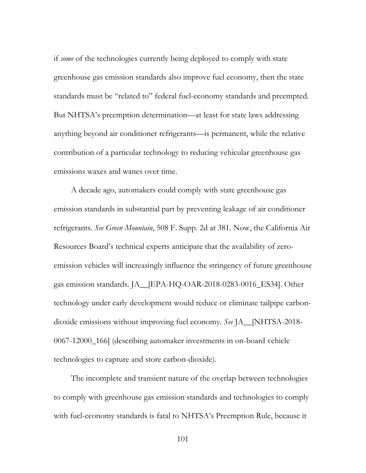if *some* of the technologies currently being deployed to comply with state greenhouse gas emission standards also improve fuel economy, then the state standards must be "related to" federal fuel-economy standards and preempted. But NHTSA's preemption determination—at least for state laws addressing anything beyond air conditioner refrigerants—is permanent, while the relative contribution of a particular technology to reducing vehicular greenhouse gas emissions waxes and wanes over time.

A decade ago, automakers could comply with state greenhouse gas emission standards in substantial part by preventing leakage of air conditioner refrigerants. *See Green Mountain*, 508 F. Supp. 2d at 381. Now, the California Air Resources Board's technical experts anticipate that the availability of zeroemission vehicles will increasingly influence the stringency of future greenhouse gas emission standards. JA\_\_[EPA-HQ-OAR-2018-0283-0016\_ES34]. Other technology under early development would reduce or eliminate tailpipe carbondioxide emissions without improving fuel economy. *See* JA\_\_[NHTSA-2018- 0067-12000\_166] (describing automaker investments in on-board vehicle technologies to capture and store carbon-dioxide).

The incomplete and transient nature of the overlap between technologies to comply with greenhouse gas emission standards and technologies to comply with fuel-economy standards is fatal to NHTSA's Preemption Rule, because it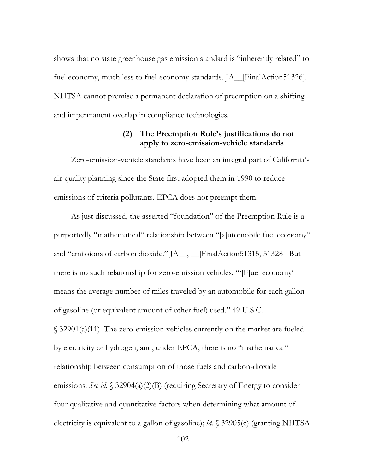shows that no state greenhouse gas emission standard is "inherently related" to fuel economy, much less to fuel-economy standards. JA\_\_[FinalAction51326]. NHTSA cannot premise a permanent declaration of preemption on a shifting and impermanent overlap in compliance technologies.

### **(2) The Preemption Rule's justifications do not apply to zero-emission-vehicle standards**

Zero-emission-vehicle standards have been an integral part of California's air-quality planning since the State first adopted them in 1990 to reduce emissions of criteria pollutants. EPCA does not preempt them.

As just discussed, the asserted "foundation" of the Preemption Rule is a purportedly "mathematical" relationship between "[a]utomobile fuel economy" and "emissions of carbon dioxide." JA\_\_, \_\_[FinalAction51315, 51328]. But there is no such relationship for zero-emission vehicles. "'[F]uel economy' means the average number of miles traveled by an automobile for each gallon of gasoline (or equivalent amount of other fuel) used." 49 U.S.C. § 32901(a)(11). The zero-emission vehicles currently on the market are fueled by electricity or hydrogen, and, under EPCA, there is no "mathematical" relationship between consumption of those fuels and carbon-dioxide emissions. *See id.* § 32904(a)(2)(B) (requiring Secretary of Energy to consider four qualitative and quantitative factors when determining what amount of electricity is equivalent to a gallon of gasoline); *id.* § 32905(c) (granting NHTSA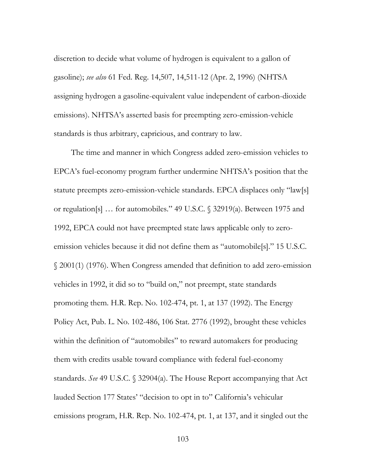discretion to decide what volume of hydrogen is equivalent to a gallon of gasoline); *see also* 61 Fed. Reg. 14,507, 14,511-12 (Apr. 2, 1996) (NHTSA assigning hydrogen a gasoline-equivalent value independent of carbon-dioxide emissions). NHTSA's asserted basis for preempting zero-emission-vehicle standards is thus arbitrary, capricious, and contrary to law.

The time and manner in which Congress added zero-emission vehicles to EPCA's fuel-economy program further undermine NHTSA's position that the statute preempts zero-emission-vehicle standards. EPCA displaces only "law[s] or regulation[s] … for automobiles." 49 U.S.C. § 32919(a). Between 1975 and 1992, EPCA could not have preempted state laws applicable only to zeroemission vehicles because it did not define them as "automobile[s]." 15 U.S.C. § 2001(1) (1976). When Congress amended that definition to add zero-emission vehicles in 1992, it did so to "build on," not preempt, state standards promoting them. H.R. Rep. No. 102-474, pt. 1, at 137 (1992). The Energy Policy Act, Pub. L. No. 102-486, 106 Stat. 2776 (1992), brought these vehicles within the definition of "automobiles" to reward automakers for producing them with credits usable toward compliance with federal fuel-economy standards. *See* 49 U.S.C. § 32904(a). The House Report accompanying that Act lauded Section 177 States' "decision to opt in to" California's vehicular emissions program, H.R. Rep. No. 102-474, pt. 1, at 137, and it singled out the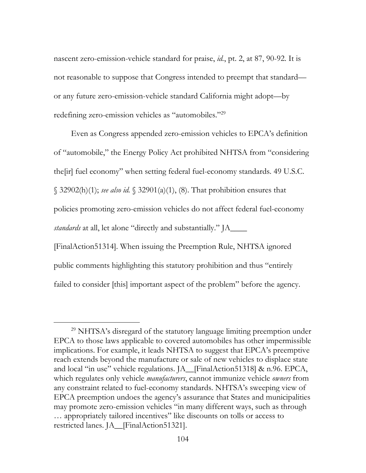nascent zero-emission-vehicle standard for praise, *id.*, pt. 2, at 87, 90-92. It is not reasonable to suppose that Congress intended to preempt that standard or any future zero-emission-vehicle standard California might adopt—by redefining zero-emission vehicles as "automobiles."29

Even as Congress appended zero-emission vehicles to EPCA's definition of "automobile," the Energy Policy Act prohibited NHTSA from "considering the[ir] fuel economy" when setting federal fuel-economy standards. 49 U.S.C. § 32902(h)(1); *see also id.* § 32901(a)(1), (8). That prohibition ensures that policies promoting zero-emission vehicles do not affect federal fuel-economy *standards* at all, let alone "directly and substantially." JA\_\_\_\_ [FinalAction51314]. When issuing the Preemption Rule, NHTSA ignored public comments highlighting this statutory prohibition and thus "entirely failed to consider [this] important aspect of the problem" before the agency.

<sup>&</sup>lt;sup>29</sup> NHTSA's disregard of the statutory language limiting preemption under EPCA to those laws applicable to covered automobiles has other impermissible implications. For example, it leads NHTSA to suggest that EPCA's preemptive reach extends beyond the manufacture or sale of new vehicles to displace state and local "in use" vehicle regulations. JA\_\_[FinalAction51318] & n.96. EPCA, which regulates only vehicle *manufacturers*, cannot immunize vehicle *owners* from any constraint related to fuel-economy standards. NHTSA's sweeping view of EPCA preemption undoes the agency's assurance that States and municipalities may promote zero-emission vehicles "in many different ways, such as through … appropriately tailored incentives" like discounts on tolls or access to restricted lanes. JA\_\_[FinalAction51321].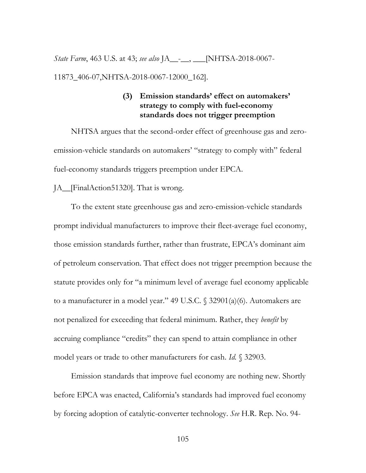*State Farm*, 463 U.S. at 43; *see also* JA\_\_-\_\_, \_\_\_[NHTSA-2018-0067- 11873\_406-07,NHTSA-2018-0067-12000\_162].

# **(3) Emission standards' effect on automakers' strategy to comply with fuel-economy standards does not trigger preemption**

NHTSA argues that the second-order effect of greenhouse gas and zeroemission-vehicle standards on automakers' "strategy to comply with" federal fuel-economy standards triggers preemption under EPCA.

#### JA\_\_[FinalAction51320]. That is wrong.

To the extent state greenhouse gas and zero-emission-vehicle standards prompt individual manufacturers to improve their fleet-average fuel economy, those emission standards further, rather than frustrate, EPCA's dominant aim of petroleum conservation. That effect does not trigger preemption because the statute provides only for "a minimum level of average fuel economy applicable to a manufacturer in a model year." 49 U.S.C. § 32901(a)(6). Automakers are not penalized for exceeding that federal minimum. Rather, they *benefit* by accruing compliance "credits" they can spend to attain compliance in other model years or trade to other manufacturers for cash. *Id.* § 32903.

Emission standards that improve fuel economy are nothing new. Shortly before EPCA was enacted, California's standards had improved fuel economy by forcing adoption of catalytic-converter technology. *See* H.R. Rep. No. 94-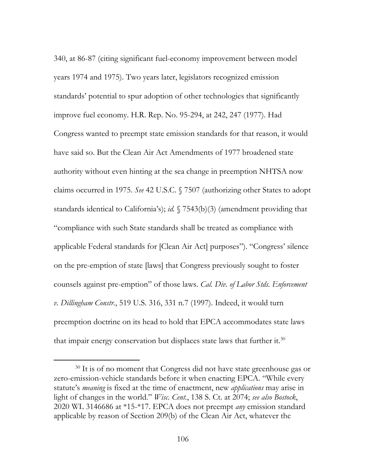340, at 86-87 (citing significant fuel-economy improvement between model years 1974 and 1975). Two years later, legislators recognized emission standards' potential to spur adoption of other technologies that significantly improve fuel economy. H.R. Rep. No. 95-294, at 242, 247 (1977). Had Congress wanted to preempt state emission standards for that reason, it would have said so. But the Clean Air Act Amendments of 1977 broadened state authority without even hinting at the sea change in preemption NHTSA now claims occurred in 1975. *See* 42 U.S.C. § 7507 (authorizing other States to adopt standards identical to California's); *id.* § 7543(b)(3) (amendment providing that "compliance with such State standards shall be treated as compliance with applicable Federal standards for [Clean Air Act] purposes"). "Congress' silence on the pre-emption of state [laws] that Congress previously sought to foster counsels against pre-emption" of those laws. *Cal. Div. of Labor Stds. Enforcement v. Dillingham Constr.*, 519 U.S. 316, 331 n.7 (1997). Indeed, it would turn preemption doctrine on its head to hold that EPCA accommodates state laws that impair energy conservation but displaces state laws that further it.<sup>30</sup>

<sup>&</sup>lt;sup>30</sup> It is of no moment that Congress did not have state greenhouse gas or zero-emission-vehicle standards before it when enacting EPCA. "While every statute's *meaning* is fixed at the time of enactment, new *applications* may arise in light of changes in the world." *Wisc. Cent.*, 138 S. Ct. at 2074; *see also Bostock*, 2020 WL 3146686 at \*15-\*17. EPCA does not preempt *any* emission standard applicable by reason of Section 209(b) of the Clean Air Act, whatever the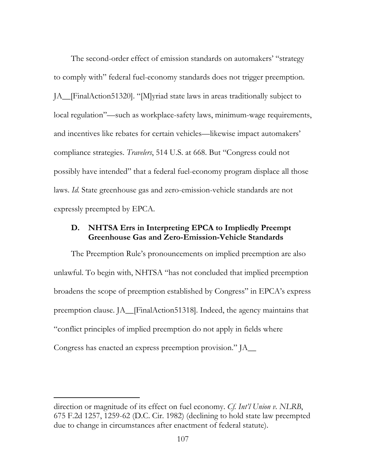The second-order effect of emission standards on automakers' "strategy to comply with" federal fuel-economy standards does not trigger preemption. JA\_\_[FinalAction51320]. "[M]yriad state laws in areas traditionally subject to local regulation"—such as workplace-safety laws, minimum-wage requirements, and incentives like rebates for certain vehicles—likewise impact automakers' compliance strategies. *Travelers*, 514 U.S. at 668. But "Congress could not possibly have intended" that a federal fuel-economy program displace all those laws. *Id.* State greenhouse gas and zero-emission-vehicle standards are not expressly preempted by EPCA.

## **D. NHTSA Errs in Interpreting EPCA to Impliedly Preempt Greenhouse Gas and Zero-Emission-Vehicle Standards**

The Preemption Rule's pronouncements on implied preemption are also unlawful. To begin with, NHTSA "has not concluded that implied preemption broadens the scope of preemption established by Congress" in EPCA's express preemption clause. JA\_\_[FinalAction51318]. Indeed, the agency maintains that "conflict principles of implied preemption do not apply in fields where Congress has enacted an express preemption provision."  $IA$ 

 $\overline{a}$ 

direction or magnitude of its effect on fuel economy. *Cf. Int'l Union v. NLRB*, 675 F.2d 1257, 1259-62 (D.C. Cir. 1982) (declining to hold state law preempted due to change in circumstances after enactment of federal statute).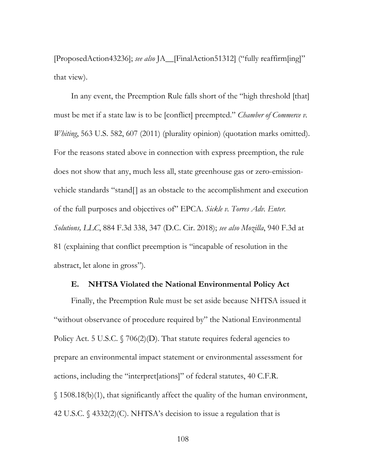[ProposedAction43236]; *see also* JA\_\_[FinalAction51312] ("fully reaffirm[ing]" that view).

In any event, the Preemption Rule falls short of the "high threshold [that] must be met if a state law is to be [conflict] preempted." *Chamber of Commerce v. Whiting*, 563 U.S. 582, 607 (2011) (plurality opinion) (quotation marks omitted). For the reasons stated above in connection with express preemption, the rule does not show that any, much less all, state greenhouse gas or zero-emissionvehicle standards "stand[] as an obstacle to the accomplishment and execution of the full purposes and objectives of" EPCA. *Sickle v. Torres Adv. Enter. Solutions, LLC*, 884 F.3d 338, 347 (D.C. Cir. 2018); *see also Mozilla*, 940 F.3d at 81 (explaining that conflict preemption is "incapable of resolution in the abstract, let alone in gross").

#### **E. NHTSA Violated the National Environmental Policy Act**

Finally, the Preemption Rule must be set aside because NHTSA issued it "without observance of procedure required by" the National Environmental Policy Act. 5 U.S.C.  $\sqrt{706(2)(D)}$ . That statute requires federal agencies to prepare an environmental impact statement or environmental assessment for actions, including the "interpret[ations]" of federal statutes, 40 C.F.R. § 1508.18(b)(1), that significantly affect the quality of the human environment, 42 U.S.C. § 4332(2)(C). NHTSA's decision to issue a regulation that is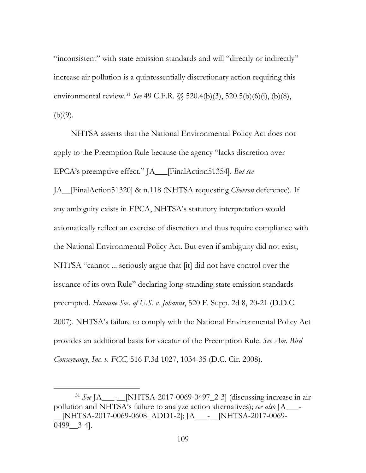"inconsistent" with state emission standards and will "directly or indirectly" increase air pollution is a quintessentially discretionary action requiring this environmental review.31 *See* 49 C.F.R. §§ 520.4(b)(3), 520.5(b)(6)(i), (b)(8),  $(b)(9)$ .

NHTSA asserts that the National Environmental Policy Act does not apply to the Preemption Rule because the agency "lacks discretion over EPCA's preemptive effect." JA\_\_\_[FinalAction51354]. *But see* JA\_\_[FinalAction51320] & n.118 (NHTSA requesting *Chevron* deference). If any ambiguity exists in EPCA, NHTSA's statutory interpretation would axiomatically reflect an exercise of discretion and thus require compliance with the National Environmental Policy Act. But even if ambiguity did not exist, NHTSA "cannot ... seriously argue that [it] did not have control over the issuance of its own Rule" declaring long-standing state emission standards preempted. *Humane Soc. of U.S. v. Johanns*, 520 F. Supp. 2d 8, 20-21 (D.D.C. 2007). NHTSA's failure to comply with the National Environmental Policy Act provides an additional basis for vacatur of the Preemption Rule. *See Am. Bird Conservancy, Inc. v. FCC,* 516 F.3d 1027, 1034-35 (D.C. Cir. 2008).

 <sup>31</sup> *See* JA\_\_\_-\_\_[NHTSA-2017-0069-0497\_2-3] (discussing increase in air pollution and NHTSA's failure to analyze action alternatives); *see also* JA\_\_\_- \_\_[NHTSA-2017-0069-0608\_ADD1-2]; JA\_\_\_-\_\_[NHTSA-2017-0069-  $0499$   $3-4$ ].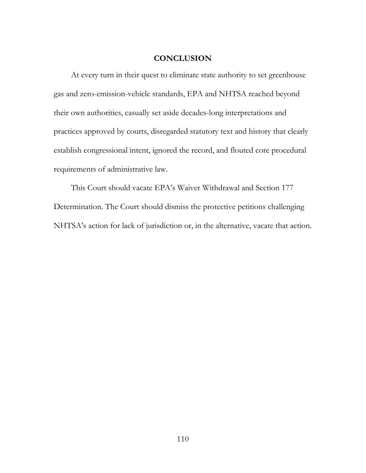#### **CONCLUSION**

At every turn in their quest to eliminate state authority to set greenhouse gas and zero-emission-vehicle standards, EPA and NHTSA reached beyond their own authorities, casually set aside decades-long interpretations and practices approved by courts, disregarded statutory text and history that clearly establish congressional intent, ignored the record, and flouted core procedural requirements of administrative law.

This Court should vacate EPA's Waiver Withdrawal and Section 177 Determination. The Court should dismiss the protective petitions challenging NHTSA's action for lack of jurisdiction or, in the alternative, vacate that action.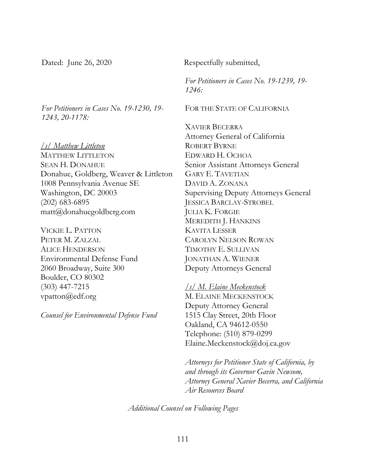*For Petitioners in Cases No. 19-1230, 19- 1243, 20-1178:* 

*/s/ Matthew Littleton* MATTHEW LITTLETON SEAN H. DONAHUE Donahue, Goldberg, Weaver & Littleton 1008 Pennsylvania Avenue SE Washington, DC 20003 (202) 683-6895 matt@donahuegoldberg.com

VICKIE L. PATTON PETER M. ZALZAL ALICE HENDERSON Environmental Defense Fund 2060 Broadway, Suite 300 Boulder, CO 80302 (303) 447-7215 vpatton@edf.org

*Counsel for Environmental Defense Fund* 

Dated: June 26, 2020 Respectfully submitted,

*For Petitioners in Cases No. 19-1239, 19- 1246:*

FOR THE STATE OF CALIFORNIA

XAVIER BECERRA Attorney General of California ROBERT BYRNE EDWARD H. OCHOA Senior Assistant Attorneys General GARY E. TAVETIAN DAVID A. ZONANA Supervising Deputy Attorneys General JESSICA BARCLAY-STROBEL JULIA K. FORGIE MEREDITH J. HANKINS KAVITA LESSER CAROLYN NELSON ROWAN TIMOTHY E. SULLIVAN JONATHAN A. WIENER Deputy Attorneys General

*/s/ M. Elaine Meckenstock*  M. ELAINE MECKENSTOCK Deputy Attorney General 1515 Clay Street, 20th Floor Oakland, CA 94612-0550 Telephone: (510) 879-0299 Elaine.Meckenstock@doj.ca.gov

*Attorneys for Petitioner State of California, by and through its Governor Gavin Newsom, Attorney General Xavier Becerra, and California Air Resources Board*

*Additional Counsel on Following Pages*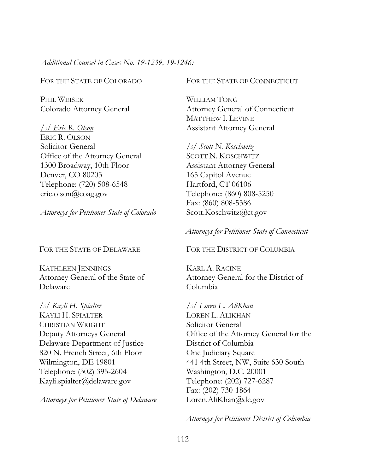*Additional Counsel in Cases No. 19-1239, 19-1246:*

FOR THE STATE OF COLORADO

PHIL WEISER Colorado Attorney General

*/s/ Eric R. Olson*  ERIC R. OLSON Solicitor General Office of the Attorney General 1300 Broadway, 10th Floor Denver, CO 80203 Telephone: (720) 508-6548 eric.olson@coag.gov

*Attorneys for Petitioner State of Colorado*

FOR THE STATE OF DELAWARE

KATHLEEN JENNINGS Attorney General of the State of Delaware

*/s/ Kayli H. Spialter*  KAYLI H. SPIALTER CHRISTIAN WRIGHT Deputy Attorneys General Delaware Department of Justice 820 N. French Street, 6th Floor Wilmington, DE 19801 Telephone: (302) 395-2604 Kayli.spialter@delaware.gov

*Attorneys for Petitioner State of Delaware*

FOR THE STATE OF CONNECTICUT

WILLIAM TONG Attorney General of Connecticut MATTHEW I. LEVINE Assistant Attorney General

*/s/ Scott N. Koschwitz*  SCOTT N. KOSCHWITZ Assistant Attorney General 165 Capitol Avenue Hartford, CT 06106 Telephone: (860) 808-5250 Fax: (860) 808-5386 Scott.Koschwitz@ct.gov

*Attorneys for Petitioner State of Connecticut*

FOR THE DISTRICT OF COLUMBIA

KARL A. RACINE Attorney General for the District of Columbia

#### */s/ Loren L. AliKhan*

LOREN L. ALIKHAN Solicitor General Office of the Attorney General for the District of Columbia One Judiciary Square 441 4th Street, NW, Suite 630 South Washington, D.C. 20001 Telephone: (202) 727-6287 Fax: (202) 730-1864 Loren.AliKhan@dc.gov

*Attorneys for Petitioner District of Columbia*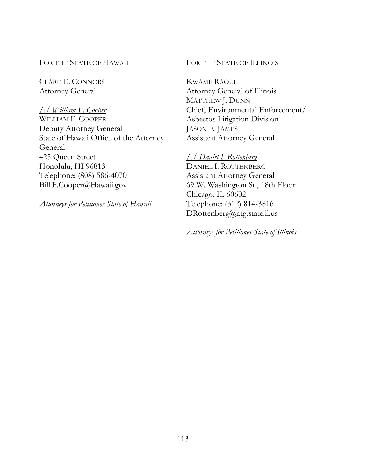FOR THE STATE OF HAWAII

CLARE E. CONNORS Attorney General

#### */s/ William F. Cooper*

WILLIAM F. COOPER Deputy Attorney General State of Hawaii Office of the Attorney General 425 Queen Street Honolulu, HI 96813 Telephone: (808) 586-4070 Bill.F.Cooper@Hawaii.gov

*Attorneys for Petitioner State of Hawaii* 

FOR THE STATE OF ILLINOIS

KWAME RAOUL Attorney General of Illinois MATTHEW J. DUNN Chief, Environmental Enforcement/ Asbestos Litigation Division JASON E. JAMES Assistant Attorney General

#### */s/ Daniel I. Rottenberg*

DANIEL I. ROTTENBERG Assistant Attorney General 69 W. Washington St., 18th Floor Chicago, IL 60602 Telephone: (312) 814-3816 DRottenberg@atg.state.il.us

*Attorneys for Petitioner State of Illinois*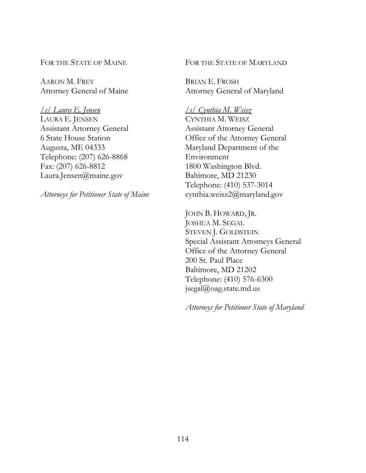FOR THE STATE OF MAINE

AARON M. FREY Attorney General of Maine

*/s/ Laura E. Jensen*  LAURA E. JENSEN Assistant Attorney General 6 State House Station Augusta, ME 04333 Telephone: (207) 626-8868 Fax: (207) 626-8812 Laura.Jensen@maine.gov

*Attorneys for Petitioner State of Maine*

### FOR THE STATE OF MARYLAND

BRIAN E. FROSH Attorney General of Maryland

# */s/ Cynthia M. Weisz*

CYNTHIA M. WEISZ Assistant Attorney General Office of the Attorney General Maryland Department of the Environment 1800 Washington Blvd. Baltimore, MD 21230 Telephone: (410) 537-3014 cynthia.weisz2@maryland.gov

JOHN B. HOWARD, JR. JOSHUA M. SEGAL STEVEN J. GOLDSTEIN Special Assistant Attorneys General Office of the Attorney General 200 St. Paul Place Baltimore, MD 21202 Telephone: (410) 576-6300 jsegal@oag.state.md.us

*Attorneys for Petitioner State of Maryland*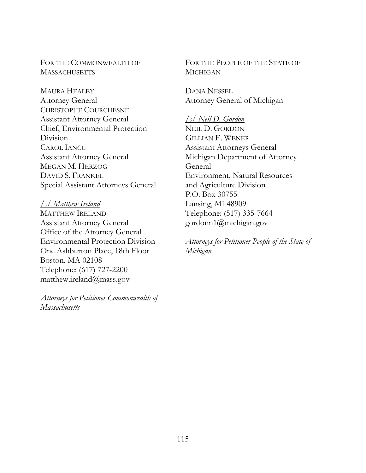FOR THE COMMONWEALTH OF **MASSACHUSETTS** 

MAURA HEALEY Attorney General CHRISTOPHE COURCHESNE Assistant Attorney General Chief, Environmental Protection Division CAROL IANCU Assistant Attorney General MEGAN M. HERZOG DAVID S. FRANKEL Special Assistant Attorneys General

## */s/ Matthew Ireland*

MATTHEW IRELAND Assistant Attorney General Office of the Attorney General Environmental Protection Division One Ashburton Place, 18th Floor Boston, MA 02108 Telephone: (617) 727-2200 matthew.ireland@mass.gov

*Attorneys for Petitioner Commonwealth of Massachusetts* 

FOR THE PEOPLE OF THE STATE OF MICHIGAN

DANA NESSEL Attorney General of Michigan

*/s/ Neil D. Gordon* NEIL D. GORDON GILLIAN E. WENER Assistant Attorneys General Michigan Department of Attorney General Environment, Natural Resources and Agriculture Division P.O. Box 30755 Lansing, MI 48909 Telephone: (517) 335-7664 gordonn1@michigan.gov

*Attorneys for Petitioner People of the State of Michigan*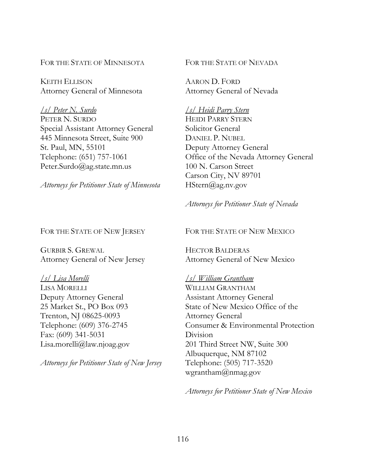FOR THE STATE OF MINNESOTA

KEITH ELLISON Attorney General of Minnesota

*/s/ Peter N. Surdo*  PETER N. SURDO Special Assistant Attorney General 445 Minnesota Street, Suite 900 St. Paul, MN, 55101 Telephone: (651) 757-1061 Peter.Surdo@ag.state.mn.us

*Attorneys for Petitioner State of Minnesota*

FOR THE STATE OF NEVADA

AARON D. FORD Attorney General of Nevada

*/s/ Heidi Parry Stern*  HEIDI PARRY STERN Solicitor General DANIEL P. NUBEL Deputy Attorney General Office of the Nevada Attorney General 100 N. Carson Street Carson City, NV 89701 HStern@ag.nv.gov

## *Attorneys for Petitioner State of Nevada*

### FOR THE STATE OF NEW JERSEY

GURBIR S. GREWAL Attorney General of New Jersey

# */s/ Lisa Morelli*

LISA MORELLI Deputy Attorney General 25 Market St., PO Box 093 Trenton, NJ 08625-0093 Telephone: (609) 376-2745 Fax: (609) 341-5031 Lisa.morelli@law.njoag.gov

*Attorneys for Petitioner State of New Jersey* 

### FOR THE STATE OF NEW MEXICO

HECTOR BALDERAS Attorney General of New Mexico

### */s/ William Grantham*

WILLIAM GRANTHAM Assistant Attorney General State of New Mexico Office of the Attorney General Consumer & Environmental Protection Division 201 Third Street NW, Suite 300 Albuquerque, NM 87102 Telephone: (505) 717-3520 wgrantham@nmag.gov

*Attorneys for Petitioner State of New Mexico*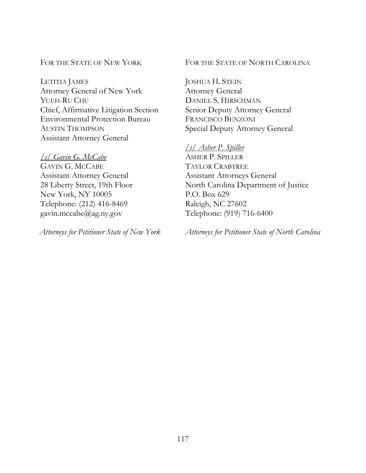# FOR THE STATE OF NEW YORK

LETITIA JAMES Attorney General of New York YUEH-RU CHU Chief, Affirmative Litigation Section Environmental Protection Bureau AUSTIN THOMPSON Assistant Attorney General

# */s/ Gavin G. McCabe*

GAVIN G. MCCABE Assistant Attorney General 28 Liberty Street, 19th Floor New York, NY 10005 Telephone: (212) 416-8469 gavin.mccabe@ag.ny.gov

*Attorneys for Petitioner State of New York* 

## FOR THE STATE OF NORTH CAROLINA

JOSHUA H. STEIN Attorney General DANIEL S. HIRSCHMAN Senior Deputy Attorney General FRANCISCO BENZONI Special Deputy Attorney General

# */s/ Asher P. Spiller*

ASHER P. SPILLER TAYLOR CRABTREE Assistant Attorneys General North Carolina Department of Justice P.O. Box 629 Raleigh, NC 27602 Telephone: (919) 716-6400

*Attorneys for Petitioner State of North Carolina*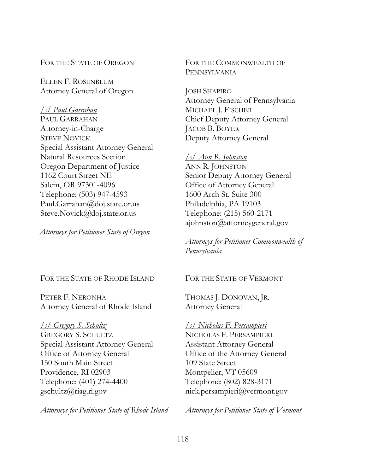FOR THE STATE OF OREGON

ELLEN F. ROSENBLUM Attorney General of Oregon

*/s/ Paul Garrahan*  PAUL GARRAHAN Attorney-in-Charge STEVE NOVICK Special Assistant Attorney General Natural Resources Section Oregon Department of Justice 1162 Court Street NE Salem, OR 97301-4096 Telephone: (503) 947-4593 Paul.Garrahan@doj.state.or.us Steve.Novick@doj.state.or.us

*Attorneys for Petitioner State of Oregon*

#### FOR THE STATE OF RHODE ISLAND

PETER F. NERONHA Attorney General of Rhode Island

*/s/ Gregory S. Schultz*  GREGORY S. SCHULTZ Special Assistant Attorney General Office of Attorney General 150 South Main Street Providence, RI 02903 Telephone: (401) 274-4400 gschultz@riag.ri.gov

*Attorneys for Petitioner State of Rhode Island* 

FOR THE COMMONWEALTH OF PENNSYLVANIA

JOSH SHAPIRO Attorney General of Pennsylvania MICHAEL J. FISCHER Chief Deputy Attorney General JACOB B. BOYER Deputy Attorney General

# */s/ Ann R. Johnston*

ANN R. JOHNSTON Senior Deputy Attorney General Office of Attorney General 1600 Arch St. Suite 300 Philadelphia, PA 19103 Telephone: (215) 560-2171 ajohnston@attorneygeneral.gov

*Attorneys for Petitioner Commonwealth of Pennsylvania* 

FOR THE STATE OF VERMONT

THOMAS J. DONOVAN, JR. Attorney General

*/s/ Nicholas F. Persampieri*  NICHOLAS F. PERSAMPIERI Assistant Attorney General Office of the Attorney General 109 State Street Montpelier, VT 05609 Telephone: (802) 828-3171 nick.persampieri@vermont.gov

*Attorneys for Petitioner State of Vermont*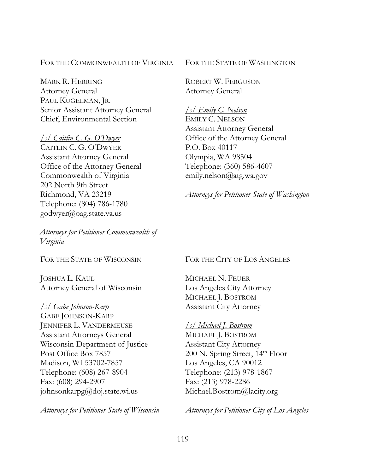FOR THE COMMONWEALTH OF VIRGINIA

MARK R. HERRING Attorney General PAUL KUGELMAN, JR. Senior Assistant Attorney General Chief, Environmental Section

*/s/ Caitlin C. G. O'Dwyer*  CAITLIN C. G. O'DWYER Assistant Attorney General Office of the Attorney General Commonwealth of Virginia 202 North 9th Street Richmond, VA 23219 Telephone: (804) 786-1780 godwyer@oag.state.va.us

*Attorneys for Petitioner Commonwealth of Virginia* 

FOR THE STATE OF WISCONSIN

JOSHUA L. KAUL Attorney General of Wisconsin

*/s/ Gabe Johnson-Karp*  GABE JOHNSON-KARP JENNIFER L. VANDERMEUSE Assistant Attorneys General Wisconsin Department of Justice Post Office Box 7857 Madison, WI 53702-7857 Telephone: (608) 267-8904 Fax: (608) 294-2907 johnsonkarpg@doj.state.wi.us

*Attorneys for Petitioner State of Wisconsin* 

FOR THE STATE OF WASHINGTON

ROBERT W. FERGUSON Attorney General

#### */s/ Emily C. Nelson*

EMILY C. NELSON Assistant Attorney General Office of the Attorney General P.O. Box 40117 Olympia, WA 98504 Telephone: (360) 586-4607 emily.nelson@atg.wa.gov

*Attorneys for Petitioner State of Washington* 

#### FOR THE CITY OF LOS ANGELES

MICHAEL N. FEUER Los Angeles City Attorney MICHAEL J. BOSTROM Assistant City Attorney

### */s/ Michael J. Bostrom*

MICHAEL J. BOSTROM Assistant City Attorney 200 N. Spring Street, 14th Floor Los Angeles, CA 90012 Telephone: (213) 978-1867 Fax: (213) 978-2286 Michael.Bostrom@lacity.org

*Attorneys for Petitioner City of Los Angeles*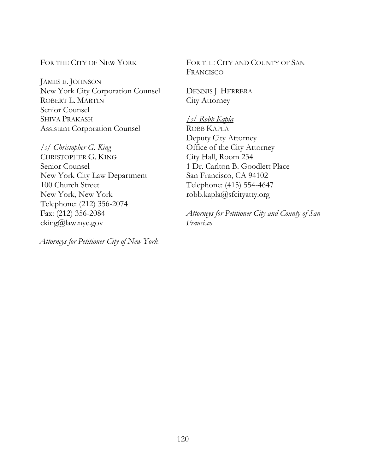# FOR THE CITY OF NEW YORK

JAMES E. JOHNSON New York City Corporation Counsel ROBERT L. MARTIN Senior Counsel SHIVA PRAKASH Assistant Corporation Counsel

# */s/ Christopher G. King*

CHRISTOPHER G. KING Senior Counsel New York City Law Department 100 Church Street New York, New York Telephone: (212) 356-2074 Fax: (212) 356-2084 cking@law.nyc.gov

*Attorneys for Petitioner City of New York*

FOR THE CITY AND COUNTY OF SAN FRANCISCO

DENNIS J. HERRERA City Attorney

*/s/ Robb Kapla*  ROBB KAPLA Deputy City Attorney Office of the City Attorney City Hall, Room 234 1 Dr. Carlton B. Goodlett Place San Francisco, CA 94102 Telephone: (415) 554-4647 robb.kapla@sfcityatty.org

*Attorneys for Petitioner City and County of San Francisco*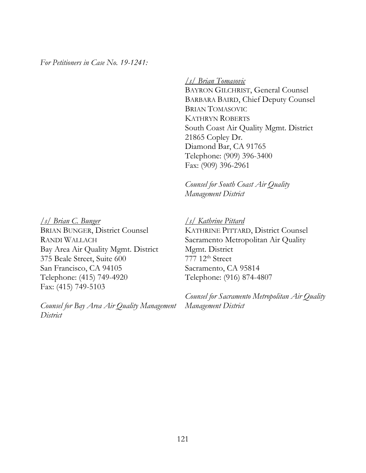*For Petitioners in Case No. 19-1241:* 

*/s/ Brian Tomasovic* 

BAYRON GILCHRIST, General Counsel BARBARA BAIRD, Chief Deputy Counsel BRIAN TOMASOVIC KATHRYN ROBERTS South Coast Air Quality Mgmt. District 21865 Copley Dr. Diamond Bar, CA 91765 Telephone: (909) 396-3400 Fax: (909) 396-2961

*Counsel for South Coast Air Quality Management District* 

*/s/ Brian C. Bunger*  BRIAN BUNGER, District Counsel RANDI WALLACH Bay Area Air Quality Mgmt. District 375 Beale Street, Suite 600 San Francisco, CA 94105 Telephone: (415) 749-4920 Fax: (415) 749-5103

*Counsel for Bay Area Air Quality Management District*

*/s/ Kathrine Pittard*  KATHRINE PITTARD, District Counsel Sacramento Metropolitan Air Quality Mgmt. District

777 12th Street Sacramento, CA 95814 Telephone: (916) 874-4807

*Counsel for Sacramento Metropolitan Air Quality Management District*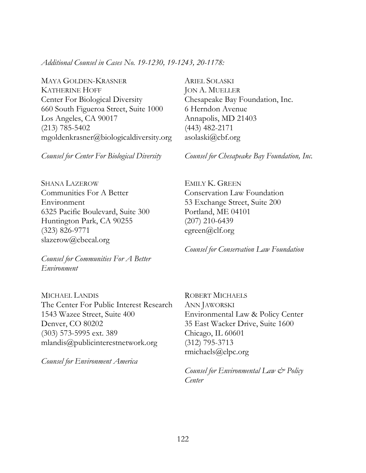*Additional Counsel in Cases No. 19-1230, 19-1243, 20-1178:* 

MAYA GOLDEN-KRASNER KATHERINE HOFF Center For Biological Diversity 660 South Figueroa Street, Suite 1000 Los Angeles, CA 90017 (213) 785-5402 mgoldenkrasner@biologicaldiversity.org

*Counsel for Center For Biological Diversity*

SHANA LAZEROW Communities For A Better Environment 6325 Pacific Boulevard, Suite 300 Huntington Park, CA 90255 (323) 826-9771 slazerow@cbecal.org

*Counsel for Communities For A Better Environment* 

MICHAEL LANDIS The Center For Public Interest Research 1543 Wazee Street, Suite 400 Denver, CO 80202 (303) 573-5995 ext. 389 mlandis@publicinterestnetwork.org

*Counsel for Environment America*

ARIEL SOLASKI JON A. MUELLER Chesapeake Bay Foundation, Inc. 6 Herndon Avenue Annapolis, MD 21403 (443) 482-2171 asolaski@cbf.org

*Counsel for Chesapeake Bay Foundation, Inc.*

EMILY K. GREEN Conservation Law Foundation 53 Exchange Street, Suite 200 Portland, ME 04101 (207) 210-6439 egreen@clf.org

*Counsel for Conservation Law Foundation*

ROBERT MICHAELS ANN JAWORSKI Environmental Law & Policy Center 35 East Wacker Drive, Suite 1600 Chicago, IL 60601 (312) 795-3713 rmichaels@elpc.org

*Counsel for Environmental Law & Policy Center*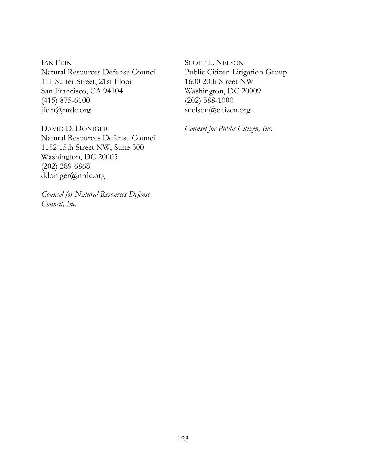IAN FEIN Natural Resources Defense Council 111 Sutter Street, 21st Floor San Francisco, CA 94104 (415) 875-6100 ifein@nrdc.org

DAVID D. DONIGER Natural Resources Defense Council 1152 15th Street NW, Suite 300 Washington, DC 20005 (202) 289-6868 ddoniger@nrdc.org

*Counsel for Natural Resources Defense Council, Inc.* 

SCOTT L. NELSON Public Citizen Litigation Group 1600 20th Street NW Washington, DC 20009 (202) 588-1000 snelson@citizen.org

*Counsel for Public Citizen, Inc.*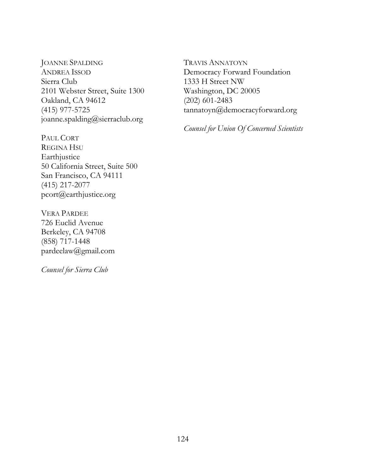JOANNE SPALDING ANDREA ISSOD Sierra Club 2101 Webster Street, Suite 1300 Oakland, CA 94612 (415) 977-5725 joanne.spalding@sierraclub.org

PAUL CORT REGINA HSU Earthjustice 50 California Street, Suite 500 San Francisco, CA 94111 (415) 217-2077 pcort@earthjustice.org

VERA PARDEE 726 Euclid Avenue Berkeley, CA 94708 (858) 717-1448 pardeelaw@gmail.com

*Counsel for Sierra Club*

TRAVIS ANNATOYN Democracy Forward Foundation 1333 H Street NW Washington, DC 20005 (202) 601-2483 tannatoyn@democracyforward.org

*Counsel for Union Of Concerned Scientists*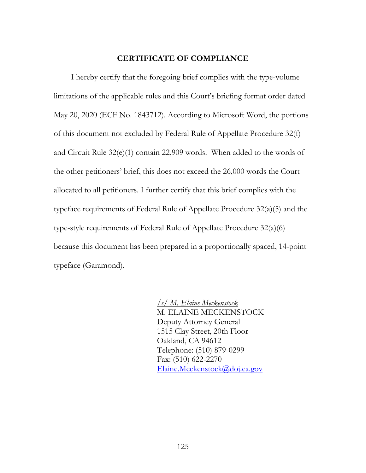## **CERTIFICATE OF COMPLIANCE**

I hereby certify that the foregoing brief complies with the type-volume limitations of the applicable rules and this Court's briefing format order dated May 20, 2020 (ECF No. 1843712). According to Microsoft Word, the portions of this document not excluded by Federal Rule of Appellate Procedure 32(f) and Circuit Rule 32(e)(1) contain 22,909 words. When added to the words of the other petitioners' brief, this does not exceed the 26,000 words the Court allocated to all petitioners. I further certify that this brief complies with the typeface requirements of Federal Rule of Appellate Procedure 32(a)(5) and the type-style requirements of Federal Rule of Appellate Procedure 32(a)(6) because this document has been prepared in a proportionally spaced, 14-point typeface (Garamond).

> */s/ M. Elaine Meckenstock*  M. ELAINE MECKENSTOCK Deputy Attorney General 1515 Clay Street, 20th Floor Oakland, CA 94612 Telephone: (510) 879-0299 Fax: (510) 622-2270 Elaine.Meckenstock@doj.ca.gov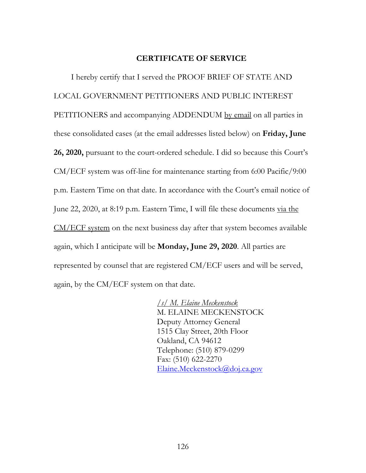# **CERTIFICATE OF SERVICE**

I hereby certify that I served the PROOF BRIEF OF STATE AND LOCAL GOVERNMENT PETITIONERS AND PUBLIC INTEREST PETITIONERS and accompanying ADDENDUM by email on all parties in these consolidated cases (at the email addresses listed below) on **Friday, June 26, 2020,** pursuant to the court-ordered schedule. I did so because this Court's CM/ECF system was off-line for maintenance starting from 6:00 Pacific/9:00 p.m. Eastern Time on that date. In accordance with the Court's email notice of June 22, 2020, at 8:19 p.m. Eastern Time, I will file these documents via the CM/ECF system on the next business day after that system becomes available again, which I anticipate will be **Monday, June 29, 2020**. All parties are represented by counsel that are registered CM/ECF users and will be served, again, by the CM/ECF system on that date.

> */s/ M. Elaine Meckenstock*  M. ELAINE MECKENSTOCK Deputy Attorney General 1515 Clay Street, 20th Floor Oakland, CA 94612 Telephone: (510) 879-0299 Fax: (510) 622-2270 Elaine.Meckenstock@doj.ca.gov